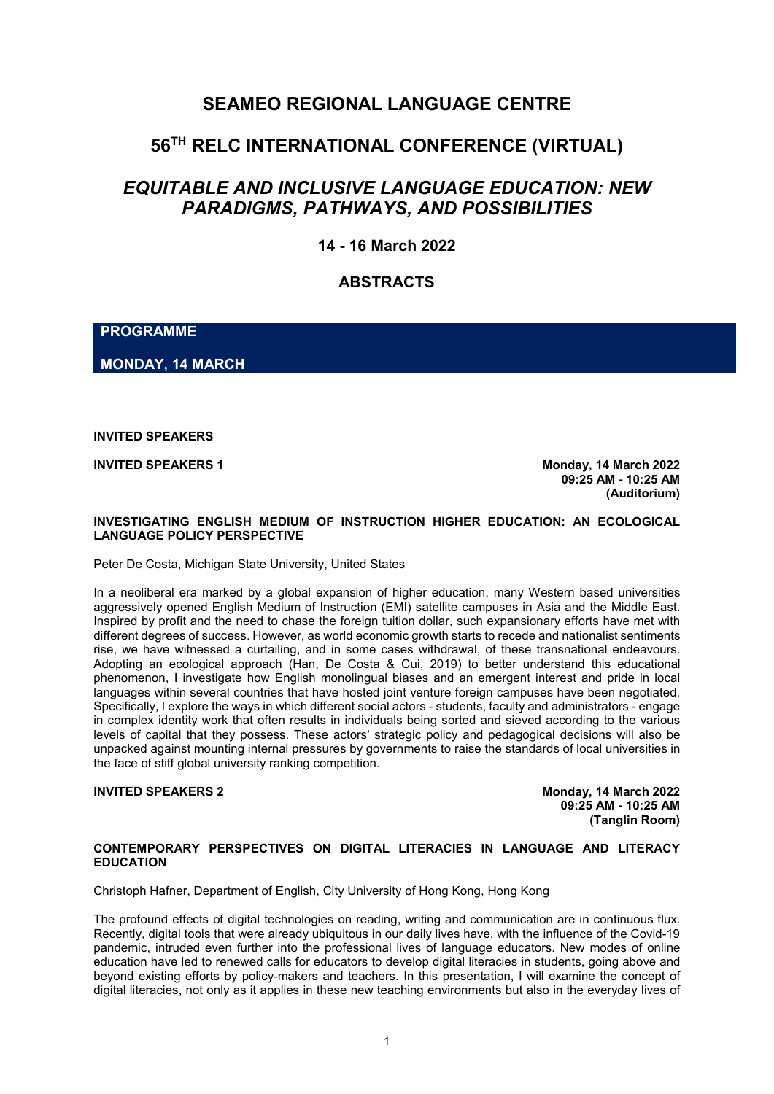# **SEAMEO REGIONAL LANGUAGE CENTRE**

# **56TH RELC INTERNATIONAL CONFERENCE (VIRTUAL)**

# *EQUITABLE AND INCLUSIVE LANGUAGE EDUCATION: NEW PARADIGMS, PATHWAYS, AND POSSIBILITIES*

**14 - 16 March 2022**

# **ABSTRACTS**

**PROGRAMME**

**MONDAY, 14 MARCH**

**INVITED SPEAKERS**

**INVITED SPEAKERS 1** Monday, 14 March 2022 **09:25 AM - 10:25 AM (Auditorium)**

# **INVESTIGATING ENGLISH MEDIUM OF INSTRUCTION HIGHER EDUCATION: AN ECOLOGICAL LANGUAGE POLICY PERSPECTIVE**

Peter De Costa, Michigan State University, United States

In a neoliberal era marked by a global expansion of higher education, many Western based universities aggressively opened English Medium of Instruction (EMI) satellite campuses in Asia and the Middle East. Inspired by profit and the need to chase the foreign tuition dollar, such expansionary efforts have met with different degrees of success. However, as world economic growth starts to recede and nationalist sentiments rise, we have witnessed a curtailing, and in some cases withdrawal, of these transnational endeavours. Adopting an ecological approach (Han, De Costa & Cui, 2019) to better understand this educational phenomenon, I investigate how English monolingual biases and an emergent interest and pride in local languages within several countries that have hosted joint venture foreign campuses have been negotiated. Specifically, I explore the ways in which different social actors - students, faculty and administrators - engage in complex identity work that often results in individuals being sorted and sieved according to the various levels of capital that they possess. These actors' strategic policy and pedagogical decisions will also be unpacked against mounting internal pressures by governments to raise the standards of local universities in the face of stiff global university ranking competition.

**INVITED SPEAKERS 2 Monday, 14 March 2022 09:25 AM - 10:25 AM (Tanglin Room)**

# **CONTEMPORARY PERSPECTIVES ON DIGITAL LITERACIES IN LANGUAGE AND LITERACY EDUCATION**

Christoph Hafner, Department of English, City University of Hong Kong, Hong Kong

The profound effects of digital technologies on reading, writing and communication are in continuous flux. Recently, digital tools that were already ubiquitous in our daily lives have, with the influence of the Covid-19 pandemic, intruded even further into the professional lives of language educators. New modes of online education have led to renewed calls for educators to develop digital literacies in students, going above and beyond existing efforts by policy-makers and teachers. In this presentation, I will examine the concept of digital literacies, not only as it applies in these new teaching environments but also in the everyday lives of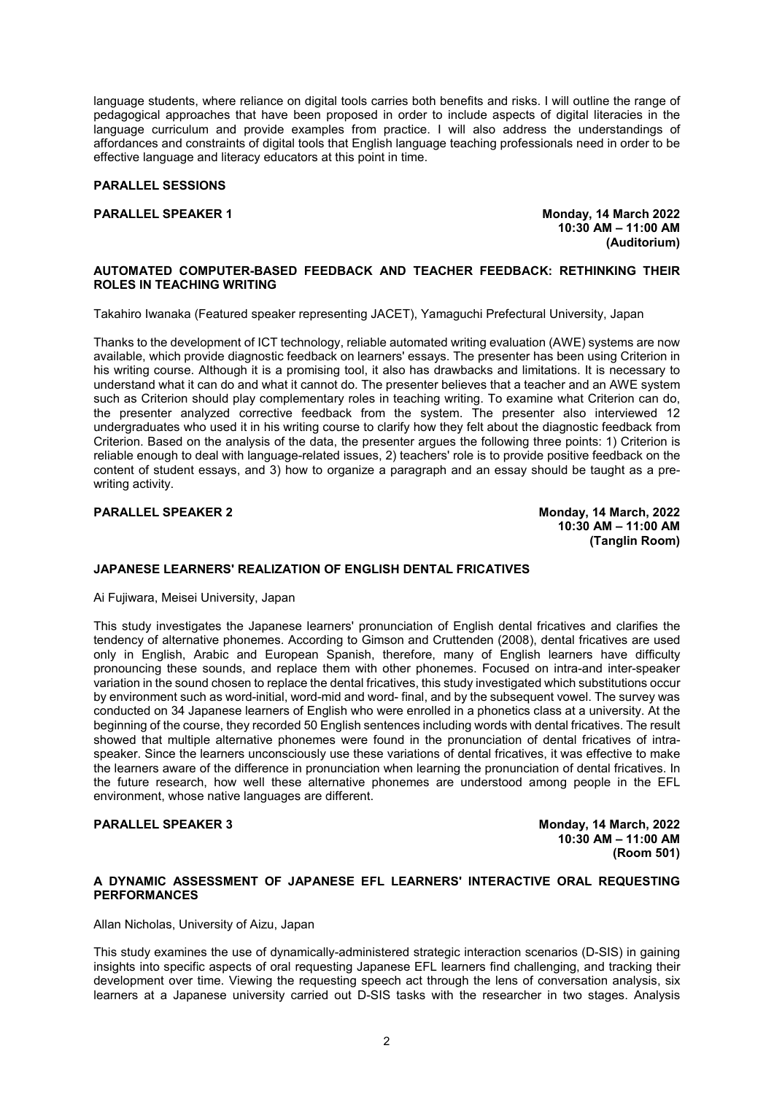language students, where reliance on digital tools carries both benefits and risks. I will outline the range of pedagogical approaches that have been proposed in order to include aspects of digital literacies in the language curriculum and provide examples from practice. I will also address the understandings of affordances and constraints of digital tools that English language teaching professionals need in order to be effective language and literacy educators at this point in time.

# **PARALLEL SESSIONS**

**PARALLEL SPEAKER 1 Monday, 14 March 2022 10:30 AM – 11:00 AM (Auditorium)**

# **AUTOMATED COMPUTER-BASED FEEDBACK AND TEACHER FEEDBACK: RETHINKING THEIR ROLES IN TEACHING WRITING**

Takahiro Iwanaka (Featured speaker representing JACET), Yamaguchi Prefectural University, Japan

Thanks to the development of ICT technology, reliable automated writing evaluation (AWE) systems are now available, which provide diagnostic feedback on learners' essays. The presenter has been using Criterion in his writing course. Although it is a promising tool, it also has drawbacks and limitations. It is necessary to understand what it can do and what it cannot do. The presenter believes that a teacher and an AWE system such as Criterion should play complementary roles in teaching writing. To examine what Criterion can do, the presenter analyzed corrective feedback from the system. The presenter also interviewed 12 undergraduates who used it in his writing course to clarify how they felt about the diagnostic feedback from Criterion. Based on the analysis of the data, the presenter argues the following three points: 1) Criterion is reliable enough to deal with language-related issues, 2) teachers' role is to provide positive feedback on the content of student essays, and 3) how to organize a paragraph and an essay should be taught as a prewriting activity.

# **PARALLEL SPEAKER 2 Monday, 14 March, 2022**

**10:30 AM – 11:00 AM (Tanglin Room)**

# **JAPANESE LEARNERS' REALIZATION OF ENGLISH DENTAL FRICATIVES**

Ai Fujiwara, Meisei University, Japan

This study investigates the Japanese learners' pronunciation of English dental fricatives and clarifies the tendency of alternative phonemes. According to Gimson and Cruttenden (2008), dental fricatives are used only in English, Arabic and European Spanish, therefore, many of English learners have difficulty pronouncing these sounds, and replace them with other phonemes. Focused on intra-and inter-speaker variation in the sound chosen to replace the dental fricatives, this study investigated which substitutions occur by environment such as word-initial, word-mid and word- final, and by the subsequent vowel. The survey was conducted on 34 Japanese learners of English who were enrolled in a phonetics class at a university. At the beginning of the course, they recorded 50 English sentences including words with dental fricatives. The result showed that multiple alternative phonemes were found in the pronunciation of dental fricatives of intraspeaker. Since the learners unconsciously use these variations of dental fricatives, it was effective to make the learners aware of the difference in pronunciation when learning the pronunciation of dental fricatives. In the future research, how well these alternative phonemes are understood among people in the EFL environment, whose native languages are different.

**PARALLEL SPEAKER 3 Monday, 14 March, 2022 10:30 AM – 11:00 AM (Room 501)**

# **A DYNAMIC ASSESSMENT OF JAPANESE EFL LEARNERS' INTERACTIVE ORAL REQUESTING PERFORMANCES**

Allan Nicholas, University of Aizu, Japan

This study examines the use of dynamically-administered strategic interaction scenarios (D-SIS) in gaining insights into specific aspects of oral requesting Japanese EFL learners find challenging, and tracking their development over time. Viewing the requesting speech act through the lens of conversation analysis, six learners at a Japanese university carried out D-SIS tasks with the researcher in two stages. Analysis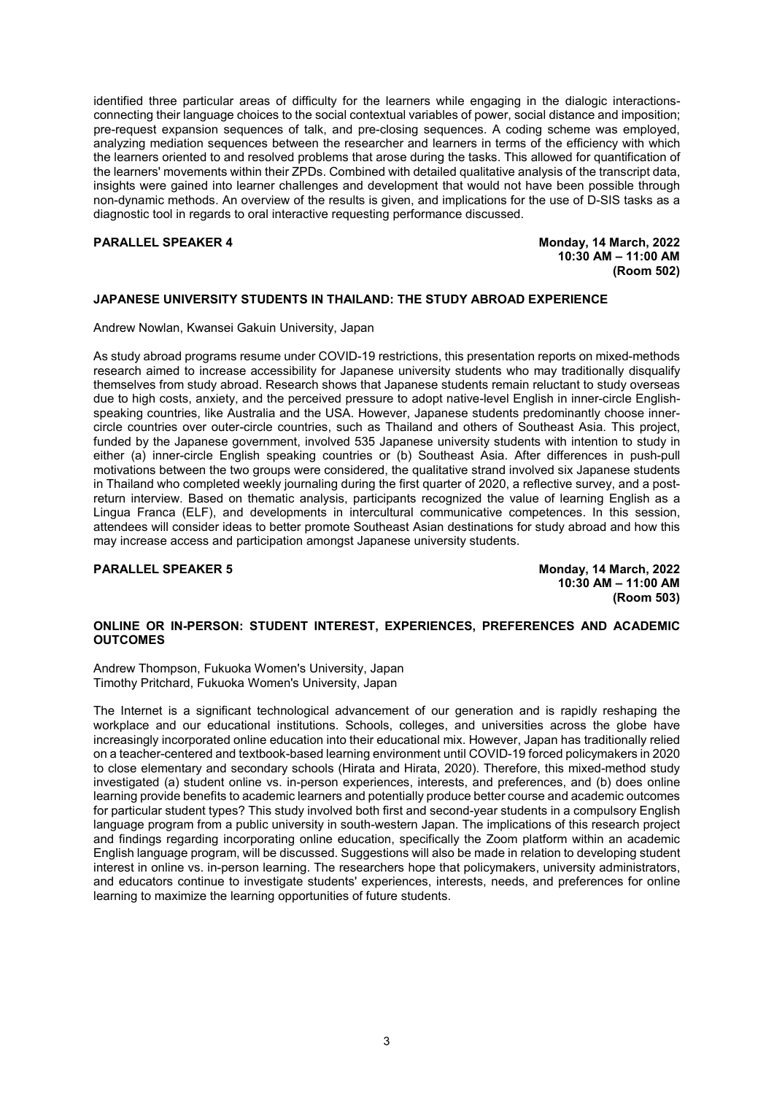identified three particular areas of difficulty for the learners while engaging in the dialogic interactionsconnecting their language choices to the social contextual variables of power, social distance and imposition; pre-request expansion sequences of talk, and pre-closing sequences. A coding scheme was employed, analyzing mediation sequences between the researcher and learners in terms of the efficiency with which the learners oriented to and resolved problems that arose during the tasks. This allowed for quantification of the learners' movements within their ZPDs. Combined with detailed qualitative analysis of the transcript data, insights were gained into learner challenges and development that would not have been possible through non-dynamic methods. An overview of the results is given, and implications for the use of D-SIS tasks as a diagnostic tool in regards to oral interactive requesting performance discussed.

**PARALLEL SPEAKER 4 Monday, 14 March, 2022 10:30 AM – 11:00 AM (Room 502)**

# **JAPANESE UNIVERSITY STUDENTS IN THAILAND: THE STUDY ABROAD EXPERIENCE**

Andrew Nowlan, Kwansei Gakuin University, Japan

As study abroad programs resume under COVID-19 restrictions, this presentation reports on mixed-methods research aimed to increase accessibility for Japanese university students who may traditionally disqualify themselves from study abroad. Research shows that Japanese students remain reluctant to study overseas due to high costs, anxiety, and the perceived pressure to adopt native-level English in inner-circle Englishspeaking countries, like Australia and the USA. However, Japanese students predominantly choose innercircle countries over outer-circle countries, such as Thailand and others of Southeast Asia. This project, funded by the Japanese government, involved 535 Japanese university students with intention to study in either (a) inner-circle English speaking countries or (b) Southeast Asia. After differences in push-pull motivations between the two groups were considered, the qualitative strand involved six Japanese students in Thailand who completed weekly journaling during the first quarter of 2020, a reflective survey, and a postreturn interview. Based on thematic analysis, participants recognized the value of learning English as a Lingua Franca (ELF), and developments in intercultural communicative competences. In this session, attendees will consider ideas to better promote Southeast Asian destinations for study abroad and how this may increase access and participation amongst Japanese university students.

# **PARALLEL SPEAKER 5 Monday, 14 March, 2022**

**10:30 AM – 11:00 AM (Room 503)**

### **ONLINE OR IN-PERSON: STUDENT INTEREST, EXPERIENCES, PREFERENCES AND ACADEMIC OUTCOMES**

Andrew Thompson, Fukuoka Women's University, Japan Timothy Pritchard, Fukuoka Women's University, Japan

The Internet is a significant technological advancement of our generation and is rapidly reshaping the workplace and our educational institutions. Schools, colleges, and universities across the globe have increasingly incorporated online education into their educational mix. However, Japan has traditionally relied on a teacher-centered and textbook-based learning environment until COVID-19 forced policymakers in 2020 to close elementary and secondary schools (Hirata and Hirata, 2020). Therefore, this mixed-method study investigated (a) student online vs. in-person experiences, interests, and preferences, and (b) does online learning provide benefits to academic learners and potentially produce better course and academic outcomes for particular student types? This study involved both first and second-year students in a compulsory English language program from a public university in south-western Japan. The implications of this research project and findings regarding incorporating online education, specifically the Zoom platform within an academic English language program, will be discussed. Suggestions will also be made in relation to developing student interest in online vs. in-person learning. The researchers hope that policymakers, university administrators, and educators continue to investigate students' experiences, interests, needs, and preferences for online learning to maximize the learning opportunities of future students.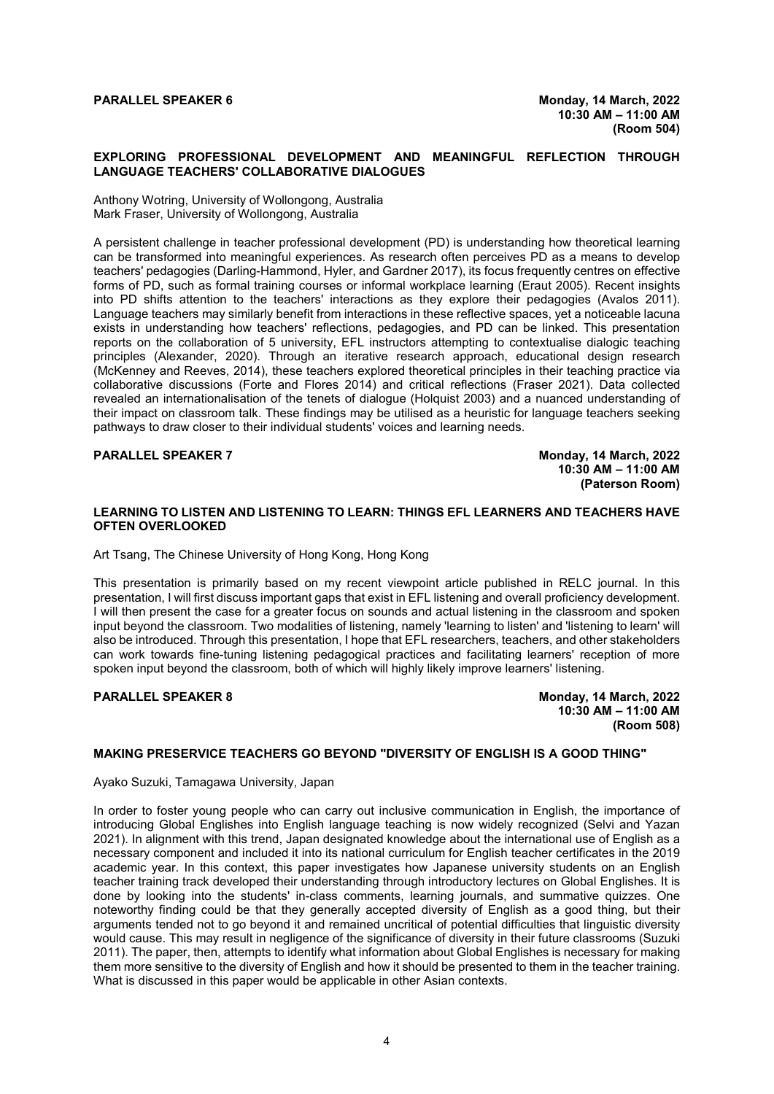### **EXPLORING PROFESSIONAL DEVELOPMENT AND MEANINGFUL REFLECTION THROUGH LANGUAGE TEACHERS' COLLABORATIVE DIALOGUES**

Anthony Wotring, University of Wollongong, Australia Mark Fraser, University of Wollongong, Australia

A persistent challenge in teacher professional development (PD) is understanding how theoretical learning can be transformed into meaningful experiences. As research often perceives PD as a means to develop teachers' pedagogies (Darling-Hammond, Hyler, and Gardner 2017), its focus frequently centres on effective forms of PD, such as formal training courses or informal workplace learning (Eraut 2005). Recent insights into PD shifts attention to the teachers' interactions as they explore their pedagogies (Avalos 2011). Language teachers may similarly benefit from interactions in these reflective spaces, yet a noticeable lacuna exists in understanding how teachers' reflections, pedagogies, and PD can be linked. This presentation reports on the collaboration of 5 university, EFL instructors attempting to contextualise dialogic teaching principles (Alexander, 2020). Through an iterative research approach, educational design research (McKenney and Reeves, 2014), these teachers explored theoretical principles in their teaching practice via collaborative discussions (Forte and Flores 2014) and critical reflections (Fraser 2021). Data collected revealed an internationalisation of the tenets of dialogue (Holquist 2003) and a nuanced understanding of their impact on classroom talk. These findings may be utilised as a heuristic for language teachers seeking pathways to draw closer to their individual students' voices and learning needs.

**PARALLEL SPEAKER 7 Monday, 14 March, 2022**

**10:30 AM – 11:00 AM (Paterson Room)**

# **LEARNING TO LISTEN AND LISTENING TO LEARN: THINGS EFL LEARNERS AND TEACHERS HAVE OFTEN OVERLOOKED**

Art Tsang, The Chinese University of Hong Kong, Hong Kong

This presentation is primarily based on my recent viewpoint article published in RELC journal. In this presentation, I will first discuss important gaps that exist in EFL listening and overall proficiency development. I will then present the case for a greater focus on sounds and actual listening in the classroom and spoken input beyond the classroom. Two modalities of listening, namely 'learning to listen' and 'listening to learn' will also be introduced. Through this presentation, I hope that EFL researchers, teachers, and other stakeholders can work towards fine-tuning listening pedagogical practices and facilitating learners' reception of more spoken input beyond the classroom, both of which will highly likely improve learners' listening.

**PARALLEL SPEAKER 8 Monday, 14 March, 2022 10:30 AM – 11:00 AM (Room 508)**

# **MAKING PRESERVICE TEACHERS GO BEYOND "DIVERSITY OF ENGLISH IS A GOOD THING"**

Ayako Suzuki, Tamagawa University, Japan

In order to foster young people who can carry out inclusive communication in English, the importance of introducing Global Englishes into English language teaching is now widely recognized (Selvi and Yazan 2021). In alignment with this trend, Japan designated knowledge about the international use of English as a necessary component and included it into its national curriculum for English teacher certificates in the 2019 academic year. In this context, this paper investigates how Japanese university students on an English teacher training track developed their understanding through introductory lectures on Global Englishes. It is done by looking into the students' in-class comments, learning journals, and summative quizzes. One noteworthy finding could be that they generally accepted diversity of English as a good thing, but their arguments tended not to go beyond it and remained uncritical of potential difficulties that linguistic diversity would cause. This may result in negligence of the significance of diversity in their future classrooms (Suzuki 2011). The paper, then, attempts to identify what information about Global Englishes is necessary for making them more sensitive to the diversity of English and how it should be presented to them in the teacher training. What is discussed in this paper would be applicable in other Asian contexts.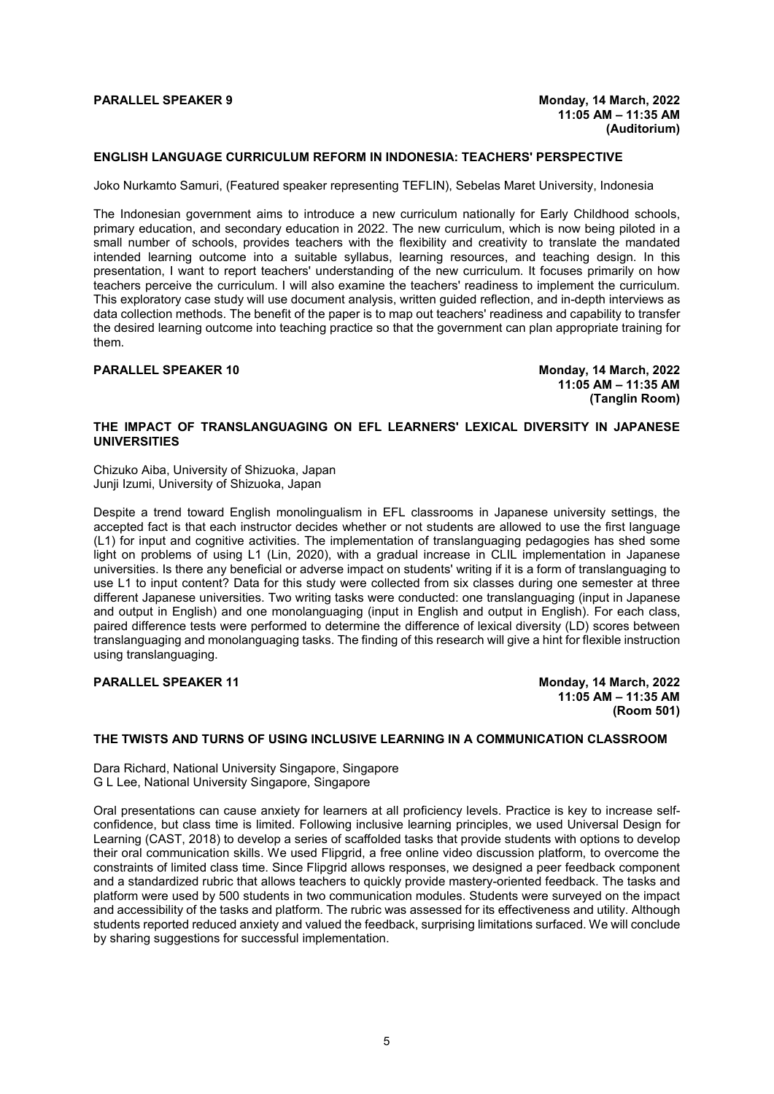# **PARALLEL SPEAKER 9 Monday, 14 March, 2022**

## **ENGLISH LANGUAGE CURRICULUM REFORM IN INDONESIA: TEACHERS' PERSPECTIVE**

Joko Nurkamto Samuri, (Featured speaker representing TEFLIN), Sebelas Maret University, Indonesia

The Indonesian government aims to introduce a new curriculum nationally for Early Childhood schools, primary education, and secondary education in 2022. The new curriculum, which is now being piloted in a small number of schools, provides teachers with the flexibility and creativity to translate the mandated intended learning outcome into a suitable syllabus, learning resources, and teaching design. In this presentation, I want to report teachers' understanding of the new curriculum. It focuses primarily on how teachers perceive the curriculum. I will also examine the teachers' readiness to implement the curriculum. This exploratory case study will use document analysis, written guided reflection, and in-depth interviews as data collection methods. The benefit of the paper is to map out teachers' readiness and capability to transfer the desired learning outcome into teaching practice so that the government can plan appropriate training for them.

**PARALLEL SPEAKER 10 Monday, 14 March, 2022 11:05 AM – 11:35 AM (Tanglin Room)**

# **THE IMPACT OF TRANSLANGUAGING ON EFL LEARNERS' LEXICAL DIVERSITY IN JAPANESE UNIVERSITIES**

Chizuko Aiba, University of Shizuoka, Japan Junji Izumi, University of Shizuoka, Japan

Despite a trend toward English monolingualism in EFL classrooms in Japanese university settings, the accepted fact is that each instructor decides whether or not students are allowed to use the first language (L1) for input and cognitive activities. The implementation of translanguaging pedagogies has shed some light on problems of using L1 (Lin, 2020), with a gradual increase in CLIL implementation in Japanese universities. Is there any beneficial or adverse impact on students' writing if it is a form of translanguaging to use L1 to input content? Data for this study were collected from six classes during one semester at three different Japanese universities. Two writing tasks were conducted: one translanguaging (input in Japanese and output in English) and one monolanguaging (input in English and output in English). For each class, paired difference tests were performed to determine the difference of lexical diversity (LD) scores between translanguaging and monolanguaging tasks. The finding of this research will give a hint for flexible instruction using translanguaging.

### **PARALLEL SPEAKER 11 Monday, 14 March, 2022**

**11:05 AM – 11:35 AM (Room 501)**

# **THE TWISTS AND TURNS OF USING INCLUSIVE LEARNING IN A COMMUNICATION CLASSROOM**

Dara Richard, National University Singapore, Singapore G L Lee, National University Singapore, Singapore

Oral presentations can cause anxiety for learners at all proficiency levels. Practice is key to increase selfconfidence, but class time is limited. Following inclusive learning principles, we used Universal Design for Learning (CAST, 2018) to develop a series of scaffolded tasks that provide students with options to develop their oral communication skills. We used Flipgrid, a free online video discussion platform, to overcome the constraints of limited class time. Since Flipgrid allows responses, we designed a peer feedback component and a standardized rubric that allows teachers to quickly provide mastery-oriented feedback. The tasks and platform were used by 500 students in two communication modules. Students were surveyed on the impact and accessibility of the tasks and platform. The rubric was assessed for its effectiveness and utility. Although students reported reduced anxiety and valued the feedback, surprising limitations surfaced. We will conclude by sharing suggestions for successful implementation.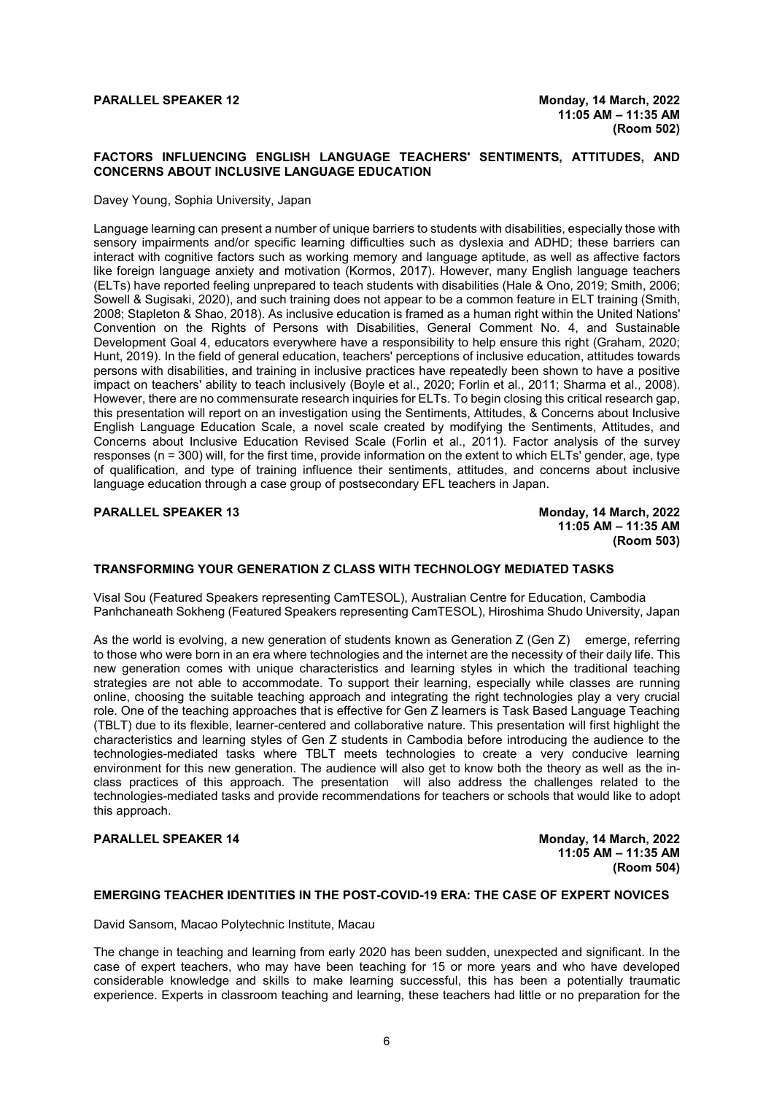# **PARALLEL SPEAKER 12 Monday, 14 March, 2022**

# **FACTORS INFLUENCING ENGLISH LANGUAGE TEACHERS' SENTIMENTS, ATTITUDES, AND CONCERNS ABOUT INCLUSIVE LANGUAGE EDUCATION**

### Davey Young, Sophia University, Japan

Language learning can present a number of unique barriers to students with disabilities, especially those with sensory impairments and/or specific learning difficulties such as dyslexia and ADHD; these barriers can interact with cognitive factors such as working memory and language aptitude, as well as affective factors like foreign language anxiety and motivation (Kormos, 2017). However, many English language teachers (ELTs) have reported feeling unprepared to teach students with disabilities (Hale & Ono, 2019; Smith, 2006; Sowell & Sugisaki, 2020), and such training does not appear to be a common feature in ELT training (Smith, 2008; Stapleton & Shao, 2018). As inclusive education is framed as a human right within the United Nations' Convention on the Rights of Persons with Disabilities, General Comment No. 4, and Sustainable Development Goal 4, educators everywhere have a responsibility to help ensure this right (Graham, 2020; Hunt, 2019). In the field of general education, teachers' perceptions of inclusive education, attitudes towards persons with disabilities, and training in inclusive practices have repeatedly been shown to have a positive impact on teachers' ability to teach inclusively (Boyle et al., 2020; Forlin et al., 2011; Sharma et al., 2008). However, there are no commensurate research inquiries for ELTs. To begin closing this critical research gap, this presentation will report on an investigation using the Sentiments, Attitudes, & Concerns about Inclusive English Language Education Scale, a novel scale created by modifying the Sentiments, Attitudes, and Concerns about Inclusive Education Revised Scale (Forlin et al., 2011). Factor analysis of the survey responses (n = 300) will, for the first time, provide information on the extent to which ELTs' gender, age, type of qualification, and type of training influence their sentiments, attitudes, and concerns about inclusive language education through a case group of postsecondary EFL teachers in Japan.

**PARALLEL SPEAKER 13 Monday, 14 March, 2022 11:05 AM – 11:35 AM (Room 503)**

### **TRANSFORMING YOUR GENERATION Z CLASS WITH TECHNOLOGY MEDIATED TASKS**

Visal Sou (Featured Speakers representing CamTESOL), Australian Centre for Education, Cambodia Panhchaneath Sokheng (Featured Speakers representing CamTESOL), Hiroshima Shudo University, Japan

As the world is evolving, a new generation of students known as Generation Z (Gen Z) emerge, referring to those who were born in an era where technologies and the internet are the necessity of their daily life. This new generation comes with unique characteristics and learning styles in which the traditional teaching strategies are not able to accommodate. To support their learning, especially while classes are running online, choosing the suitable teaching approach and integrating the right technologies play a very crucial role. One of the teaching approaches that is effective for Gen Z learners is Task Based Language Teaching (TBLT) due to its flexible, learner-centered and collaborative nature. This presentation will first highlight the characteristics and learning styles of Gen Z students in Cambodia before introducing the audience to the technologies-mediated tasks where TBLT meets technologies to create a very conducive learning environment for this new generation. The audience will also get to know both the theory as well as the inclass practices of this approach. The presentation will also address the challenges related to the technologies-mediated tasks and provide recommendations for teachers or schools that would like to adopt this approach.

# **PARALLEL SPEAKER 14 Monday, 14 March, 2022**

**11:05 AM – 11:35 AM (Room 504)**

# **EMERGING TEACHER IDENTITIES IN THE POST-COVID-19 ERA: THE CASE OF EXPERT NOVICES**

David Sansom, Macao Polytechnic Institute, Macau

The change in teaching and learning from early 2020 has been sudden, unexpected and significant. In the case of expert teachers, who may have been teaching for 15 or more years and who have developed considerable knowledge and skills to make learning successful, this has been a potentially traumatic experience. Experts in classroom teaching and learning, these teachers had little or no preparation for the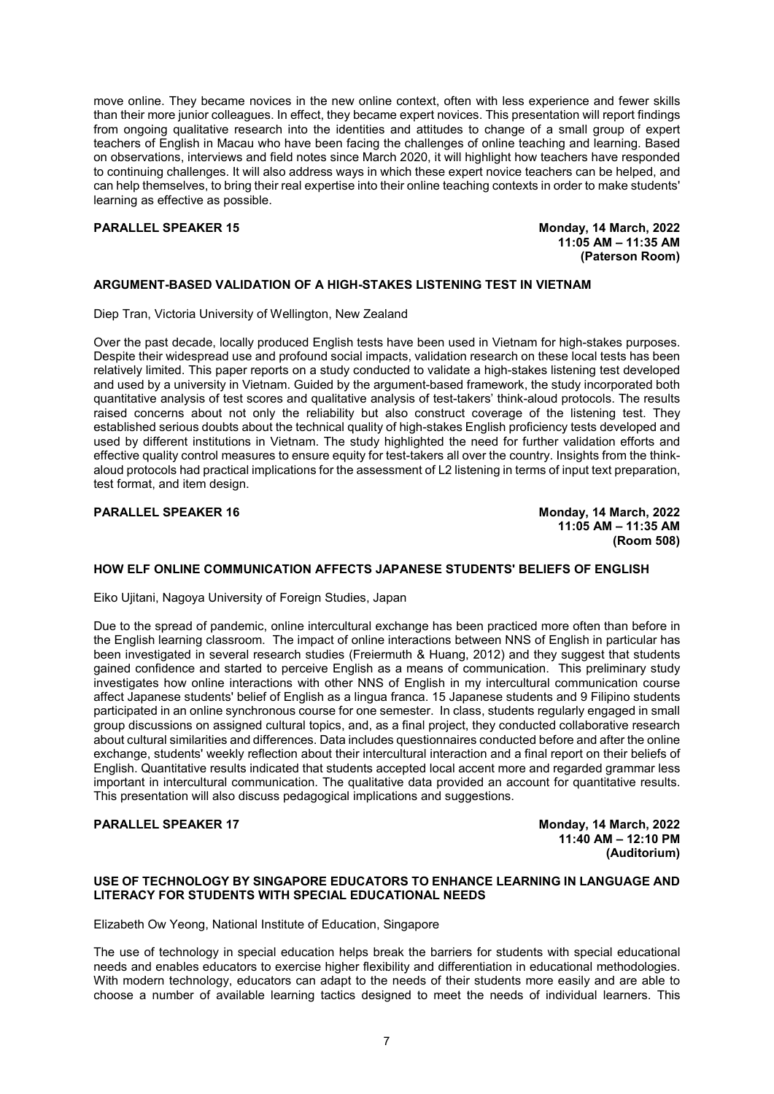move online. They became novices in the new online context, often with less experience and fewer skills than their more junior colleagues. In effect, they became expert novices. This presentation will report findings from ongoing qualitative research into the identities and attitudes to change of a small group of expert teachers of English in Macau who have been facing the challenges of online teaching and learning. Based on observations, interviews and field notes since March 2020, it will highlight how teachers have responded to continuing challenges. It will also address ways in which these expert novice teachers can be helped, and can help themselves, to bring their real expertise into their online teaching contexts in order to make students' learning as effective as possible.

# **PARALLEL SPEAKER 15 Monday, 14 March, 2022**

**11:05 AM – 11:35 AM (Paterson Room)**

# **ARGUMENT-BASED VALIDATION OF A HIGH-STAKES LISTENING TEST IN VIETNAM**

Diep Tran, Victoria University of Wellington, New Zealand

Over the past decade, locally produced English tests have been used in Vietnam for high-stakes purposes. Despite their widespread use and profound social impacts, validation research on these local tests has been relatively limited. This paper reports on a study conducted to validate a high-stakes listening test developed and used by a university in Vietnam. Guided by the argument-based framework, the study incorporated both quantitative analysis of test scores and qualitative analysis of test-takers' think-aloud protocols. The results raised concerns about not only the reliability but also construct coverage of the listening test. They established serious doubts about the technical quality of high-stakes English proficiency tests developed and used by different institutions in Vietnam. The study highlighted the need for further validation efforts and effective quality control measures to ensure equity for test-takers all over the country. Insights from the thinkaloud protocols had practical implications for the assessment of L2 listening in terms of input text preparation, test format, and item design.

**PARALLEL SPEAKER 16 Monday, 14 March, 2022 11:05 AM – 11:35 AM (Room 508)**

### **HOW ELF ONLINE COMMUNICATION AFFECTS JAPANESE STUDENTS' BELIEFS OF ENGLISH**

Eiko Ujitani, Nagoya University of Foreign Studies, Japan

Due to the spread of pandemic, online intercultural exchange has been practiced more often than before in the English learning classroom. The impact of online interactions between NNS of English in particular has been investigated in several research studies (Freiermuth & Huang, 2012) and they suggest that students gained confidence and started to perceive English as a means of communication. This preliminary study investigates how online interactions with other NNS of English in my intercultural communication course affect Japanese students' belief of English as a lingua franca. 15 Japanese students and 9 Filipino students participated in an online synchronous course for one semester. In class, students regularly engaged in small group discussions on assigned cultural topics, and, as a final project, they conducted collaborative research about cultural similarities and differences. Data includes questionnaires conducted before and after the online exchange, students' weekly reflection about their intercultural interaction and a final report on their beliefs of English. Quantitative results indicated that students accepted local accent more and regarded grammar less important in intercultural communication. The qualitative data provided an account for quantitative results. This presentation will also discuss pedagogical implications and suggestions.

**PARALLEL SPEAKER 17 Monday, 14 March, 2022 11:40 AM – 12:10 PM (Auditorium)**

# **USE OF TECHNOLOGY BY SINGAPORE EDUCATORS TO ENHANCE LEARNING IN LANGUAGE AND LITERACY FOR STUDENTS WITH SPECIAL EDUCATIONAL NEEDS**

Elizabeth Ow Yeong, National Institute of Education, Singapore

The use of technology in special education helps break the barriers for students with special educational needs and enables educators to exercise higher flexibility and differentiation in educational methodologies. With modern technology, educators can adapt to the needs of their students more easily and are able to choose a number of available learning tactics designed to meet the needs of individual learners. This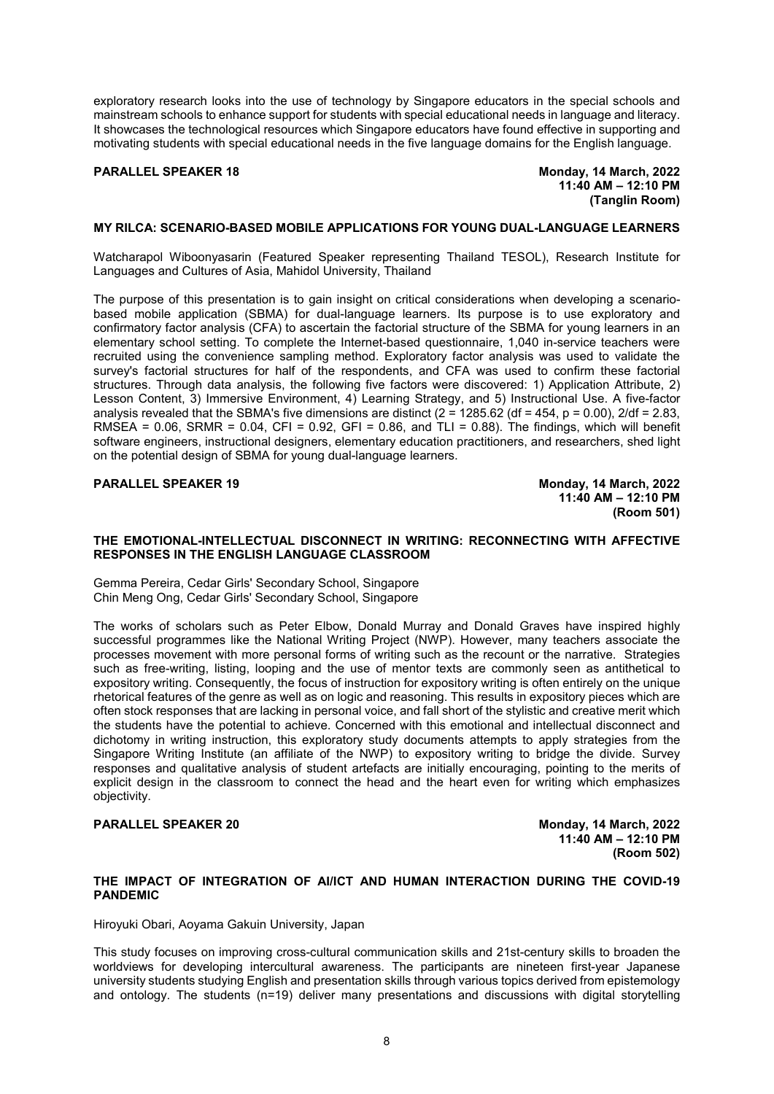exploratory research looks into the use of technology by Singapore educators in the special schools and mainstream schools to enhance support for students with special educational needs in language and literacy. It showcases the technological resources which Singapore educators have found effective in supporting and motivating students with special educational needs in the five language domains for the English language.

# **PARALLEL SPEAKER 18 Monday, 14 March, 2022**

**11:40 AM – 12:10 PM (Tanglin Room)**

# **MY RILCA: SCENARIO-BASED MOBILE APPLICATIONS FOR YOUNG DUAL-LANGUAGE LEARNERS**

Watcharapol Wiboonyasarin (Featured Speaker representing Thailand TESOL), Research Institute for Languages and Cultures of Asia, Mahidol University, Thailand

The purpose of this presentation is to gain insight on critical considerations when developing a scenariobased mobile application (SBMA) for dual-language learners. Its purpose is to use exploratory and confirmatory factor analysis (CFA) to ascertain the factorial structure of the SBMA for young learners in an elementary school setting. To complete the Internet-based questionnaire, 1,040 in-service teachers were recruited using the convenience sampling method. Exploratory factor analysis was used to validate the survey's factorial structures for half of the respondents, and CFA was used to confirm these factorial structures. Through data analysis, the following five factors were discovered: 1) Application Attribute, 2) Lesson Content, 3) Immersive Environment, 4) Learning Strategy, and 5) Instructional Use. A five-factor analysis revealed that the SBMA's five dimensions are distinct ( $2 = 1285.62$  (df = 454, p = 0.00),  $2$ /df = 2.83, RMSEA =  $0.06$ , SRMR =  $0.04$ , CFI =  $0.92$ , GFI =  $0.86$ , and TLI =  $0.88$ ). The findings, which will benefit software engineers, instructional designers, elementary education practitioners, and researchers, shed light on the potential design of SBMA for young dual-language learners.

# **PARALLEL SPEAKER 19 Monday, 14 March, 2022**

**11:40 AM – 12:10 PM (Room 501)**

# **THE EMOTIONAL-INTELLECTUAL DISCONNECT IN WRITING: RECONNECTING WITH AFFECTIVE RESPONSES IN THE ENGLISH LANGUAGE CLASSROOM**

Gemma Pereira, Cedar Girls' Secondary School, Singapore Chin Meng Ong, Cedar Girls' Secondary School, Singapore

The works of scholars such as Peter Elbow, Donald Murray and Donald Graves have inspired highly successful programmes like the National Writing Project (NWP). However, many teachers associate the processes movement with more personal forms of writing such as the recount or the narrative. Strategies such as free-writing, listing, looping and the use of mentor texts are commonly seen as antithetical to expository writing. Consequently, the focus of instruction for expository writing is often entirely on the unique rhetorical features of the genre as well as on logic and reasoning. This results in expository pieces which are often stock responses that are lacking in personal voice, and fall short of the stylistic and creative merit which the students have the potential to achieve. Concerned with this emotional and intellectual disconnect and dichotomy in writing instruction, this exploratory study documents attempts to apply strategies from the Singapore Writing Institute (an affiliate of the NWP) to expository writing to bridge the divide. Survey responses and qualitative analysis of student artefacts are initially encouraging, pointing to the merits of explicit design in the classroom to connect the head and the heart even for writing which emphasizes objectivity.

**PARALLEL SPEAKER 20 Monday, 14 March, 2022 11:40 AM – 12:10 PM (Room 502)**

# **THE IMPACT OF INTEGRATION OF AI/ICT AND HUMAN INTERACTION DURING THE COVID-19 PANDEMIC**

Hiroyuki Obari, Aoyama Gakuin University, Japan

This study focuses on improving cross-cultural communication skills and 21st-century skills to broaden the worldviews for developing intercultural awareness. The participants are nineteen first-year Japanese university students studying English and presentation skills through various topics derived from epistemology and ontology. The students (n=19) deliver many presentations and discussions with digital storytelling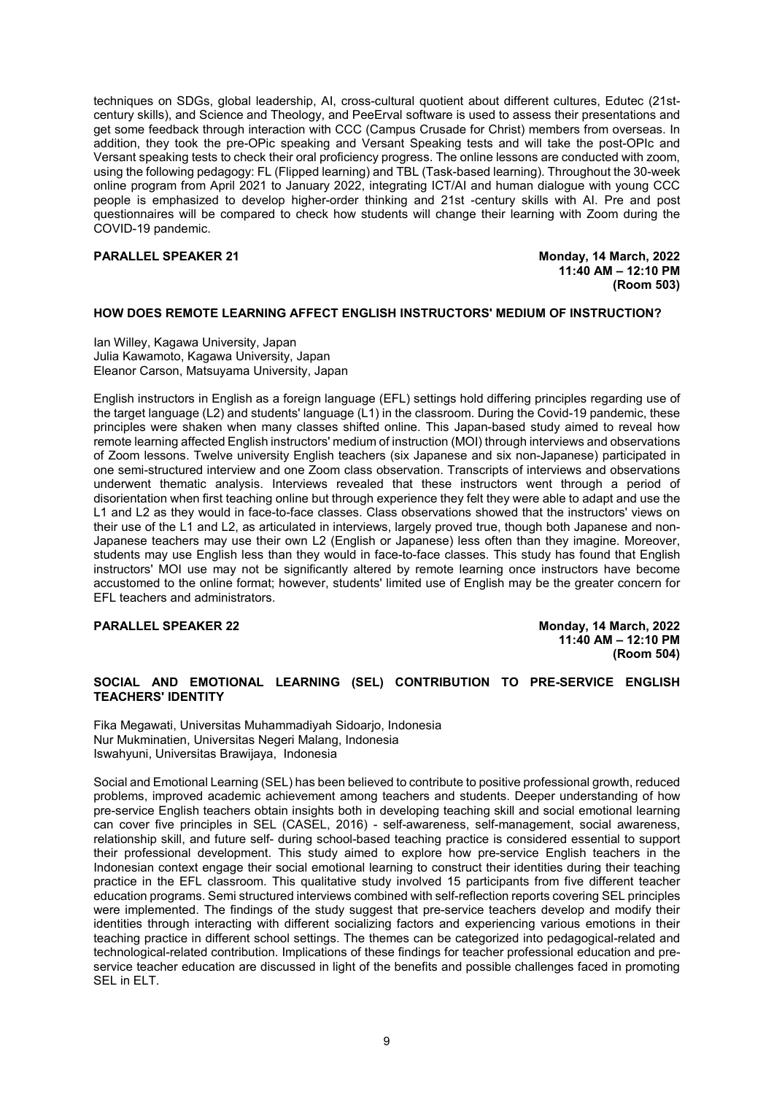techniques on SDGs, global leadership, AI, cross-cultural quotient about different cultures, Edutec (21stcentury skills), and Science and Theology, and PeeErval software is used to assess their presentations and get some feedback through interaction with CCC (Campus Crusade for Christ) members from overseas. In addition, they took the pre-OPic speaking and Versant Speaking tests and will take the post-OPIc and Versant speaking tests to check their oral proficiency progress. The online lessons are conducted with zoom, using the following pedagogy: FL (Flipped learning) and TBL (Task-based learning). Throughout the 30-week online program from April 2021 to January 2022, integrating ICT/AI and human dialogue with young CCC people is emphasized to develop higher-order thinking and 21st -century skills with AI. Pre and post questionnaires will be compared to check how students will change their learning with Zoom during the COVID-19 pandemic.

# **PARALLEL SPEAKER 21 Monday, 14 March, 2022**

**11:40 AM – 12:10 PM (Room 503)**

# **HOW DOES REMOTE LEARNING AFFECT ENGLISH INSTRUCTORS' MEDIUM OF INSTRUCTION?**

Ian Willey, Kagawa University, Japan Julia Kawamoto, Kagawa University, Japan Eleanor Carson, Matsuyama University, Japan

English instructors in English as a foreign language (EFL) settings hold differing principles regarding use of the target language (L2) and students' language (L1) in the classroom. During the Covid-19 pandemic, these principles were shaken when many classes shifted online. This Japan-based study aimed to reveal how remote learning affected English instructors' medium of instruction (MOI) through interviews and observations of Zoom lessons. Twelve university English teachers (six Japanese and six non-Japanese) participated in one semi-structured interview and one Zoom class observation. Transcripts of interviews and observations underwent thematic analysis. Interviews revealed that these instructors went through a period of disorientation when first teaching online but through experience they felt they were able to adapt and use the L1 and L2 as they would in face-to-face classes. Class observations showed that the instructors' views on their use of the L1 and L2, as articulated in interviews, largely proved true, though both Japanese and non-Japanese teachers may use their own L2 (English or Japanese) less often than they imagine. Moreover, students may use English less than they would in face-to-face classes. This study has found that English instructors' MOI use may not be significantly altered by remote learning once instructors have become accustomed to the online format; however, students' limited use of English may be the greater concern for EFL teachers and administrators.

### **PARALLEL SPEAKER 22 Monday, 14 March, 2022**

**11:40 AM – 12:10 PM (Room 504)**

# **SOCIAL AND EMOTIONAL LEARNING (SEL) CONTRIBUTION TO PRE-SERVICE ENGLISH TEACHERS' IDENTITY**

Fika Megawati, Universitas Muhammadiyah Sidoarjo, Indonesia Nur Mukminatien, Universitas Negeri Malang, Indonesia Iswahyuni, Universitas Brawijaya, Indonesia

Social and Emotional Learning (SEL) has been believed to contribute to positive professional growth, reduced problems, improved academic achievement among teachers and students. Deeper understanding of how pre-service English teachers obtain insights both in developing teaching skill and social emotional learning can cover five principles in SEL (CASEL, 2016) - self-awareness, self-management, social awareness, relationship skill, and future self- during school-based teaching practice is considered essential to support their professional development. This study aimed to explore how pre-service English teachers in the Indonesian context engage their social emotional learning to construct their identities during their teaching practice in the EFL classroom. This qualitative study involved 15 participants from five different teacher education programs. Semi structured interviews combined with self-reflection reports covering SEL principles were implemented. The findings of the study suggest that pre-service teachers develop and modify their identities through interacting with different socializing factors and experiencing various emotions in their teaching practice in different school settings. The themes can be categorized into pedagogical-related and technological-related contribution. Implications of these findings for teacher professional education and preservice teacher education are discussed in light of the benefits and possible challenges faced in promoting SEL in ELT.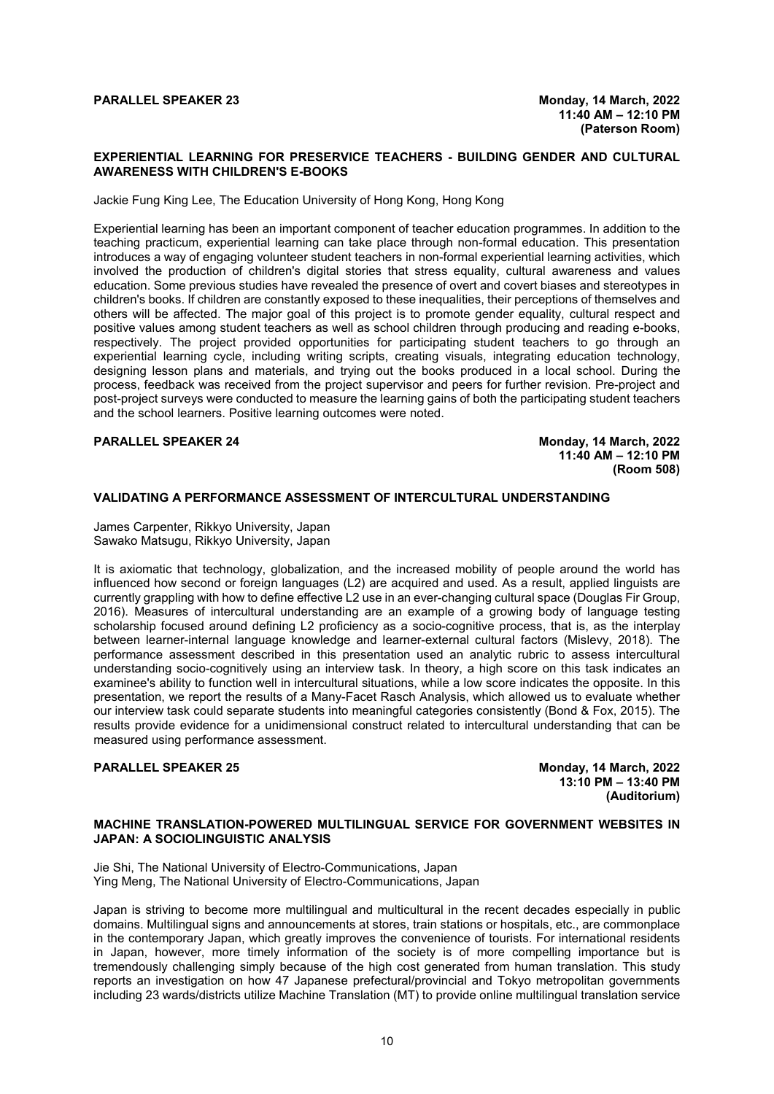# **PARALLEL SPEAKER 23 Monday, 14 March, 2022**

# **EXPERIENTIAL LEARNING FOR PRESERVICE TEACHERS - BUILDING GENDER AND CULTURAL AWARENESS WITH CHILDREN'S E-BOOKS**

Jackie Fung King Lee, The Education University of Hong Kong, Hong Kong

Experiential learning has been an important component of teacher education programmes. In addition to the teaching practicum, experiential learning can take place through non-formal education. This presentation introduces a way of engaging volunteer student teachers in non-formal experiential learning activities, which involved the production of children's digital stories that stress equality, cultural awareness and values education. Some previous studies have revealed the presence of overt and covert biases and stereotypes in children's books. If children are constantly exposed to these inequalities, their perceptions of themselves and others will be affected. The major goal of this project is to promote gender equality, cultural respect and positive values among student teachers as well as school children through producing and reading e-books, respectively. The project provided opportunities for participating student teachers to go through an experiential learning cycle, including writing scripts, creating visuals, integrating education technology, designing lesson plans and materials, and trying out the books produced in a local school. During the process, feedback was received from the project supervisor and peers for further revision. Pre-project and post-project surveys were conducted to measure the learning gains of both the participating student teachers and the school learners. Positive learning outcomes were noted.

# **PARALLEL SPEAKER 24 Monday, 14 March, 2022**

**11:40 AM – 12:10 PM (Room 508)**

# **VALIDATING A PERFORMANCE ASSESSMENT OF INTERCULTURAL UNDERSTANDING**

James Carpenter, Rikkyo University, Japan Sawako Matsugu, Rikkyo University, Japan

It is axiomatic that technology, globalization, and the increased mobility of people around the world has influenced how second or foreign languages (L2) are acquired and used. As a result, applied linguists are currently grappling with how to define effective L2 use in an ever-changing cultural space (Douglas Fir Group, 2016). Measures of intercultural understanding are an example of a growing body of language testing scholarship focused around defining L2 proficiency as a socio-cognitive process, that is, as the interplay between learner-internal language knowledge and learner-external cultural factors (Mislevy, 2018). The performance assessment described in this presentation used an analytic rubric to assess intercultural understanding socio-cognitively using an interview task. In theory, a high score on this task indicates an examinee's ability to function well in intercultural situations, while a low score indicates the opposite. In this presentation, we report the results of a Many-Facet Rasch Analysis, which allowed us to evaluate whether our interview task could separate students into meaningful categories consistently (Bond & Fox, 2015). The results provide evidence for a unidimensional construct related to intercultural understanding that can be measured using performance assessment.

# **PARALLEL SPEAKER 25 Monday, 14 March, 2022**

**13:10 PM – 13:40 PM (Auditorium)**

### **MACHINE TRANSLATION-POWERED MULTILINGUAL SERVICE FOR GOVERNMENT WEBSITES IN JAPAN: A SOCIOLINGUISTIC ANALYSIS**

Jie Shi, The National University of Electro-Communications, Japan Ying Meng, The National University of Electro-Communications, Japan

Japan is striving to become more multilingual and multicultural in the recent decades especially in public domains. Multilingual signs and announcements at stores, train stations or hospitals, etc., are commonplace in the contemporary Japan, which greatly improves the convenience of tourists. For international residents in Japan, however, more timely information of the society is of more compelling importance but is tremendously challenging simply because of the high cost generated from human translation. This study reports an investigation on how 47 Japanese prefectural/provincial and Tokyo metropolitan governments including 23 wards/districts utilize Machine Translation (MT) to provide online multilingual translation service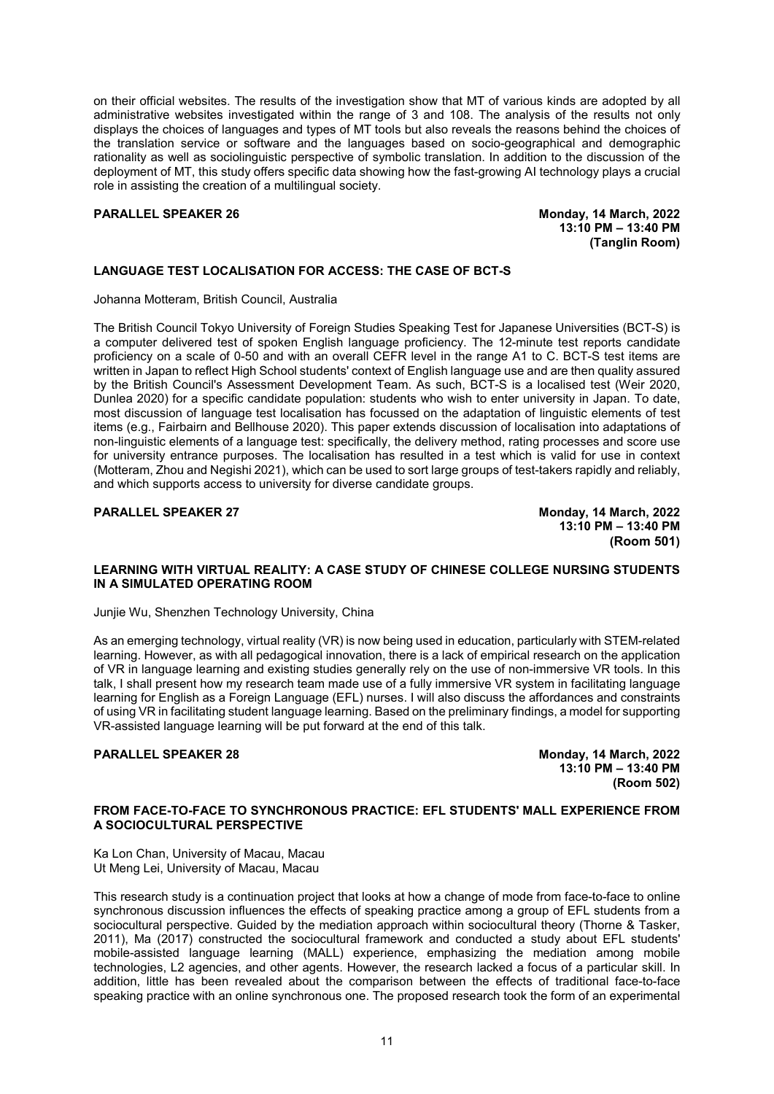on their official websites. The results of the investigation show that MT of various kinds are adopted by all administrative websites investigated within the range of 3 and 108. The analysis of the results not only displays the choices of languages and types of MT tools but also reveals the reasons behind the choices of the translation service or software and the languages based on socio-geographical and demographic rationality as well as sociolinguistic perspective of symbolic translation. In addition to the discussion of the deployment of MT, this study offers specific data showing how the fast-growing AI technology plays a crucial role in assisting the creation of a multilingual society.

# **PARALLEL SPEAKER 26 Monday, 14 March, 2022**

**13:10 PM – 13:40 PM (Tanglin Room)**

# **LANGUAGE TEST LOCALISATION FOR ACCESS: THE CASE OF BCT-S**

Johanna Motteram, British Council, Australia

The British Council Tokyo University of Foreign Studies Speaking Test for Japanese Universities (BCT-S) is a computer delivered test of spoken English language proficiency. The 12-minute test reports candidate proficiency on a scale of 0-50 and with an overall CEFR level in the range A1 to C. BCT-S test items are written in Japan to reflect High School students' context of English language use and are then quality assured by the British Council's Assessment Development Team. As such, BCT-S is a localised test (Weir 2020, Dunlea 2020) for a specific candidate population: students who wish to enter university in Japan. To date, most discussion of language test localisation has focussed on the adaptation of linguistic elements of test items (e.g., Fairbairn and Bellhouse 2020). This paper extends discussion of localisation into adaptations of non-linguistic elements of a language test: specifically, the delivery method, rating processes and score use for university entrance purposes. The localisation has resulted in a test which is valid for use in context (Motteram, Zhou and Negishi 2021), which can be used to sort large groups of test-takers rapidly and reliably, and which supports access to university for diverse candidate groups.

**PARALLEL SPEAKER 27 Monday, 14 March, 2022 13:10 PM – 13:40 PM (Room 501)**

# **LEARNING WITH VIRTUAL REALITY: A CASE STUDY OF CHINESE COLLEGE NURSING STUDENTS IN A SIMULATED OPERATING ROOM**

Junjie Wu, Shenzhen Technology University, China

As an emerging technology, virtual reality (VR) is now being used in education, particularly with STEM-related learning. However, as with all pedagogical innovation, there is a lack of empirical research on the application of VR in language learning and existing studies generally rely on the use of non-immersive VR tools. In this talk, I shall present how my research team made use of a fully immersive VR system in facilitating language learning for English as a Foreign Language (EFL) nurses. I will also discuss the affordances and constraints of using VR in facilitating student language learning. Based on the preliminary findings, a model for supporting VR-assisted language learning will be put forward at the end of this talk.

### **PARALLEL SPEAKER 28 Monday, 14 March, 2022**

**13:10 PM – 13:40 PM (Room 502)**

# **FROM FACE-TO-FACE TO SYNCHRONOUS PRACTICE: EFL STUDENTS' MALL EXPERIENCE FROM A SOCIOCULTURAL PERSPECTIVE**

Ka Lon Chan, University of Macau, Macau Ut Meng Lei, University of Macau, Macau

This research study is a continuation project that looks at how a change of mode from face-to-face to online synchronous discussion influences the effects of speaking practice among a group of EFL students from a sociocultural perspective. Guided by the mediation approach within sociocultural theory (Thorne & Tasker, 2011), Ma (2017) constructed the sociocultural framework and conducted a study about EFL students' mobile-assisted language learning (MALL) experience, emphasizing the mediation among mobile technologies, L2 agencies, and other agents. However, the research lacked a focus of a particular skill. In addition, little has been revealed about the comparison between the effects of traditional face-to-face speaking practice with an online synchronous one. The proposed research took the form of an experimental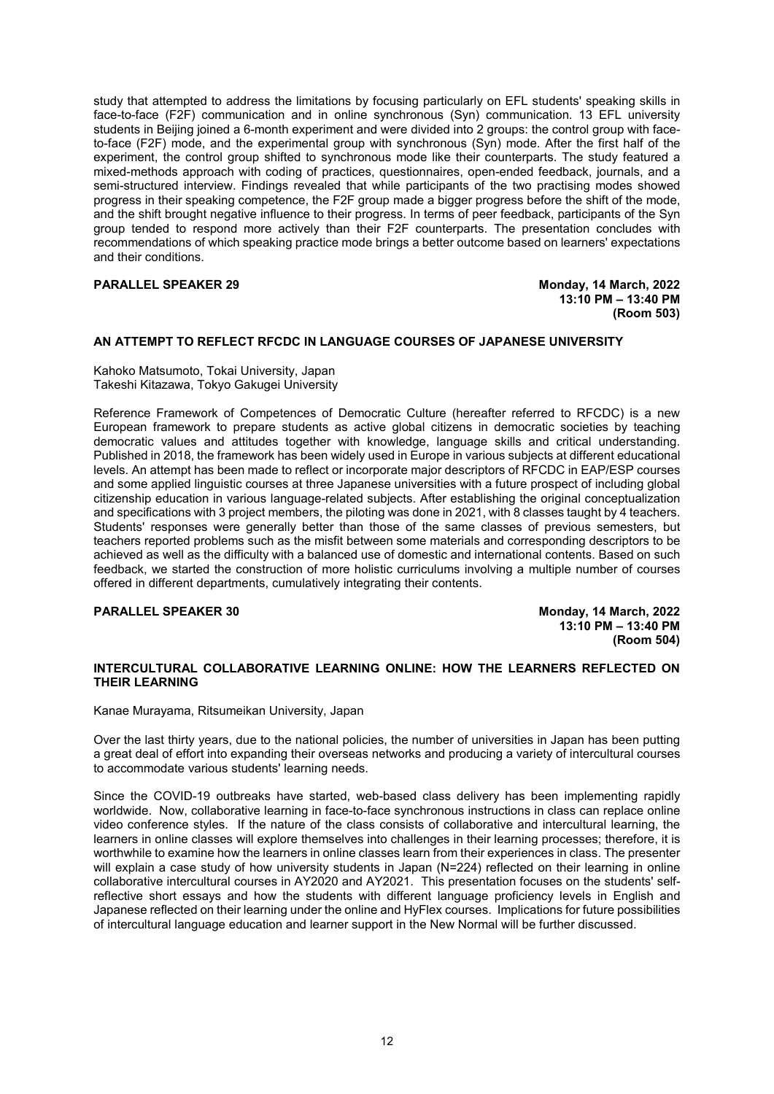study that attempted to address the limitations by focusing particularly on EFL students' speaking skills in face-to-face (F2F) communication and in online synchronous (Syn) communication. 13 EFL university students in Beijing joined a 6-month experiment and were divided into 2 groups: the control group with faceto-face (F2F) mode, and the experimental group with synchronous (Syn) mode. After the first half of the experiment, the control group shifted to synchronous mode like their counterparts. The study featured a mixed-methods approach with coding of practices, questionnaires, open-ended feedback, journals, and a semi-structured interview. Findings revealed that while participants of the two practising modes showed progress in their speaking competence, the F2F group made a bigger progress before the shift of the mode, and the shift brought negative influence to their progress. In terms of peer feedback, participants of the Syn group tended to respond more actively than their F2F counterparts. The presentation concludes with recommendations of which speaking practice mode brings a better outcome based on learners' expectations and their conditions.

# **PARALLEL SPEAKER 29 Monday, 14 March, 2022**

**13:10 PM – 13:40 PM (Room 503)**

# **AN ATTEMPT TO REFLECT RFCDC IN LANGUAGE COURSES OF JAPANESE UNIVERSITY**

Kahoko Matsumoto, Tokai University, Japan Takeshi Kitazawa, Tokyo Gakugei University

Reference Framework of Competences of Democratic Culture (hereafter referred to RFCDC) is a new European framework to prepare students as active global citizens in democratic societies by teaching democratic values and attitudes together with knowledge, language skills and critical understanding. Published in 2018, the framework has been widely used in Europe in various subjects at different educational levels. An attempt has been made to reflect or incorporate major descriptors of RFCDC in EAP/ESP courses and some applied linguistic courses at three Japanese universities with a future prospect of including global citizenship education in various language-related subjects. After establishing the original conceptualization and specifications with 3 project members, the piloting was done in 2021, with 8 classes taught by 4 teachers. Students' responses were generally better than those of the same classes of previous semesters, but teachers reported problems such as the misfit between some materials and corresponding descriptors to be achieved as well as the difficulty with a balanced use of domestic and international contents. Based on such feedback, we started the construction of more holistic curriculums involving a multiple number of courses offered in different departments, cumulatively integrating their contents.

### **PARALLEL SPEAKER 30 Monday, 14 March, 2022**

**13:10 PM – 13:40 PM (Room 504)**

# **INTERCULTURAL COLLABORATIVE LEARNING ONLINE: HOW THE LEARNERS REFLECTED ON THEIR LEARNING**

Kanae Murayama, Ritsumeikan University, Japan

Over the last thirty years, due to the national policies, the number of universities in Japan has been putting a great deal of effort into expanding their overseas networks and producing a variety of intercultural courses to accommodate various students' learning needs.

Since the COVID-19 outbreaks have started, web-based class delivery has been implementing rapidly worldwide. Now, collaborative learning in face-to-face synchronous instructions in class can replace online video conference styles. If the nature of the class consists of collaborative and intercultural learning, the learners in online classes will explore themselves into challenges in their learning processes; therefore, it is worthwhile to examine how the learners in online classes learn from their experiences in class. The presenter will explain a case study of how university students in Japan (N=224) reflected on their learning in online collaborative intercultural courses in AY2020 and AY2021. This presentation focuses on the students' selfreflective short essays and how the students with different language proficiency levels in English and Japanese reflected on their learning under the online and HyFlex courses. Implications for future possibilities of intercultural language education and learner support in the New Normal will be further discussed.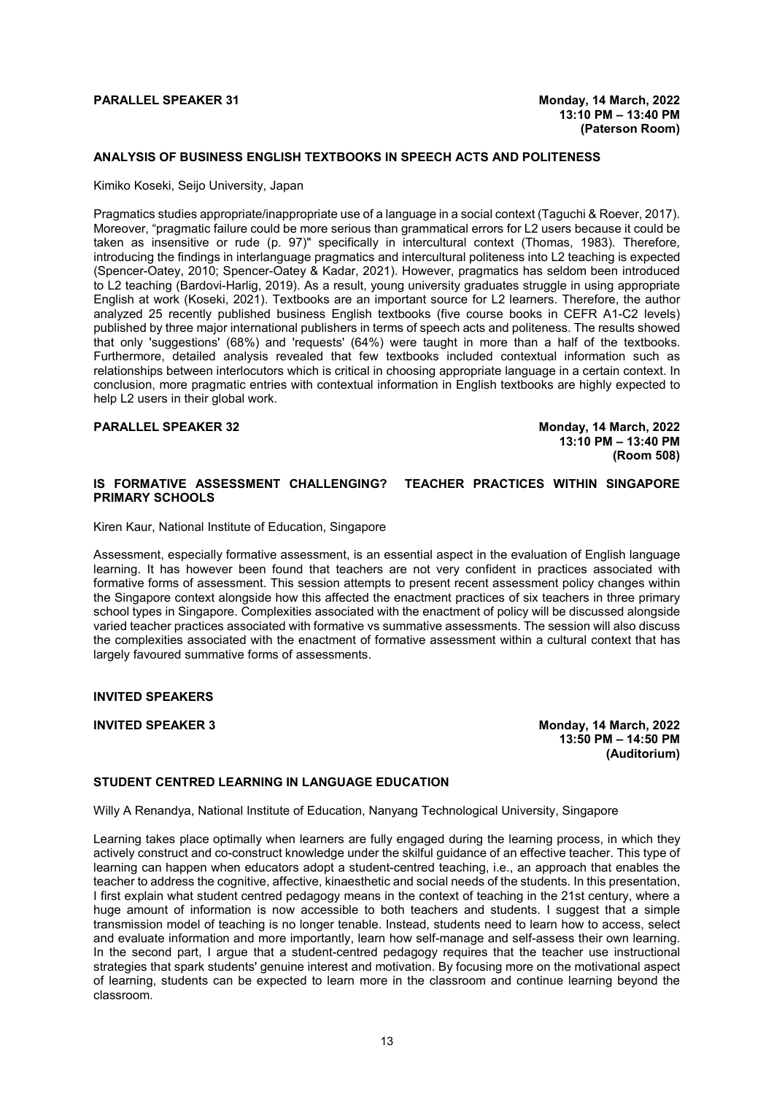# **PARALLEL SPEAKER 31 Monday, 14 March, 2022**

# **ANALYSIS OF BUSINESS ENGLISH TEXTBOOKS IN SPEECH ACTS AND POLITENESS**

Kimiko Koseki, Seijo University, Japan

Pragmatics studies appropriate/inappropriate use of a language in a social context (Taguchi & Roever, 2017). Moreover, "pragmatic failure could be more serious than grammatical errors for L2 users because it could be taken as insensitive or rude (p. 97)" specifically in intercultural context (Thomas, 1983). Therefore, introducing the findings in interlanguage pragmatics and intercultural politeness into L2 teaching is expected (Spencer-Oatey, 2010; Spencer-Oatey & Kadar, 2021). However, pragmatics has seldom been introduced to L2 teaching (Bardovi-Harlig, 2019). As a result, young university graduates struggle in using appropriate English at work (Koseki, 2021). Textbooks are an important source for L2 learners. Therefore, the author analyzed 25 recently published business English textbooks (five course books in CEFR A1-C2 levels) published by three major international publishers in terms of speech acts and politeness. The results showed that only 'suggestions' (68%) and 'requests' (64%) were taught in more than a half of the textbooks. Furthermore, detailed analysis revealed that few textbooks included contextual information such as relationships between interlocutors which is critical in choosing appropriate language in a certain context. In conclusion, more pragmatic entries with contextual information in English textbooks are highly expected to help L2 users in their global work.

**PARALLEL SPEAKER 32 Monday, 14 March, 2022 13:10 PM – 13:40 PM (Room 508)**

# **IS FORMATIVE ASSESSMENT CHALLENGING? TEACHER PRACTICES WITHIN SINGAPORE PRIMARY SCHOOLS**

Kiren Kaur, National Institute of Education, Singapore

Assessment, especially formative assessment, is an essential aspect in the evaluation of English language learning. It has however been found that teachers are not very confident in practices associated with formative forms of assessment. This session attempts to present recent assessment policy changes within the Singapore context alongside how this affected the enactment practices of six teachers in three primary school types in Singapore. Complexities associated with the enactment of policy will be discussed alongside varied teacher practices associated with formative vs summative assessments. The session will also discuss the complexities associated with the enactment of formative assessment within a cultural context that has largely favoured summative forms of assessments.

**INVITED SPEAKERS**

**INVITED SPEAKER 3 Monday, 14 March, 2022 13:50 PM – 14:50 PM (Auditorium)**

# **STUDENT CENTRED LEARNING IN LANGUAGE EDUCATION**

Willy A Renandya, National Institute of Education, Nanyang Technological University, Singapore

Learning takes place optimally when learners are fully engaged during the learning process, in which they actively construct and co-construct knowledge under the skilful guidance of an effective teacher. This type of learning can happen when educators adopt a student-centred teaching, i.e., an approach that enables the teacher to address the cognitive, affective, kinaesthetic and social needs of the students. In this presentation, I first explain what student centred pedagogy means in the context of teaching in the 21st century, where a huge amount of information is now accessible to both teachers and students. I suggest that a simple transmission model of teaching is no longer tenable. Instead, students need to learn how to access, select and evaluate information and more importantly, learn how self-manage and self-assess their own learning. In the second part, I argue that a student-centred pedagogy requires that the teacher use instructional strategies that spark students' genuine interest and motivation. By focusing more on the motivational aspect of learning, students can be expected to learn more in the classroom and continue learning beyond the classroom.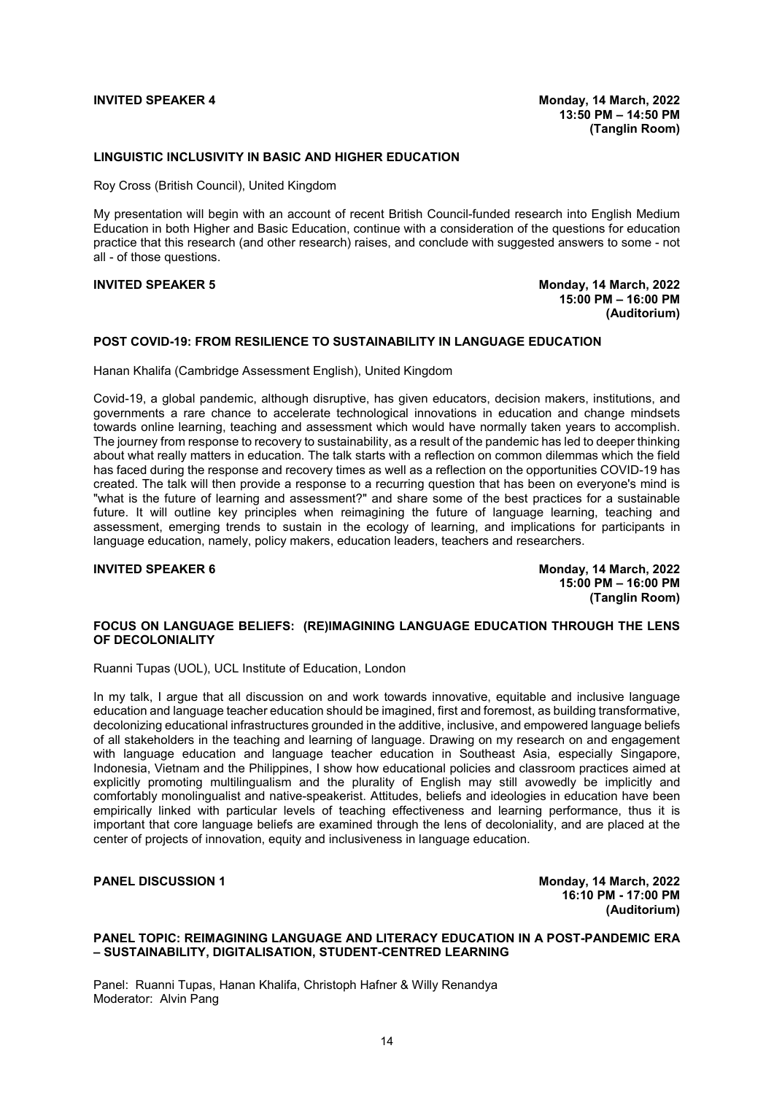# **LINGUISTIC INCLUSIVITY IN BASIC AND HIGHER EDUCATION**

Roy Cross (British Council), United Kingdom

My presentation will begin with an account of recent British Council-funded research into English Medium Education in both Higher and Basic Education, continue with a consideration of the questions for education practice that this research (and other research) raises, and conclude with suggested answers to some - not all - of those questions.

**INVITED SPEAKER 5 Monday, 14 March, 2022 15:00 PM – 16:00 PM (Auditorium)**

# **POST COVID-19: FROM RESILIENCE TO SUSTAINABILITY IN LANGUAGE EDUCATION**

Hanan Khalifa (Cambridge Assessment English), United Kingdom

Covid-19, a global pandemic, although disruptive, has given educators, decision makers, institutions, and governments a rare chance to accelerate technological innovations in education and change mindsets towards online learning, teaching and assessment which would have normally taken years to accomplish. The journey from response to recovery to sustainability, as a result of the pandemic has led to deeper thinking about what really matters in education. The talk starts with a reflection on common dilemmas which the field has faced during the response and recovery times as well as a reflection on the opportunities COVID-19 has created. The talk will then provide a response to a recurring question that has been on everyone's mind is "what is the future of learning and assessment?" and share some of the best practices for a sustainable future. It will outline key principles when reimagining the future of language learning, teaching and assessment, emerging trends to sustain in the ecology of learning, and implications for participants in language education, namely, policy makers, education leaders, teachers and researchers.

**INVITED SPEAKER 6 Monday, 14 March, 2022 15:00 PM – 16:00 PM (Tanglin Room)**

# **FOCUS ON LANGUAGE BELIEFS: (RE)IMAGINING LANGUAGE EDUCATION THROUGH THE LENS OF DECOLONIALITY**

Ruanni Tupas (UOL), UCL Institute of Education, London

In my talk, I argue that all discussion on and work towards innovative, equitable and inclusive language education and language teacher education should be imagined, first and foremost, as building transformative, decolonizing educational infrastructures grounded in the additive, inclusive, and empowered language beliefs of all stakeholders in the teaching and learning of language. Drawing on my research on and engagement with language education and language teacher education in Southeast Asia, especially Singapore, Indonesia, Vietnam and the Philippines, I show how educational policies and classroom practices aimed at explicitly promoting multilingualism and the plurality of English may still avowedly be implicitly and comfortably monolingualist and native-speakerist. Attitudes, beliefs and ideologies in education have been empirically linked with particular levels of teaching effectiveness and learning performance, thus it is important that core language beliefs are examined through the lens of decoloniality, and are placed at the center of projects of innovation, equity and inclusiveness in language education.

**PANEL DISCUSSION 1 Monday, 14 March, 2022 16:10 PM - 17:00 PM (Auditorium)**

# **PANEL TOPIC: REIMAGINING LANGUAGE AND LITERACY EDUCATION IN A POST-PANDEMIC ERA – SUSTAINABILITY, DIGITALISATION, STUDENT-CENTRED LEARNING**

Panel: Ruanni Tupas, Hanan Khalifa, Christoph Hafner & Willy Renandya Moderator: Alvin Pang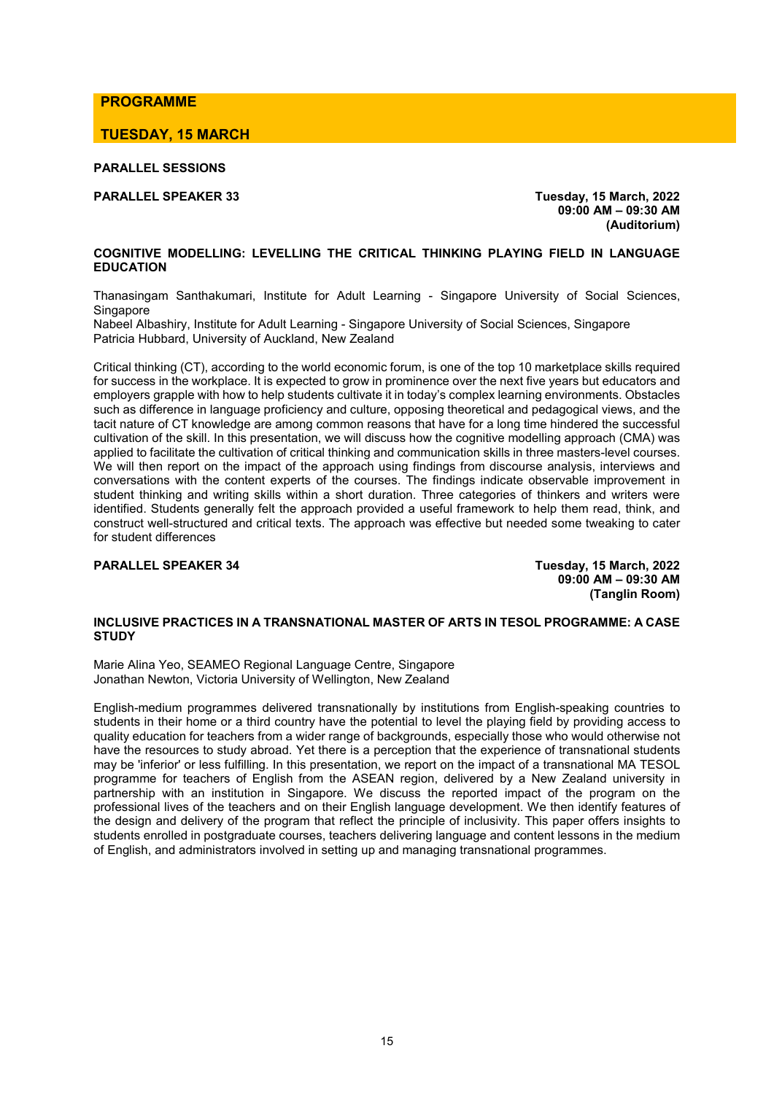**PROGRAMME**

**TUESDAY, 15 MARCH**

**PARALLEL SESSIONS**

**PARALLEL SPEAKER 33 Tuesday, 15 March, 2022 09:00 AM – 09:30 AM (Auditorium)**

# **COGNITIVE MODELLING: LEVELLING THE CRITICAL THINKING PLAYING FIELD IN LANGUAGE EDUCATION**

Thanasingam Santhakumari, Institute for Adult Learning - Singapore University of Social Sciences, Singapore

Nabeel Albashiry, Institute for Adult Learning - Singapore University of Social Sciences, Singapore Patricia Hubbard, University of Auckland, New Zealand

Critical thinking (CT), according to the world economic forum, is one of the top 10 marketplace skills required for success in the workplace. It is expected to grow in prominence over the next five years but educators and employers grapple with how to help students cultivate it in today's complex learning environments. Obstacles such as difference in language proficiency and culture, opposing theoretical and pedagogical views, and the tacit nature of CT knowledge are among common reasons that have for a long time hindered the successful cultivation of the skill. In this presentation, we will discuss how the cognitive modelling approach (CMA) was applied to facilitate the cultivation of critical thinking and communication skills in three masters-level courses. We will then report on the impact of the approach using findings from discourse analysis, interviews and conversations with the content experts of the courses. The findings indicate observable improvement in student thinking and writing skills within a short duration. Three categories of thinkers and writers were identified. Students generally felt the approach provided a useful framework to help them read, think, and construct well-structured and critical texts. The approach was effective but needed some tweaking to cater for student differences

# **PARALLEL SPEAKER 34 Tuesday, 15 March, 2022**

**09:00 AM – 09:30 AM (Tanglin Room)**

# **INCLUSIVE PRACTICES IN A TRANSNATIONAL MASTER OF ARTS IN TESOL PROGRAMME: A CASE STUDY**

Marie Alina Yeo, SEAMEO Regional Language Centre, Singapore Jonathan Newton, Victoria University of Wellington, New Zealand

English-medium programmes delivered transnationally by institutions from English-speaking countries to students in their home or a third country have the potential to level the playing field by providing access to quality education for teachers from a wider range of backgrounds, especially those who would otherwise not have the resources to study abroad. Yet there is a perception that the experience of transnational students may be 'inferior' or less fulfilling. In this presentation, we report on the impact of a transnational MA TESOL programme for teachers of English from the ASEAN region, delivered by a New Zealand university in partnership with an institution in Singapore. We discuss the reported impact of the program on the professional lives of the teachers and on their English language development. We then identify features of the design and delivery of the program that reflect the principle of inclusivity. This paper offers insights to students enrolled in postgraduate courses, teachers delivering language and content lessons in the medium of English, and administrators involved in setting up and managing transnational programmes.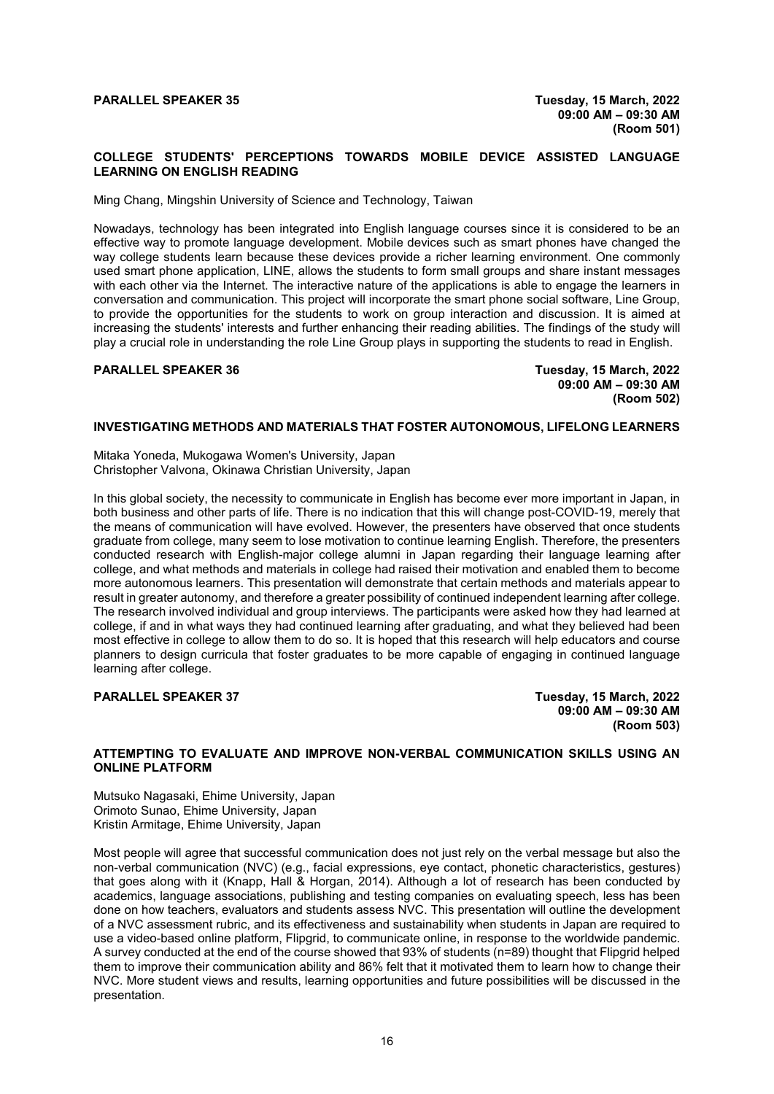# **PARALLEL SPEAKER 35 Tuesday, 15 March, 2022**

# **COLLEGE STUDENTS' PERCEPTIONS TOWARDS MOBILE DEVICE ASSISTED LANGUAGE LEARNING ON ENGLISH READING**

Ming Chang, Mingshin University of Science and Technology, Taiwan

Nowadays, technology has been integrated into English language courses since it is considered to be an effective way to promote language development. Mobile devices such as smart phones have changed the way college students learn because these devices provide a richer learning environment. One commonly used smart phone application, LINE, allows the students to form small groups and share instant messages with each other via the Internet. The interactive nature of the applications is able to engage the learners in conversation and communication. This project will incorporate the smart phone social software, Line Group, to provide the opportunities for the students to work on group interaction and discussion. It is aimed at increasing the students' interests and further enhancing their reading abilities. The findings of the study will play a crucial role in understanding the role Line Group plays in supporting the students to read in English.

**PARALLEL SPEAKER 36 Tuesday, 15 March, 2022 09:00 AM – 09:30 AM (Room 502)**

# **INVESTIGATING METHODS AND MATERIALS THAT FOSTER AUTONOMOUS, LIFELONG LEARNERS**

Mitaka Yoneda, Mukogawa Women's University, Japan Christopher Valvona, Okinawa Christian University, Japan

In this global society, the necessity to communicate in English has become ever more important in Japan, in both business and other parts of life. There is no indication that this will change post-COVID-19, merely that the means of communication will have evolved. However, the presenters have observed that once students graduate from college, many seem to lose motivation to continue learning English. Therefore, the presenters conducted research with English-major college alumni in Japan regarding their language learning after college, and what methods and materials in college had raised their motivation and enabled them to become more autonomous learners. This presentation will demonstrate that certain methods and materials appear to result in greater autonomy, and therefore a greater possibility of continued independent learning after college. The research involved individual and group interviews. The participants were asked how they had learned at college, if and in what ways they had continued learning after graduating, and what they believed had been most effective in college to allow them to do so. It is hoped that this research will help educators and course planners to design curricula that foster graduates to be more capable of engaging in continued language learning after college.

**PARALLEL SPEAKER 37 Tuesday, 15 March, 2022 09:00 AM – 09:30 AM (Room 503)**

# **ATTEMPTING TO EVALUATE AND IMPROVE NON-VERBAL COMMUNICATION SKILLS USING AN ONLINE PLATFORM**

Mutsuko Nagasaki, Ehime University, Japan Orimoto Sunao, Ehime University, Japan Kristin Armitage, Ehime University, Japan

Most people will agree that successful communication does not just rely on the verbal message but also the non-verbal communication (NVC) (e.g., facial expressions, eye contact, phonetic characteristics, gestures) that goes along with it (Knapp, Hall & Horgan, 2014). Although a lot of research has been conducted by academics, language associations, publishing and testing companies on evaluating speech, less has been done on how teachers, evaluators and students assess NVC. This presentation will outline the development of a NVC assessment rubric, and its effectiveness and sustainability when students in Japan are required to use a video-based online platform, Flipgrid, to communicate online, in response to the worldwide pandemic. A survey conducted at the end of the course showed that 93% of students (n=89) thought that Flipgrid helped them to improve their communication ability and 86% felt that it motivated them to learn how to change their NVC. More student views and results, learning opportunities and future possibilities will be discussed in the presentation.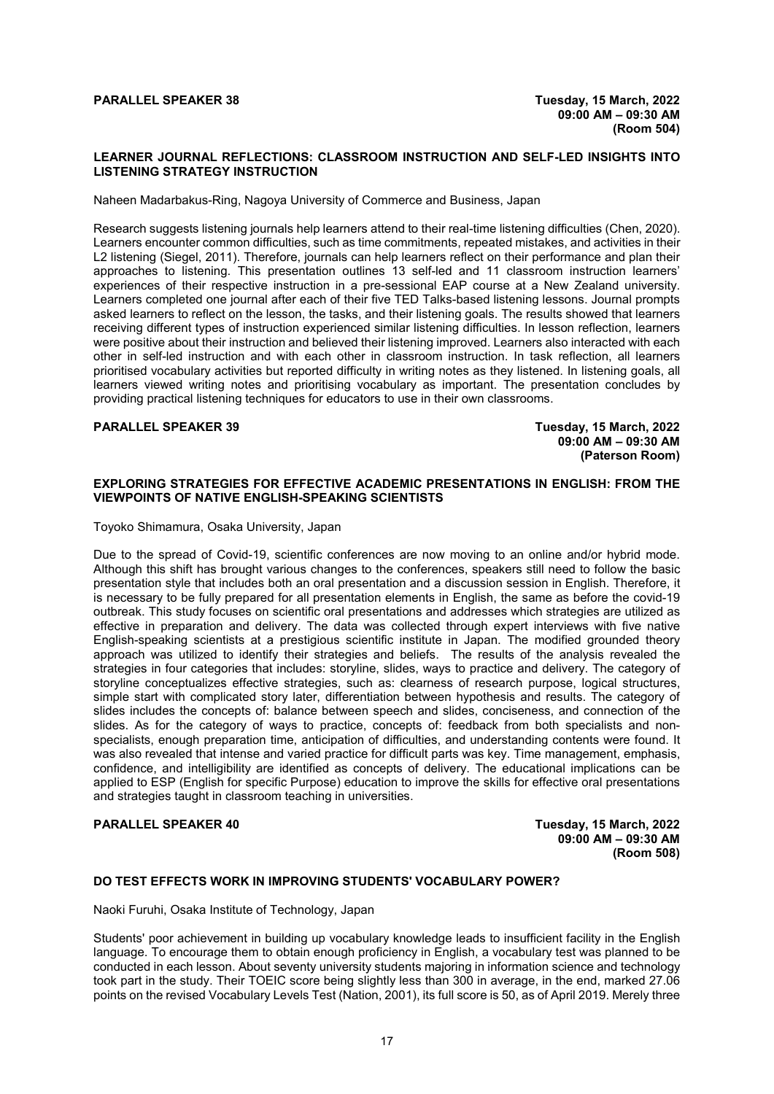# **PARALLEL SPEAKER 38 Tuesday, 15 March, 2022**

# **LEARNER JOURNAL REFLECTIONS: CLASSROOM INSTRUCTION AND SELF-LED INSIGHTS INTO LISTENING STRATEGY INSTRUCTION**

Naheen Madarbakus-Ring, Nagoya University of Commerce and Business, Japan

Research suggests listening journals help learners attend to their real-time listening difficulties (Chen, 2020). Learners encounter common difficulties, such as time commitments, repeated mistakes, and activities in their L2 listening (Siegel, 2011). Therefore, journals can help learners reflect on their performance and plan their approaches to listening. This presentation outlines 13 self-led and 11 classroom instruction learners' experiences of their respective instruction in a pre-sessional EAP course at a New Zealand university. Learners completed one journal after each of their five TED Talks-based listening lessons. Journal prompts asked learners to reflect on the lesson, the tasks, and their listening goals. The results showed that learners receiving different types of instruction experienced similar listening difficulties. In lesson reflection, learners were positive about their instruction and believed their listening improved. Learners also interacted with each other in self-led instruction and with each other in classroom instruction. In task reflection, all learners prioritised vocabulary activities but reported difficulty in writing notes as they listened. In listening goals, all learners viewed writing notes and prioritising vocabulary as important. The presentation concludes by providing practical listening techniques for educators to use in their own classrooms.

# **PARALLEL SPEAKER 39 Tuesday, 15 March, 2022**

**09:00 AM – 09:30 AM (Paterson Room)**

# **EXPLORING STRATEGIES FOR EFFECTIVE ACADEMIC PRESENTATIONS IN ENGLISH: FROM THE VIEWPOINTS OF NATIVE ENGLISH-SPEAKING SCIENTISTS**

Toyoko Shimamura, Osaka University, Japan

Due to the spread of Covid-19, scientific conferences are now moving to an online and/or hybrid mode. Although this shift has brought various changes to the conferences, speakers still need to follow the basic presentation style that includes both an oral presentation and a discussion session in English. Therefore, it is necessary to be fully prepared for all presentation elements in English, the same as before the covid-19 outbreak. This study focuses on scientific oral presentations and addresses which strategies are utilized as effective in preparation and delivery. The data was collected through expert interviews with five native English-speaking scientists at a prestigious scientific institute in Japan. The modified grounded theory approach was utilized to identify their strategies and beliefs. The results of the analysis revealed the strategies in four categories that includes: storyline, slides, ways to practice and delivery. The category of storyline conceptualizes effective strategies, such as: clearness of research purpose, logical structures, simple start with complicated story later, differentiation between hypothesis and results. The category of slides includes the concepts of: balance between speech and slides, conciseness, and connection of the slides. As for the category of ways to practice, concepts of: feedback from both specialists and nonspecialists, enough preparation time, anticipation of difficulties, and understanding contents were found. It was also revealed that intense and varied practice for difficult parts was key. Time management, emphasis, confidence, and intelligibility are identified as concepts of delivery. The educational implications can be applied to ESP (English for specific Purpose) education to improve the skills for effective oral presentations and strategies taught in classroom teaching in universities.

**PARALLEL SPEAKER 40 Tuesday, 15 March, 2022 09:00 AM – 09:30 AM (Room 508)**

# **DO TEST EFFECTS WORK IN IMPROVING STUDENTS' VOCABULARY POWER?**

Naoki Furuhi, Osaka Institute of Technology, Japan

Students' poor achievement in building up vocabulary knowledge leads to insufficient facility in the English language. To encourage them to obtain enough proficiency in English, a vocabulary test was planned to be conducted in each lesson. About seventy university students majoring in information science and technology took part in the study. Their TOEIC score being slightly less than 300 in average, in the end, marked 27.06 points on the revised Vocabulary Levels Test (Nation, 2001), its full score is 50, as of April 2019. Merely three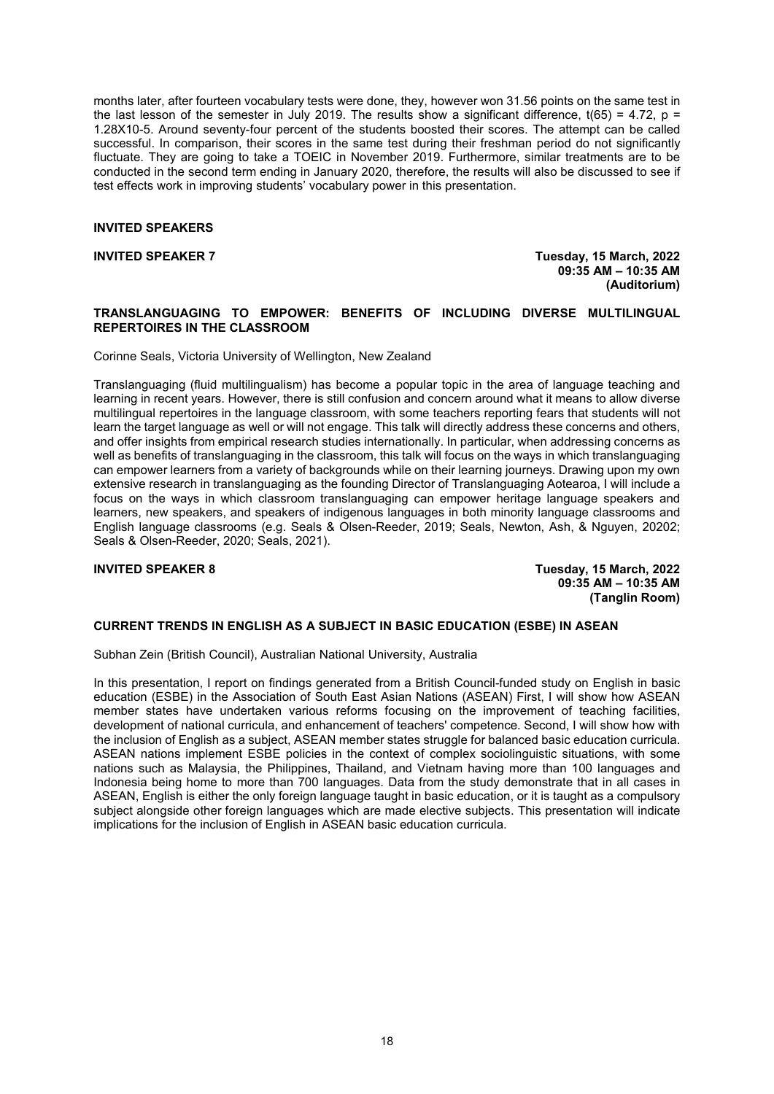months later, after fourteen vocabulary tests were done, they, however won 31.56 points on the same test in the last lesson of the semester in July 2019. The results show a significant difference,  $t(65) = 4.72$ , p = 1.28X10-5. Around seventy-four percent of the students boosted their scores. The attempt can be called successful. In comparison, their scores in the same test during their freshman period do not significantly fluctuate. They are going to take a TOEIC in November 2019. Furthermore, similar treatments are to be conducted in the second term ending in January 2020, therefore, the results will also be discussed to see if test effects work in improving students' vocabulary power in this presentation.

# **INVITED SPEAKERS**

**INVITED SPEAKER 7 Tuesday, 15 March, 2022 09:35 AM – 10:35 AM (Auditorium)**

# **TRANSLANGUAGING TO EMPOWER: BENEFITS OF INCLUDING DIVERSE MULTILINGUAL REPERTOIRES IN THE CLASSROOM**

Corinne Seals, Victoria University of Wellington, New Zealand

Translanguaging (fluid multilingualism) has become a popular topic in the area of language teaching and learning in recent years. However, there is still confusion and concern around what it means to allow diverse multilingual repertoires in the language classroom, with some teachers reporting fears that students will not learn the target language as well or will not engage. This talk will directly address these concerns and others, and offer insights from empirical research studies internationally. In particular, when addressing concerns as well as benefits of translanguaging in the classroom, this talk will focus on the ways in which translanguaging can empower learners from a variety of backgrounds while on their learning journeys. Drawing upon my own extensive research in translanguaging as the founding Director of Translanguaging Aotearoa, I will include a focus on the ways in which classroom translanguaging can empower heritage language speakers and learners, new speakers, and speakers of indigenous languages in both minority language classrooms and English language classrooms (e.g. Seals & Olsen-Reeder, 2019; Seals, Newton, Ash, & Nguyen, 20202; Seals & Olsen-Reeder, 2020; Seals, 2021).

**INVITED SPEAKER 8 Tuesday, 15 March, 2022 09:35 AM – 10:35 AM (Tanglin Room)**

# **CURRENT TRENDS IN ENGLISH AS A SUBJECT IN BASIC EDUCATION (ESBE) IN ASEAN**

Subhan Zein (British Council), Australian National University, Australia

In this presentation, I report on findings generated from a British Council-funded study on English in basic education (ESBE) in the Association of South East Asian Nations (ASEAN) First, I will show how ASEAN member states have undertaken various reforms focusing on the improvement of teaching facilities, development of national curricula, and enhancement of teachers' competence. Second, I will show how with the inclusion of English as a subject, ASEAN member states struggle for balanced basic education curricula. ASEAN nations implement ESBE policies in the context of complex sociolinguistic situations, with some nations such as Malaysia, the Philippines, Thailand, and Vietnam having more than 100 languages and Indonesia being home to more than 700 languages. Data from the study demonstrate that in all cases in ASEAN, English is either the only foreign language taught in basic education, or it is taught as a compulsory subject alongside other foreign languages which are made elective subjects. This presentation will indicate implications for the inclusion of English in ASEAN basic education curricula.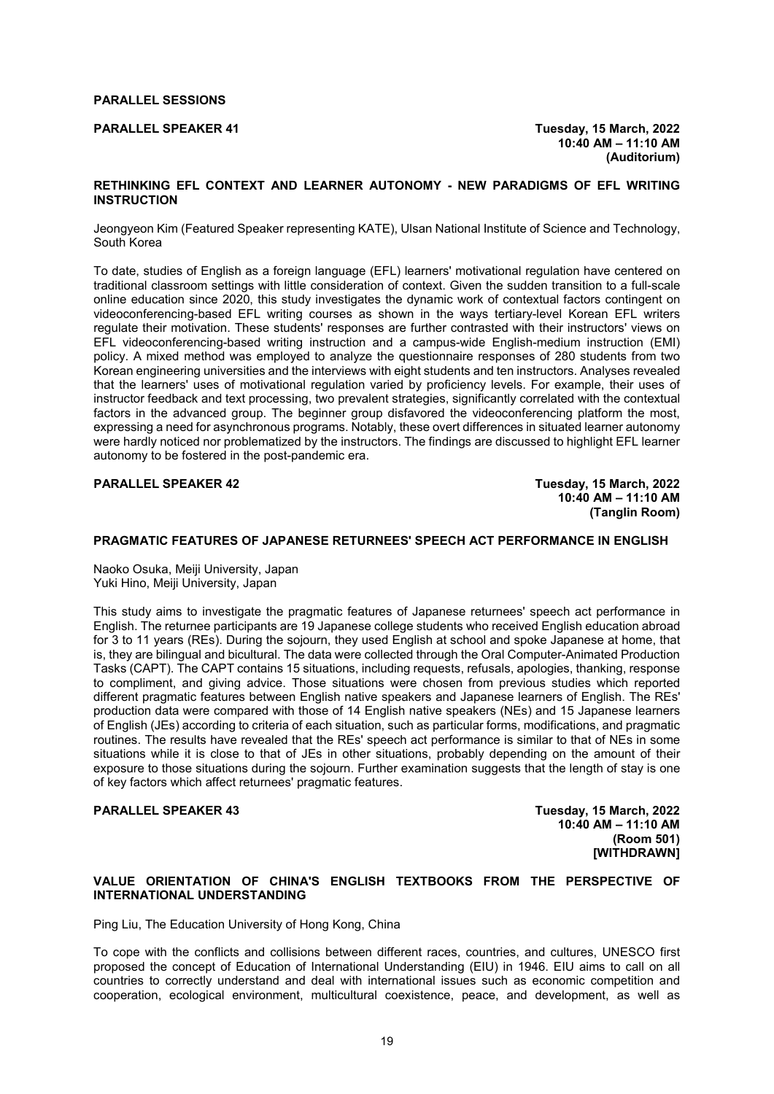**PARALLEL SESSIONS**

# **PARALLEL SPEAKER 41 Tuesday, 15 March, 2022**

**10:40 AM – 11:10 AM (Auditorium)**

# **RETHINKING EFL CONTEXT AND LEARNER AUTONOMY - NEW PARADIGMS OF EFL WRITING INSTRUCTION**

Jeongyeon Kim (Featured Speaker representing KATE), Ulsan National Institute of Science and Technology, South Korea

To date, studies of English as a foreign language (EFL) learners' motivational regulation have centered on traditional classroom settings with little consideration of context. Given the sudden transition to a full-scale online education since 2020, this study investigates the dynamic work of contextual factors contingent on videoconferencing-based EFL writing courses as shown in the ways tertiary-level Korean EFL writers regulate their motivation. These students' responses are further contrasted with their instructors' views on EFL videoconferencing-based writing instruction and a campus-wide English-medium instruction (EMI) policy. A mixed method was employed to analyze the questionnaire responses of 280 students from two Korean engineering universities and the interviews with eight students and ten instructors. Analyses revealed that the learners' uses of motivational regulation varied by proficiency levels. For example, their uses of instructor feedback and text processing, two prevalent strategies, significantly correlated with the contextual factors in the advanced group. The beginner group disfavored the videoconferencing platform the most, expressing a need for asynchronous programs. Notably, these overt differences in situated learner autonomy were hardly noticed nor problematized by the instructors. The findings are discussed to highlight EFL learner autonomy to be fostered in the post-pandemic era.

# **PARALLEL SPEAKER 42 Tuesday, 15 March, 2022**

**10:40 AM – 11:10 AM (Tanglin Room)**

### **PRAGMATIC FEATURES OF JAPANESE RETURNEES' SPEECH ACT PERFORMANCE IN ENGLISH**

Naoko Osuka, Meiji University, Japan Yuki Hino, Meiji University, Japan

This study aims to investigate the pragmatic features of Japanese returnees' speech act performance in English. The returnee participants are 19 Japanese college students who received English education abroad for 3 to 11 years (REs). During the sojourn, they used English at school and spoke Japanese at home, that is, they are bilingual and bicultural. The data were collected through the Oral Computer-Animated Production Tasks (CAPT). The CAPT contains 15 situations, including requests, refusals, apologies, thanking, response to compliment, and giving advice. Those situations were chosen from previous studies which reported different pragmatic features between English native speakers and Japanese learners of English. The REs' production data were compared with those of 14 English native speakers (NEs) and 15 Japanese learners of English (JEs) according to criteria of each situation, such as particular forms, modifications, and pragmatic routines. The results have revealed that the REs' speech act performance is similar to that of NEs in some situations while it is close to that of JEs in other situations, probably depending on the amount of their exposure to those situations during the sojourn. Further examination suggests that the length of stay is one of key factors which affect returnees' pragmatic features.

### **PARALLEL SPEAKER 43 Tuesday, 15 March, 2022**

**10:40 AM – 11:10 AM (Room 501) [WITHDRAWN]**

# **VALUE ORIENTATION OF CHINA'S ENGLISH TEXTBOOKS FROM THE PERSPECTIVE OF INTERNATIONAL UNDERSTANDING**

Ping Liu, The Education University of Hong Kong, China

To cope with the conflicts and collisions between different races, countries, and cultures, UNESCO first proposed the concept of Education of International Understanding (EIU) in 1946. EIU aims to call on all countries to correctly understand and deal with international issues such as economic competition and cooperation, ecological environment, multicultural coexistence, peace, and development, as well as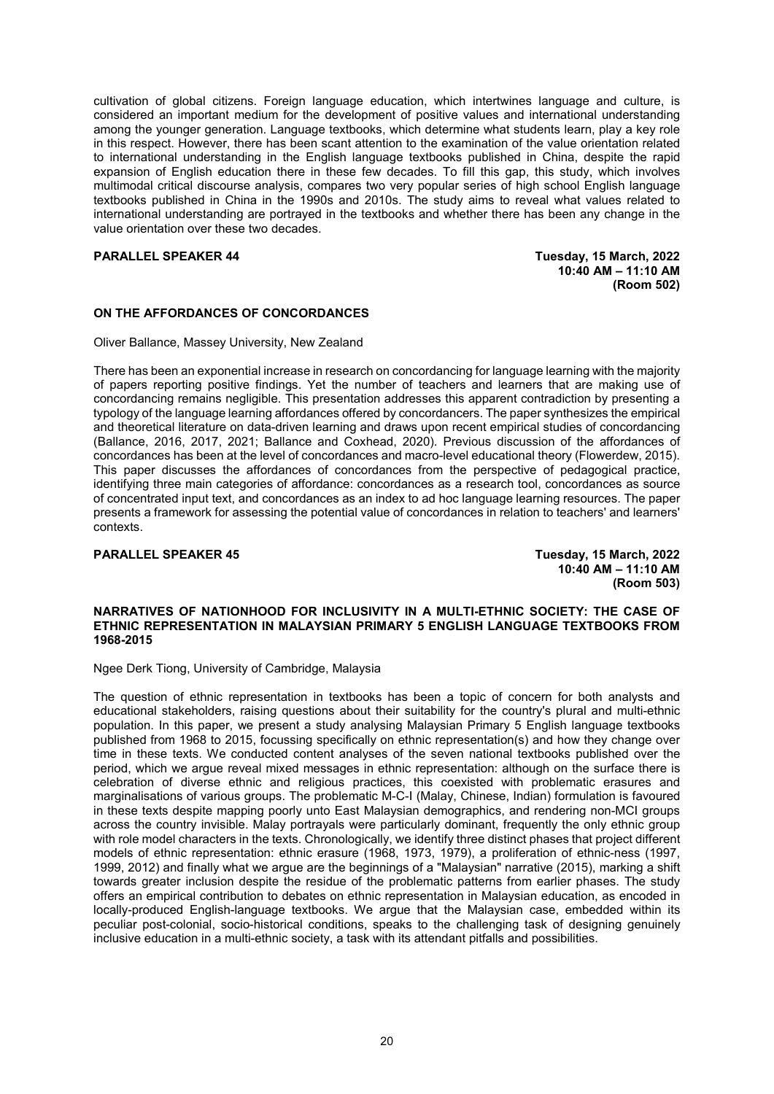cultivation of global citizens. Foreign language education, which intertwines language and culture, is considered an important medium for the development of positive values and international understanding among the younger generation. Language textbooks, which determine what students learn, play a key role in this respect. However, there has been scant attention to the examination of the value orientation related to international understanding in the English language textbooks published in China, despite the rapid expansion of English education there in these few decades. To fill this gap, this study, which involves multimodal critical discourse analysis, compares two very popular series of high school English language textbooks published in China in the 1990s and 2010s. The study aims to reveal what values related to international understanding are portrayed in the textbooks and whether there has been any change in the value orientation over these two decades.

# **PARALLEL SPEAKER 44 Tuesday, 15 March, 2022**

**10:40 AM – 11:10 AM (Room 502)**

# **ON THE AFFORDANCES OF CONCORDANCES**

# Oliver Ballance, Massey University, New Zealand

There has been an exponential increase in research on concordancing for language learning with the majority of papers reporting positive findings. Yet the number of teachers and learners that are making use of concordancing remains negligible. This presentation addresses this apparent contradiction by presenting a typology of the language learning affordances offered by concordancers. The paper synthesizes the empirical and theoretical literature on data-driven learning and draws upon recent empirical studies of concordancing (Ballance, 2016, 2017, 2021; Ballance and Coxhead, 2020). Previous discussion of the affordances of concordances has been at the level of concordances and macro-level educational theory (Flowerdew, 2015). This paper discusses the affordances of concordances from the perspective of pedagogical practice, identifying three main categories of affordance: concordances as a research tool, concordances as source of concentrated input text, and concordances as an index to ad hoc language learning resources. The paper presents a framework for assessing the potential value of concordances in relation to teachers' and learners' contexts.

**PARALLEL SPEAKER 45 Tuesday, 15 March, 2022 10:40 AM – 11:10 AM (Room 503)**

### **NARRATIVES OF NATIONHOOD FOR INCLUSIVITY IN A MULTI-ETHNIC SOCIETY: THE CASE OF ETHNIC REPRESENTATION IN MALAYSIAN PRIMARY 5 ENGLISH LANGUAGE TEXTBOOKS FROM 1968-2015**

Ngee Derk Tiong, University of Cambridge, Malaysia

The question of ethnic representation in textbooks has been a topic of concern for both analysts and educational stakeholders, raising questions about their suitability for the country's plural and multi-ethnic population. In this paper, we present a study analysing Malaysian Primary 5 English language textbooks published from 1968 to 2015, focussing specifically on ethnic representation(s) and how they change over time in these texts. We conducted content analyses of the seven national textbooks published over the period, which we argue reveal mixed messages in ethnic representation: although on the surface there is celebration of diverse ethnic and religious practices, this coexisted with problematic erasures and marginalisations of various groups. The problematic M-C-I (Malay, Chinese, Indian) formulation is favoured in these texts despite mapping poorly unto East Malaysian demographics, and rendering non-MCI groups across the country invisible. Malay portrayals were particularly dominant, frequently the only ethnic group with role model characters in the texts. Chronologically, we identify three distinct phases that project different models of ethnic representation: ethnic erasure (1968, 1973, 1979), a proliferation of ethnic-ness (1997, 1999, 2012) and finally what we argue are the beginnings of a "Malaysian" narrative (2015), marking a shift towards greater inclusion despite the residue of the problematic patterns from earlier phases. The study offers an empirical contribution to debates on ethnic representation in Malaysian education, as encoded in locally-produced English-language textbooks. We argue that the Malaysian case, embedded within its peculiar post-colonial, socio-historical conditions, speaks to the challenging task of designing genuinely inclusive education in a multi-ethnic society, a task with its attendant pitfalls and possibilities.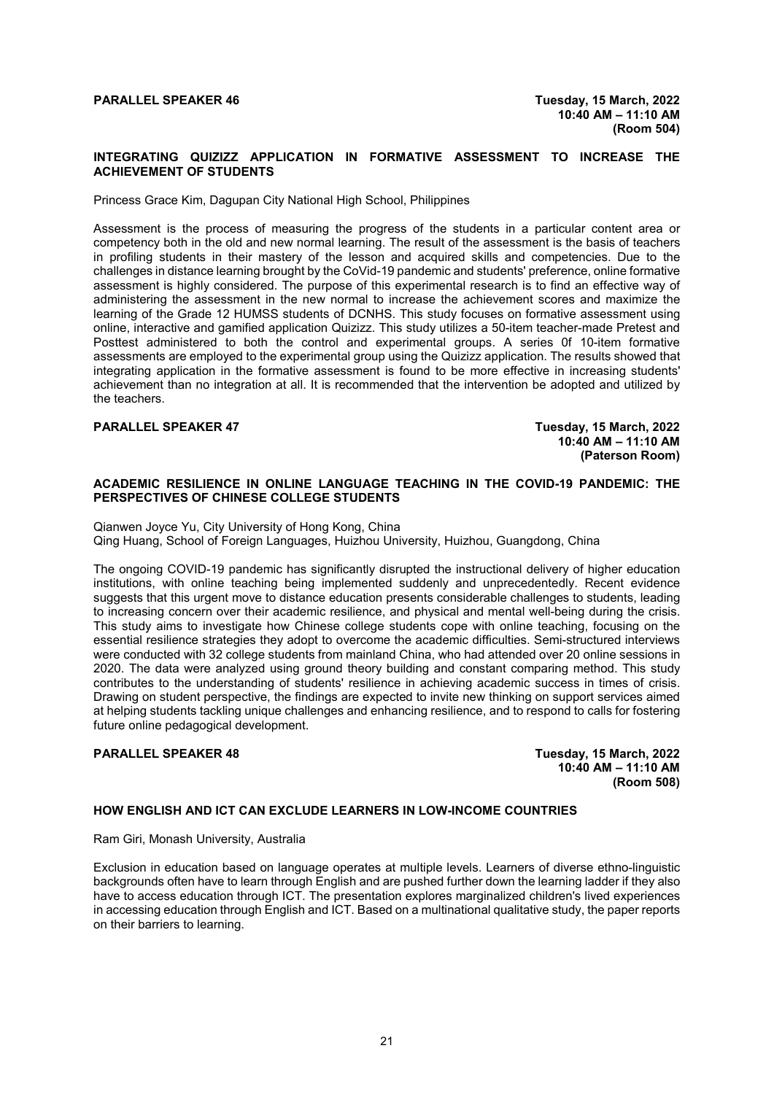# **PARALLEL SPEAKER 46 Tuesday, 15 March, 2022**

### **INTEGRATING QUIZIZZ APPLICATION IN FORMATIVE ASSESSMENT TO INCREASE THE ACHIEVEMENT OF STUDENTS**

Princess Grace Kim, Dagupan City National High School, Philippines

Assessment is the process of measuring the progress of the students in a particular content area or competency both in the old and new normal learning. The result of the assessment is the basis of teachers in profiling students in their mastery of the lesson and acquired skills and competencies. Due to the challenges in distance learning brought by the CoVid-19 pandemic and students' preference, online formative assessment is highly considered. The purpose of this experimental research is to find an effective way of administering the assessment in the new normal to increase the achievement scores and maximize the learning of the Grade 12 HUMSS students of DCNHS. This study focuses on formative assessment using online, interactive and gamified application Quizizz. This study utilizes a 50-item teacher-made Pretest and Posttest administered to both the control and experimental groups. A series 0f 10-item formative assessments are employed to the experimental group using the Quizizz application. The results showed that integrating application in the formative assessment is found to be more effective in increasing students' achievement than no integration at all. It is recommended that the intervention be adopted and utilized by the teachers.

**PARALLEL SPEAKER 47 Tuesday, 15 March, 2022 10:40 AM – 11:10 AM (Paterson Room)**

# **ACADEMIC RESILIENCE IN ONLINE LANGUAGE TEACHING IN THE COVID-19 PANDEMIC: THE PERSPECTIVES OF CHINESE COLLEGE STUDENTS**

Qianwen Joyce Yu, City University of Hong Kong, China Qing Huang, School of Foreign Languages, Huizhou University, Huizhou, Guangdong, China

The ongoing COVID-19 pandemic has significantly disrupted the instructional delivery of higher education institutions, with online teaching being implemented suddenly and unprecedentedly. Recent evidence suggests that this urgent move to distance education presents considerable challenges to students, leading to increasing concern over their academic resilience, and physical and mental well-being during the crisis. This study aims to investigate how Chinese college students cope with online teaching, focusing on the essential resilience strategies they adopt to overcome the academic difficulties. Semi-structured interviews were conducted with 32 college students from mainland China, who had attended over 20 online sessions in 2020. The data were analyzed using ground theory building and constant comparing method. This study contributes to the understanding of students' resilience in achieving academic success in times of crisis. Drawing on student perspective, the findings are expected to invite new thinking on support services aimed at helping students tackling unique challenges and enhancing resilience, and to respond to calls for fostering future online pedagogical development.

# **PARALLEL SPEAKER 48 Tuesday, 15 March, 2022**

**10:40 AM – 11:10 AM (Room 508)**

# **HOW ENGLISH AND ICT CAN EXCLUDE LEARNERS IN LOW-INCOME COUNTRIES**

Ram Giri, Monash University, Australia

Exclusion in education based on language operates at multiple levels. Learners of diverse ethno-linguistic backgrounds often have to learn through English and are pushed further down the learning ladder if they also have to access education through ICT. The presentation explores marginalized children's lived experiences in accessing education through English and ICT. Based on a multinational qualitative study, the paper reports on their barriers to learning.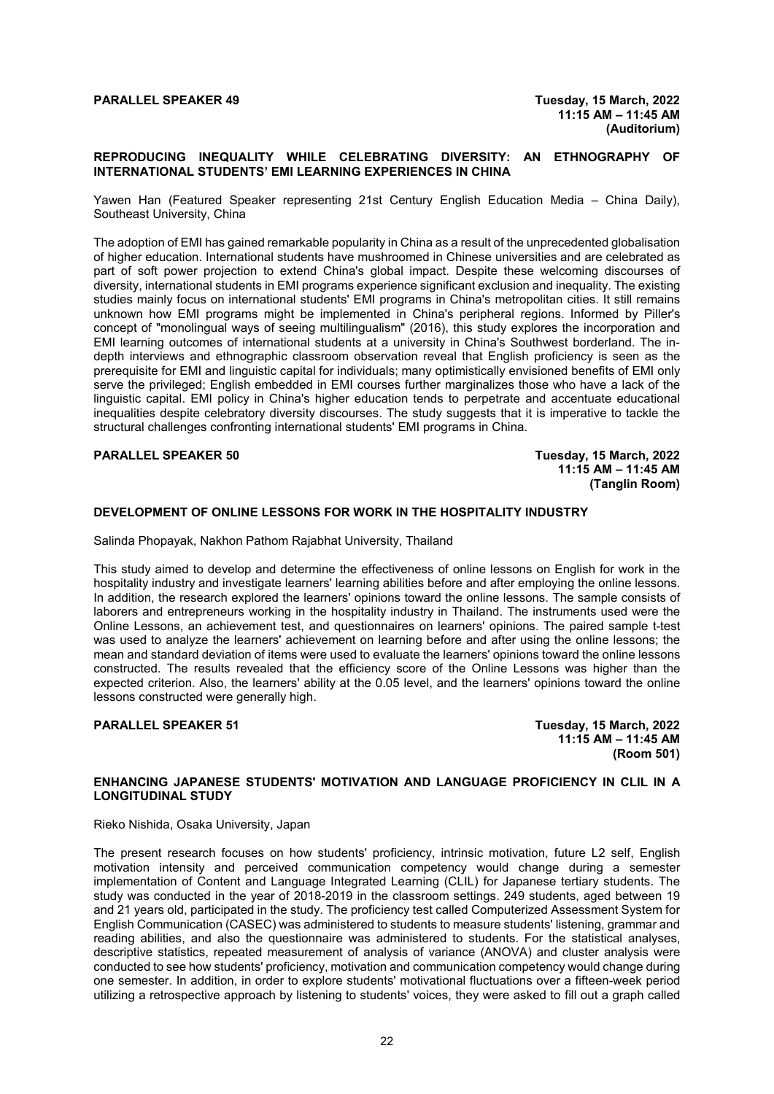# **REPRODUCING INEQUALITY WHILE CELEBRATING DIVERSITY: AN ETHNOGRAPHY OF INTERNATIONAL STUDENTS' EMI LEARNING EXPERIENCES IN CHINA**

Yawen Han (Featured Speaker representing 21st Century English Education Media – China Daily), Southeast University, China

The adoption of EMI has gained remarkable popularity in China as a result of the unprecedented globalisation of higher education. International students have mushroomed in Chinese universities and are celebrated as part of soft power projection to extend China's global impact. Despite these welcoming discourses of diversity, international students in EMI programs experience significant exclusion and inequality. The existing studies mainly focus on international students' EMI programs in China's metropolitan cities. It still remains unknown how EMI programs might be implemented in China's peripheral regions. Informed by Piller's concept of "monolingual ways of seeing multilingualism" (2016), this study explores the incorporation and EMI learning outcomes of international students at a university in China's Southwest borderland. The indepth interviews and ethnographic classroom observation reveal that English proficiency is seen as the prerequisite for EMI and linguistic capital for individuals; many optimistically envisioned benefits of EMI only serve the privileged; English embedded in EMI courses further marginalizes those who have a lack of the linguistic capital. EMI policy in China's higher education tends to perpetrate and accentuate educational inequalities despite celebratory diversity discourses. The study suggests that it is imperative to tackle the structural challenges confronting international students' EMI programs in China.

### **PARALLEL SPEAKER 50 Tuesday, 15 March, 2022**

**11:15 AM – 11:45 AM (Tanglin Room)**

### **DEVELOPMENT OF ONLINE LESSONS FOR WORK IN THE HOSPITALITY INDUSTRY**

Salinda Phopayak, Nakhon Pathom Rajabhat University, Thailand

This study aimed to develop and determine the effectiveness of online lessons on English for work in the hospitality industry and investigate learners' learning abilities before and after employing the online lessons. In addition, the research explored the learners' opinions toward the online lessons. The sample consists of laborers and entrepreneurs working in the hospitality industry in Thailand. The instruments used were the Online Lessons, an achievement test, and questionnaires on learners' opinions. The paired sample t-test was used to analyze the learners' achievement on learning before and after using the online lessons; the mean and standard deviation of items were used to evaluate the learners' opinions toward the online lessons constructed. The results revealed that the efficiency score of the Online Lessons was higher than the expected criterion. Also, the learners' ability at the 0.05 level, and the learners' opinions toward the online lessons constructed were generally high.

### **PARALLEL SPEAKER 51 Tuesday, 15 March, 2022**

**11:15 AM – 11:45 AM (Room 501)**

# **ENHANCING JAPANESE STUDENTS' MOTIVATION AND LANGUAGE PROFICIENCY IN CLIL IN A LONGITUDINAL STUDY**

### Rieko Nishida, Osaka University, Japan

The present research focuses on how students' proficiency, intrinsic motivation, future L2 self, English motivation intensity and perceived communication competency would change during a semester implementation of Content and Language Integrated Learning (CLIL) for Japanese tertiary students. The study was conducted in the year of 2018-2019 in the classroom settings. 249 students, aged between 19 and 21 years old, participated in the study. The proficiency test called Computerized Assessment System for English Communication (CASEC) was administered to students to measure students' listening, grammar and reading abilities, and also the questionnaire was administered to students. For the statistical analyses, descriptive statistics, repeated measurement of analysis of variance (ANOVA) and cluster analysis were conducted to see how students' proficiency, motivation and communication competency would change during one semester. In addition, in order to explore students' motivational fluctuations over a fifteen-week period utilizing a retrospective approach by listening to students' voices, they were asked to fill out a graph called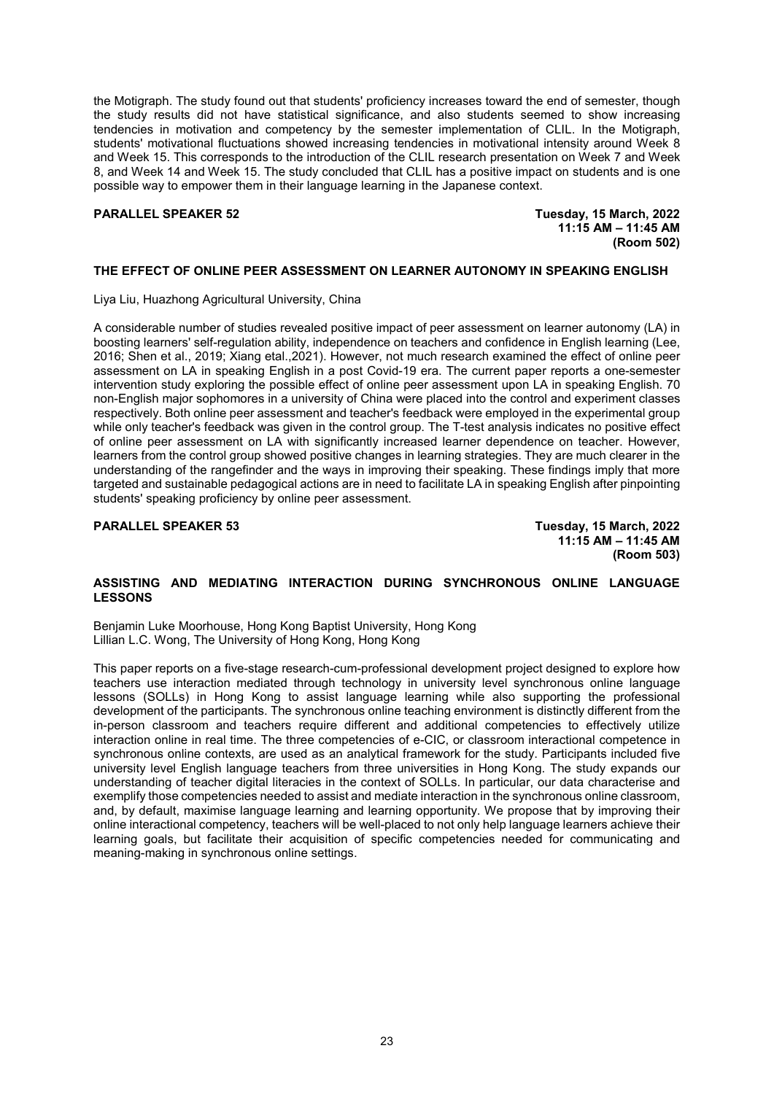the Motigraph. The study found out that students' proficiency increases toward the end of semester, though the study results did not have statistical significance, and also students seemed to show increasing tendencies in motivation and competency by the semester implementation of CLIL. In the Motigraph, students' motivational fluctuations showed increasing tendencies in motivational intensity around Week 8 and Week 15. This corresponds to the introduction of the CLIL research presentation on Week 7 and Week 8, and Week 14 and Week 15. The study concluded that CLIL has a positive impact on students and is one possible way to empower them in their language learning in the Japanese context.

**PARALLEL SPEAKER 52 Tuesday, 15 March, 2022 11:15 AM – 11:45 AM (Room 502)**

# **THE EFFECT OF ONLINE PEER ASSESSMENT ON LEARNER AUTONOMY IN SPEAKING ENGLISH**

Liya Liu, Huazhong Agricultural University, China

A considerable number of studies revealed positive impact of peer assessment on learner autonomy (LA) in boosting learners' self-regulation ability, independence on teachers and confidence in English learning (Lee, 2016; Shen et al., 2019; Xiang etal.,2021). However, not much research examined the effect of online peer assessment on LA in speaking English in a post Covid-19 era. The current paper reports a one-semester intervention study exploring the possible effect of online peer assessment upon LA in speaking English. 70 non-English major sophomores in a university of China were placed into the control and experiment classes respectively. Both online peer assessment and teacher's feedback were employed in the experimental group while only teacher's feedback was given in the control group. The T-test analysis indicates no positive effect of online peer assessment on LA with significantly increased learner dependence on teacher. However, learners from the control group showed positive changes in learning strategies. They are much clearer in the understanding of the rangefinder and the ways in improving their speaking. These findings imply that more targeted and sustainable pedagogical actions are in need to facilitate LA in speaking English after pinpointing students' speaking proficiency by online peer assessment.

**PARALLEL SPEAKER 53 Tuesday, 15 March, 2022 11:15 AM – 11:45 AM (Room 503)**

# **ASSISTING AND MEDIATING INTERACTION DURING SYNCHRONOUS ONLINE LANGUAGE LESSONS**

Benjamin Luke Moorhouse, Hong Kong Baptist University, Hong Kong Lillian L.C. Wong, The University of Hong Kong, Hong Kong

This paper reports on a five-stage research-cum-professional development project designed to explore how teachers use interaction mediated through technology in university level synchronous online language lessons (SOLLs) in Hong Kong to assist language learning while also supporting the professional development of the participants. The synchronous online teaching environment is distinctly different from the in-person classroom and teachers require different and additional competencies to effectively utilize interaction online in real time. The three competencies of e-CIC, or classroom interactional competence in synchronous online contexts, are used as an analytical framework for the study. Participants included five university level English language teachers from three universities in Hong Kong. The study expands our understanding of teacher digital literacies in the context of SOLLs. In particular, our data characterise and exemplify those competencies needed to assist and mediate interaction in the synchronous online classroom, and, by default, maximise language learning and learning opportunity. We propose that by improving their online interactional competency, teachers will be well-placed to not only help language learners achieve their learning goals, but facilitate their acquisition of specific competencies needed for communicating and meaning-making in synchronous online settings.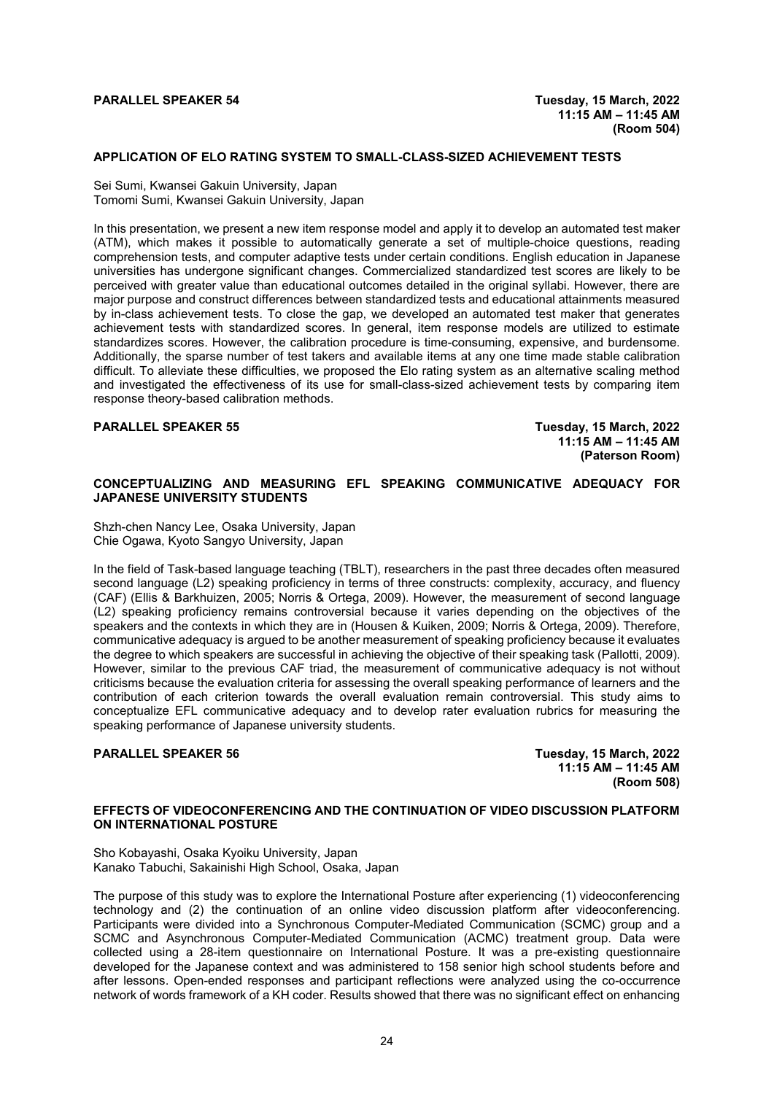## **APPLICATION OF ELO RATING SYSTEM TO SMALL-CLASS-SIZED ACHIEVEMENT TESTS**

Sei Sumi, Kwansei Gakuin University, Japan Tomomi Sumi, Kwansei Gakuin University, Japan

In this presentation, we present a new item response model and apply it to develop an automated test maker (ATM), which makes it possible to automatically generate a set of multiple-choice questions, reading comprehension tests, and computer adaptive tests under certain conditions. English education in Japanese universities has undergone significant changes. Commercialized standardized test scores are likely to be perceived with greater value than educational outcomes detailed in the original syllabi. However, there are major purpose and construct differences between standardized tests and educational attainments measured by in-class achievement tests. To close the gap, we developed an automated test maker that generates achievement tests with standardized scores. In general, item response models are utilized to estimate standardizes scores. However, the calibration procedure is time-consuming, expensive, and burdensome. Additionally, the sparse number of test takers and available items at any one time made stable calibration difficult. To alleviate these difficulties, we proposed the Elo rating system as an alternative scaling method and investigated the effectiveness of its use for small-class-sized achievement tests by comparing item response theory-based calibration methods.

# PARALLEL SPEAKER 55 Tuesday, 15 March, 2022

**11:15 AM – 11:45 AM (Paterson Room)**

# **CONCEPTUALIZING AND MEASURING EFL SPEAKING COMMUNICATIVE ADEQUACY FOR JAPANESE UNIVERSITY STUDENTS**

Shzh-chen Nancy Lee, Osaka University, Japan Chie Ogawa, Kyoto Sangyo University, Japan

In the field of Task-based language teaching (TBLT), researchers in the past three decades often measured second language (L2) speaking proficiency in terms of three constructs: complexity, accuracy, and fluency (CAF) (Ellis & Barkhuizen, 2005; Norris & Ortega, 2009). However, the measurement of second language (L2) speaking proficiency remains controversial because it varies depending on the objectives of the speakers and the contexts in which they are in (Housen & Kuiken, 2009; Norris & Ortega, 2009). Therefore, communicative adequacy is argued to be another measurement of speaking proficiency because it evaluates the degree to which speakers are successful in achieving the objective of their speaking task (Pallotti, 2009). However, similar to the previous CAF triad, the measurement of communicative adequacy is not without criticisms because the evaluation criteria for assessing the overall speaking performance of learners and the contribution of each criterion towards the overall evaluation remain controversial. This study aims to conceptualize EFL communicative adequacy and to develop rater evaluation rubrics for measuring the speaking performance of Japanese university students.

### PARALLEL SPEAKER 56 **TUESDAY** Tuesday, 15 March, 2022

**11:15 AM – 11:45 AM (Room 508)** 

# **EFFECTS OF VIDEOCONFERENCING AND THE CONTINUATION OF VIDEO DISCUSSION PLATFORM ON INTERNATIONAL POSTURE**

Sho Kobayashi, Osaka Kyoiku University, Japan Kanako Tabuchi, Sakainishi High School, Osaka, Japan

The purpose of this study was to explore the International Posture after experiencing (1) videoconferencing technology and (2) the continuation of an online video discussion platform after videoconferencing. Participants were divided into a Synchronous Computer-Mediated Communication (SCMC) group and a SCMC and Asynchronous Computer-Mediated Communication (ACMC) treatment group. Data were collected using a 28-item questionnaire on International Posture. It was a pre-existing questionnaire developed for the Japanese context and was administered to 158 senior high school students before and after lessons. Open-ended responses and participant reflections were analyzed using the co-occurrence network of words framework of a KH coder. Results showed that there was no significant effect on enhancing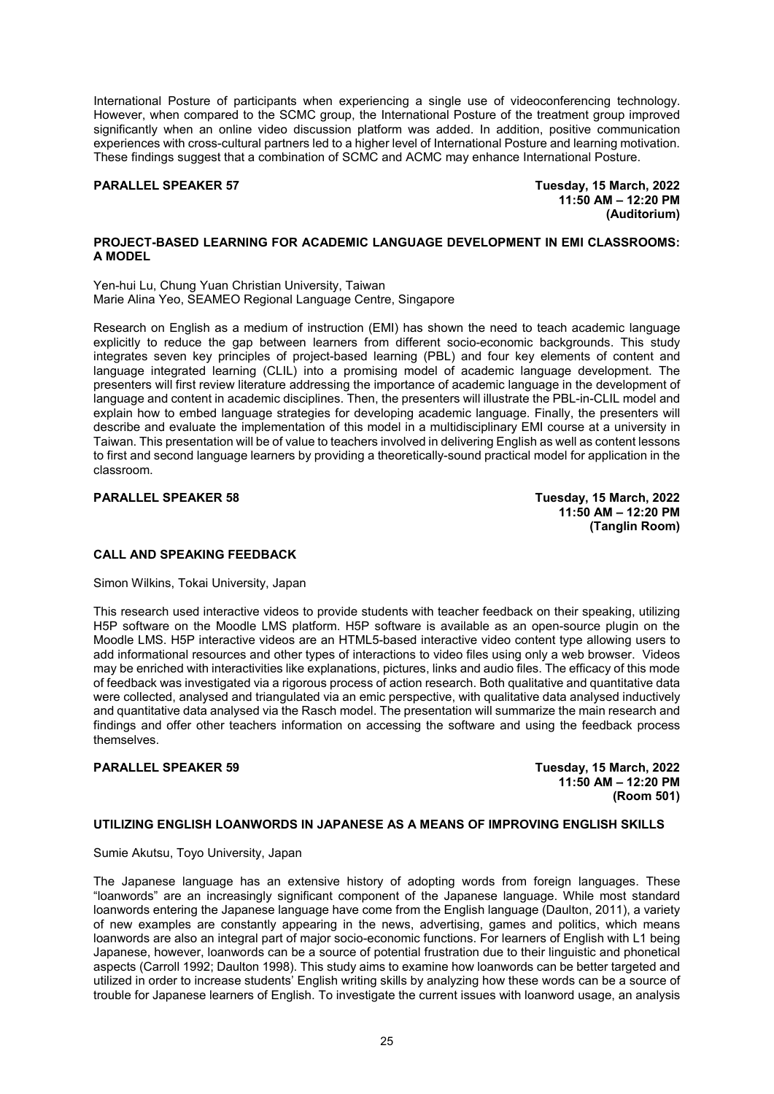International Posture of participants when experiencing a single use of videoconferencing technology. However, when compared to the SCMC group, the International Posture of the treatment group improved significantly when an online video discussion platform was added. In addition, positive communication experiences with cross-cultural partners led to a higher level of International Posture and learning motivation. These findings suggest that a combination of SCMC and ACMC may enhance International Posture.

**PARALLEL SPEAKER 57 Tuesday, 15 March, 2022 11:50 AM – 12:20 PM (Auditorium)**

# **PROJECT-BASED LEARNING FOR ACADEMIC LANGUAGE DEVELOPMENT IN EMI CLASSROOMS: A MODEL**

Yen-hui Lu, Chung Yuan Christian University, Taiwan Marie Alina Yeo, SEAMEO Regional Language Centre, Singapore

Research on English as a medium of instruction (EMI) has shown the need to teach academic language explicitly to reduce the gap between learners from different socio-economic backgrounds. This study integrates seven key principles of project-based learning (PBL) and four key elements of content and language integrated learning (CLIL) into a promising model of academic language development. The presenters will first review literature addressing the importance of academic language in the development of language and content in academic disciplines. Then, the presenters will illustrate the PBL-in-CLIL model and explain how to embed language strategies for developing academic language. Finally, the presenters will describe and evaluate the implementation of this model in a multidisciplinary EMI course at a university in Taiwan. This presentation will be of value to teachers involved in delivering English as well as content lessons to first and second language learners by providing a theoretically-sound practical model for application in the classroom.

# **PARALLEL SPEAKER 58 Tuesday, 15 March, 2022**

**11:50 AM – 12:20 PM (Tanglin Room)**

# **CALL AND SPEAKING FEEDBACK**

Simon Wilkins, Tokai University, Japan

This research used interactive videos to provide students with teacher feedback on their speaking, utilizing H5P software on the Moodle LMS platform. H5P software is available as an open-source plugin on the Moodle LMS. H5P interactive videos are an HTML5-based interactive video content type allowing users to add informational resources and other types of interactions to video files using only a web browser. Videos may be enriched with interactivities like explanations, pictures, links and audio files. The efficacy of this mode of feedback was investigated via a rigorous process of action research. Both qualitative and quantitative data were collected, analysed and triangulated via an emic perspective, with qualitative data analysed inductively and quantitative data analysed via the Rasch model. The presentation will summarize the main research and findings and offer other teachers information on accessing the software and using the feedback process themselves.

# **PARALLEL SPEAKER 59 Tuesday, 15 March, 2022**

**11:50 AM – 12:20 PM (Room 501)**

### **UTILIZING ENGLISH LOANWORDS IN JAPANESE AS A MEANS OF IMPROVING ENGLISH SKILLS**

Sumie Akutsu, Toyo University, Japan

The Japanese language has an extensive history of adopting words from foreign languages. These "loanwords" are an increasingly significant component of the Japanese language. While most standard loanwords entering the Japanese language have come from the English language (Daulton, 2011), a variety of new examples are constantly appearing in the news, advertising, games and politics, which means loanwords are also an integral part of major socio-economic functions. For learners of English with L1 being Japanese, however, loanwords can be a source of potential frustration due to their linguistic and phonetical aspects (Carroll 1992; Daulton 1998). This study aims to examine how loanwords can be better targeted and utilized in order to increase students' English writing skills by analyzing how these words can be a source of trouble for Japanese learners of English. To investigate the current issues with loanword usage, an analysis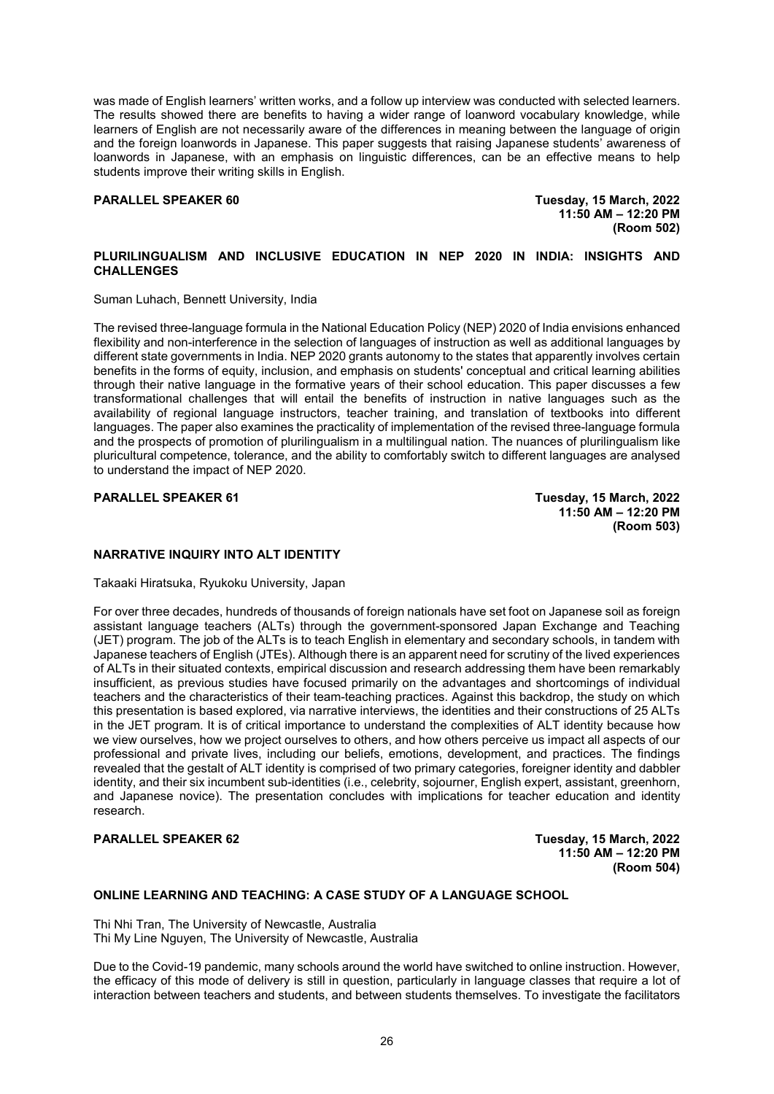was made of English learners' written works, and a follow up interview was conducted with selected learners. The results showed there are benefits to having a wider range of loanword vocabulary knowledge, while learners of English are not necessarily aware of the differences in meaning between the language of origin and the foreign loanwords in Japanese. This paper suggests that raising Japanese students' awareness of loanwords in Japanese, with an emphasis on linguistic differences, can be an effective means to help students improve their writing skills in English.

# **PARALLEL SPEAKER 60 Tuesday, 15 March, 2022**

**11:50 AM – 12:20 PM (Room 502)**

# **PLURILINGUALISM AND INCLUSIVE EDUCATION IN NEP 2020 IN INDIA: INSIGHTS AND CHALLENGES**

Suman Luhach, Bennett University, India

The revised three-language formula in the National Education Policy (NEP) 2020 of India envisions enhanced flexibility and non-interference in the selection of languages of instruction as well as additional languages by different state governments in India. NEP 2020 grants autonomy to the states that apparently involves certain benefits in the forms of equity, inclusion, and emphasis on students' conceptual and critical learning abilities through their native language in the formative years of their school education. This paper discusses a few transformational challenges that will entail the benefits of instruction in native languages such as the availability of regional language instructors, teacher training, and translation of textbooks into different languages. The paper also examines the practicality of implementation of the revised three-language formula and the prospects of promotion of plurilingualism in a multilingual nation. The nuances of plurilingualism like pluricultural competence, tolerance, and the ability to comfortably switch to different languages are analysed to understand the impact of NEP 2020.

### **PARALLEL SPEAKER 61 Tuesday, 15 March, 2022**

**11:50 AM – 12:20 PM (Room 503)**

# **NARRATIVE INQUIRY INTO ALT IDENTITY**

Takaaki Hiratsuka, Ryukoku University, Japan

For over three decades, hundreds of thousands of foreign nationals have set foot on Japanese soil as foreign assistant language teachers (ALTs) through the government-sponsored Japan Exchange and Teaching (JET) program. The job of the ALTs is to teach English in elementary and secondary schools, in tandem with Japanese teachers of English (JTEs). Although there is an apparent need for scrutiny of the lived experiences of ALTs in their situated contexts, empirical discussion and research addressing them have been remarkably insufficient, as previous studies have focused primarily on the advantages and shortcomings of individual teachers and the characteristics of their team-teaching practices. Against this backdrop, the study on which this presentation is based explored, via narrative interviews, the identities and their constructions of 25 ALTs in the JET program. It is of critical importance to understand the complexities of ALT identity because how we view ourselves, how we project ourselves to others, and how others perceive us impact all aspects of our professional and private lives, including our beliefs, emotions, development, and practices. The findings revealed that the gestalt of ALT identity is comprised of two primary categories, foreigner identity and dabbler identity, and their six incumbent sub-identities (i.e., celebrity, sojourner, English expert, assistant, greenhorn, and Japanese novice). The presentation concludes with implications for teacher education and identity research.

# **PARALLEL SPEAKER 62 Tuesday, 15 March, 2022**

**11:50 AM – 12:20 PM (Room 504)**

# **ONLINE LEARNING AND TEACHING: A CASE STUDY OF A LANGUAGE SCHOOL**

Thi Nhi Tran, The University of Newcastle, Australia Thi My Line Nguyen, The University of Newcastle, Australia

Due to the Covid-19 pandemic, many schools around the world have switched to online instruction. However, the efficacy of this mode of delivery is still in question, particularly in language classes that require a lot of interaction between teachers and students, and between students themselves. To investigate the facilitators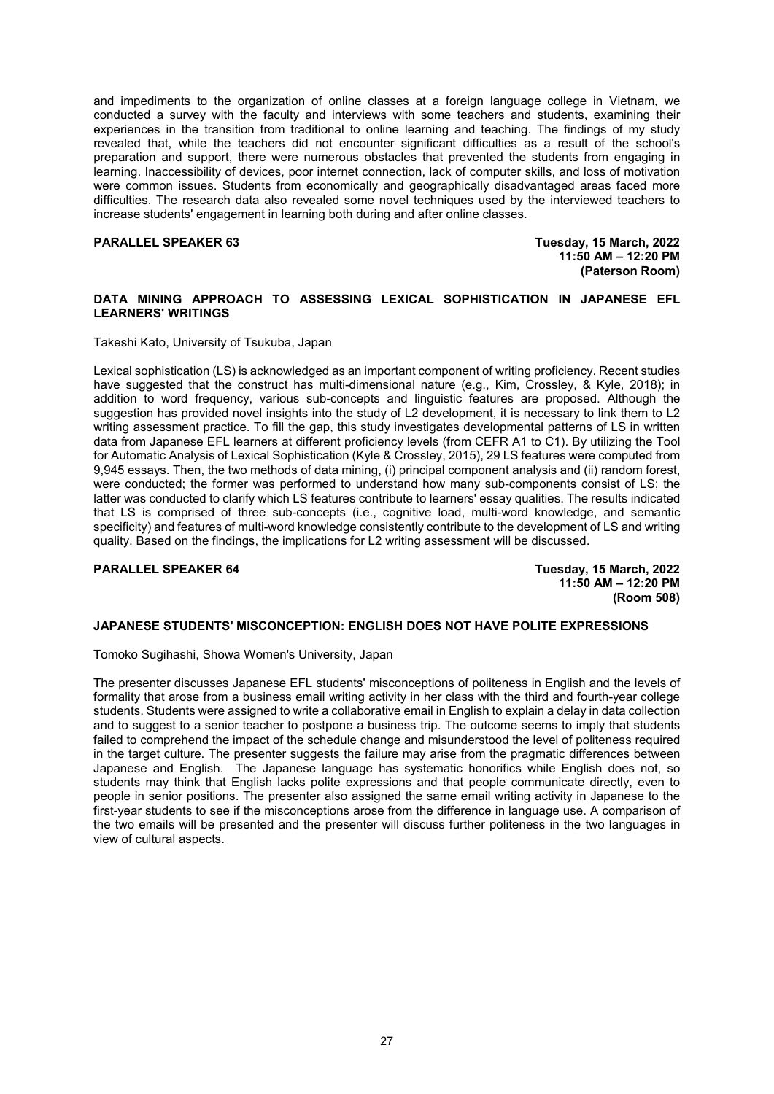and impediments to the organization of online classes at a foreign language college in Vietnam, we conducted a survey with the faculty and interviews with some teachers and students, examining their experiences in the transition from traditional to online learning and teaching. The findings of my study revealed that, while the teachers did not encounter significant difficulties as a result of the school's preparation and support, there were numerous obstacles that prevented the students from engaging in learning. Inaccessibility of devices, poor internet connection, lack of computer skills, and loss of motivation were common issues. Students from economically and geographically disadvantaged areas faced more difficulties. The research data also revealed some novel techniques used by the interviewed teachers to increase students' engagement in learning both during and after online classes.

## **PARALLEL SPEAKER 63 Tuesday, 15 March, 2022**

**11:50 AM – 12:20 PM (Paterson Room)**

# **DATA MINING APPROACH TO ASSESSING LEXICAL SOPHISTICATION IN JAPANESE EFL LEARNERS' WRITINGS**

Takeshi Kato, University of Tsukuba, Japan

Lexical sophistication (LS) is acknowledged as an important component of writing proficiency. Recent studies have suggested that the construct has multi-dimensional nature (e.g., Kim, Crossley, & Kyle, 2018); in addition to word frequency, various sub-concepts and linguistic features are proposed. Although the suggestion has provided novel insights into the study of L2 development, it is necessary to link them to L2 writing assessment practice. To fill the gap, this study investigates developmental patterns of LS in written data from Japanese EFL learners at different proficiency levels (from CEFR A1 to C1). By utilizing the Tool for Automatic Analysis of Lexical Sophistication (Kyle & Crossley, 2015), 29 LS features were computed from 9,945 essays. Then, the two methods of data mining, (i) principal component analysis and (ii) random forest, were conducted; the former was performed to understand how many sub-components consist of LS; the latter was conducted to clarify which LS features contribute to learners' essay qualities. The results indicated that LS is comprised of three sub-concepts (i.e., cognitive load, multi-word knowledge, and semantic specificity) and features of multi-word knowledge consistently contribute to the development of LS and writing quality. Based on the findings, the implications for L2 writing assessment will be discussed.

# **PARALLEL SPEAKER 64 Tuesday, 15 March, 2022**

**11:50 AM – 12:20 PM (Room 508)**

# **JAPANESE STUDENTS' MISCONCEPTION: ENGLISH DOES NOT HAVE POLITE EXPRESSIONS**

Tomoko Sugihashi, Showa Women's University, Japan

The presenter discusses Japanese EFL students' misconceptions of politeness in English and the levels of formality that arose from a business email writing activity in her class with the third and fourth-year college students. Students were assigned to write a collaborative email in English to explain a delay in data collection and to suggest to a senior teacher to postpone a business trip. The outcome seems to imply that students failed to comprehend the impact of the schedule change and misunderstood the level of politeness required in the target culture. The presenter suggests the failure may arise from the pragmatic differences between Japanese and English. The Japanese language has systematic honorifics while English does not, so students may think that English lacks polite expressions and that people communicate directly, even to people in senior positions. The presenter also assigned the same email writing activity in Japanese to the first-year students to see if the misconceptions arose from the difference in language use. A comparison of the two emails will be presented and the presenter will discuss further politeness in the two languages in view of cultural aspects.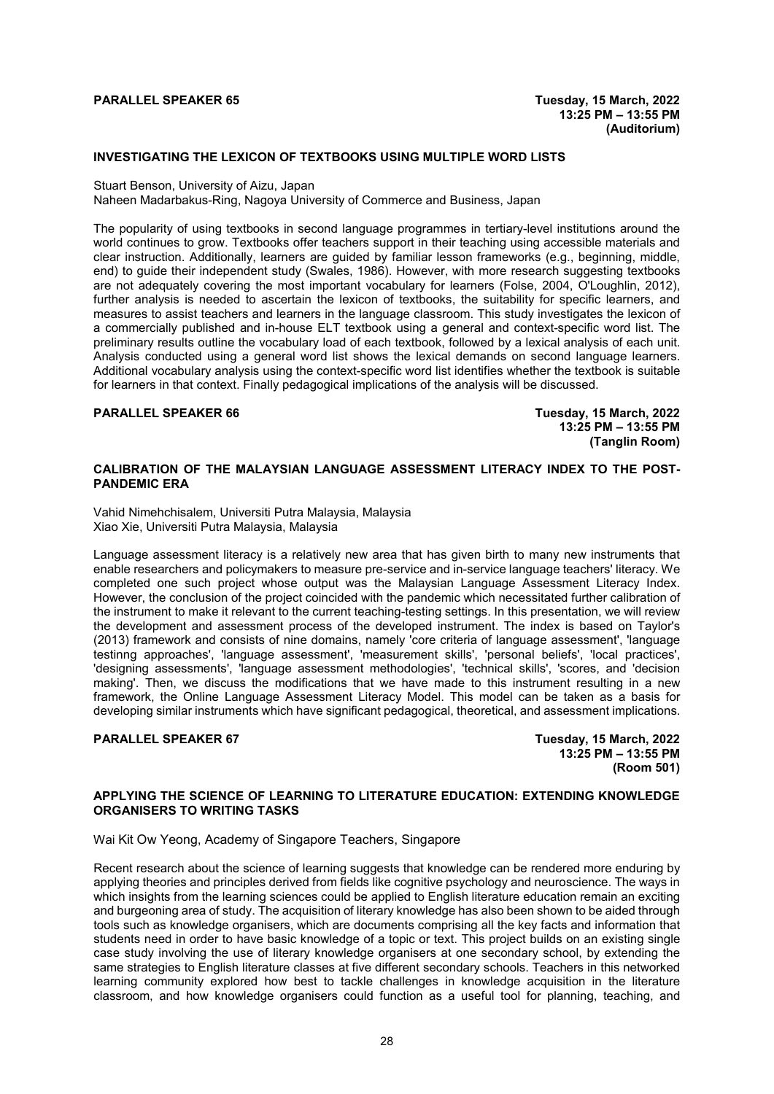# **PARALLEL SPEAKER 65 Tuesday, 15 March, 2022**

# **INVESTIGATING THE LEXICON OF TEXTBOOKS USING MULTIPLE WORD LISTS**

Stuart Benson, University of Aizu, Japan Naheen Madarbakus-Ring, Nagoya University of Commerce and Business, Japan

The popularity of using textbooks in second language programmes in tertiary-level institutions around the world continues to grow. Textbooks offer teachers support in their teaching using accessible materials and clear instruction. Additionally, learners are guided by familiar lesson frameworks (e.g., beginning, middle, end) to guide their independent study (Swales, 1986). However, with more research suggesting textbooks are not adequately covering the most important vocabulary for learners (Folse, 2004, O'Loughlin, 2012), further analysis is needed to ascertain the lexicon of textbooks, the suitability for specific learners, and measures to assist teachers and learners in the language classroom. This study investigates the lexicon of a commercially published and in-house ELT textbook using a general and context-specific word list. The preliminary results outline the vocabulary load of each textbook, followed by a lexical analysis of each unit. Analysis conducted using a general word list shows the lexical demands on second language learners. Additional vocabulary analysis using the context-specific word list identifies whether the textbook is suitable for learners in that context. Finally pedagogical implications of the analysis will be discussed.

**PARALLEL SPEAKER 66 Tuesday, 15 March, 2022 13:25 PM – 13:55 PM (Tanglin Room)**

## **CALIBRATION OF THE MALAYSIAN LANGUAGE ASSESSMENT LITERACY INDEX TO THE POST-PANDEMIC ERA**

Vahid Nimehchisalem, Universiti Putra Malaysia, Malaysia Xiao Xie, Universiti Putra Malaysia, Malaysia

Language assessment literacy is a relatively new area that has given birth to many new instruments that enable researchers and policymakers to measure pre-service and in-service language teachers' literacy. We completed one such project whose output was the Malaysian Language Assessment Literacy Index. However, the conclusion of the project coincided with the pandemic which necessitated further calibration of the instrument to make it relevant to the current teaching-testing settings. In this presentation, we will review the development and assessment process of the developed instrument. The index is based on Taylor's (2013) framework and consists of nine domains, namely 'core criteria of language assessment', 'language testinng approaches', 'language assessment', 'measurement skills', 'personal beliefs', 'local practices', 'designing assessments', 'language assessment methodologies', 'technical skills', 'scores, and 'decision making'. Then, we discuss the modifications that we have made to this instrument resulting in a new framework, the Online Language Assessment Literacy Model. This model can be taken as a basis for developing similar instruments which have significant pedagogical, theoretical, and assessment implications.

**PARALLEL SPEAKER 67 Tuesday, 15 March, 2022 13:25 PM – 13:55 PM (Room 501)**

# **APPLYING THE SCIENCE OF LEARNING TO LITERATURE EDUCATION: EXTENDING KNOWLEDGE ORGANISERS TO WRITING TASKS**

Wai Kit Ow Yeong, Academy of Singapore Teachers, Singapore

Recent research about the science of learning suggests that knowledge can be rendered more enduring by applying theories and principles derived from fields like cognitive psychology and neuroscience. The ways in which insights from the learning sciences could be applied to English literature education remain an exciting and burgeoning area of study. The acquisition of literary knowledge has also been shown to be aided through tools such as knowledge organisers, which are documents comprising all the key facts and information that students need in order to have basic knowledge of a topic or text. This project builds on an existing single case study involving the use of literary knowledge organisers at one secondary school, by extending the same strategies to English literature classes at five different secondary schools. Teachers in this networked learning community explored how best to tackle challenges in knowledge acquisition in the literature classroom, and how knowledge organisers could function as a useful tool for planning, teaching, and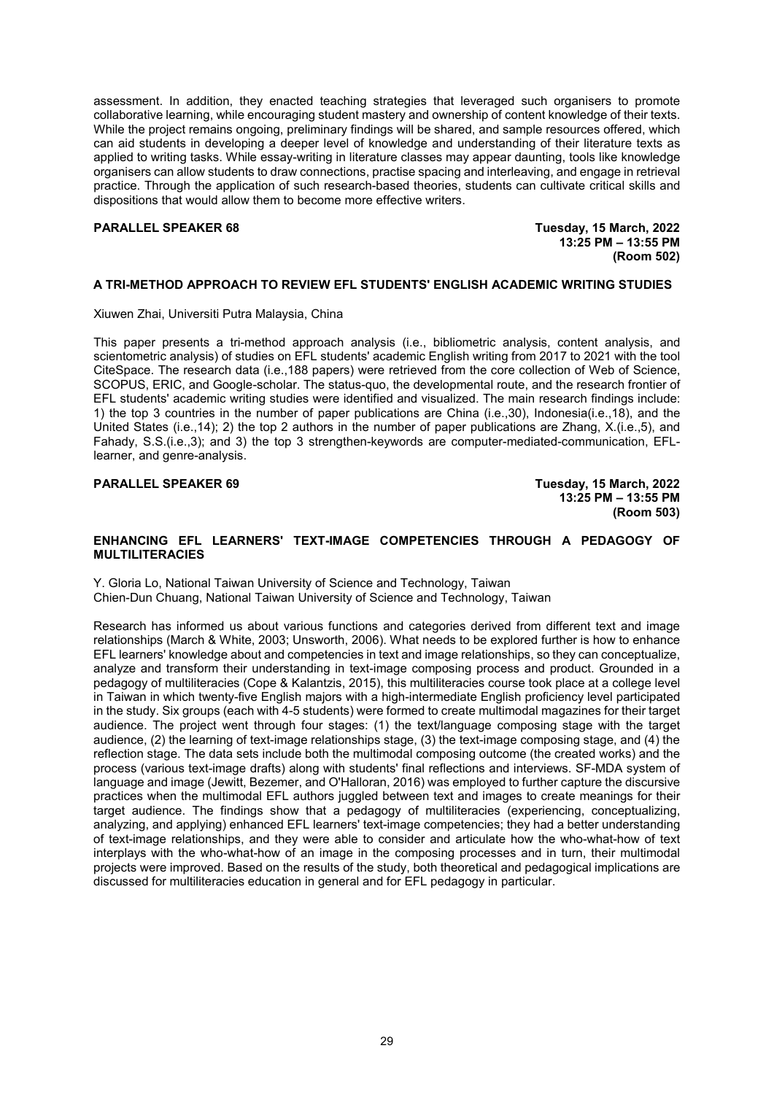assessment. In addition, they enacted teaching strategies that leveraged such organisers to promote collaborative learning, while encouraging student mastery and ownership of content knowledge of their texts. While the project remains ongoing, preliminary findings will be shared, and sample resources offered, which can aid students in developing a deeper level of knowledge and understanding of their literature texts as applied to writing tasks. While essay-writing in literature classes may appear daunting, tools like knowledge organisers can allow students to draw connections, practise spacing and interleaving, and engage in retrieval practice. Through the application of such research-based theories, students can cultivate critical skills and dispositions that would allow them to become more effective writers.

# **PARALLEL SPEAKER 68 Tuesday, 15 March, 2022**

**13:25 PM – 13:55 PM (Room 502)**

### **A TRI-METHOD APPROACH TO REVIEW EFL STUDENTS' ENGLISH ACADEMIC WRITING STUDIES**

Xiuwen Zhai, Universiti Putra Malaysia, China

This paper presents a tri-method approach analysis (i.e., bibliometric analysis, content analysis, and scientometric analysis) of studies on EFL students' academic English writing from 2017 to 2021 with the tool CiteSpace. The research data (i.e.,188 papers) were retrieved from the core collection of Web of Science, SCOPUS, ERIC, and Google-scholar. The status-quo, the developmental route, and the research frontier of EFL students' academic writing studies were identified and visualized. The main research findings include: 1) the top 3 countries in the number of paper publications are China (i.e.,30), Indonesia(i.e.,18), and the United States (i.e.,14); 2) the top 2 authors in the number of paper publications are Zhang, X.(i.e.,5), and Fahady, S.S.(i.e.,3); and 3) the top 3 strengthen-keywords are computer-mediated-communication, EFLlearner, and genre-analysis.

### **PARALLEL SPEAKER 69 Tuesday, 15 March, 2022**

**13:25 PM – 13:55 PM (Room 503)**

# **ENHANCING EFL LEARNERS' TEXT-IMAGE COMPETENCIES THROUGH A PEDAGOGY OF MULTILITERACIES**

Y. Gloria Lo, National Taiwan University of Science and Technology, Taiwan Chien-Dun Chuang, National Taiwan University of Science and Technology, Taiwan

Research has informed us about various functions and categories derived from different text and image relationships (March & White, 2003; Unsworth, 2006). What needs to be explored further is how to enhance EFL learners' knowledge about and competencies in text and image relationships, so they can conceptualize, analyze and transform their understanding in text-image composing process and product. Grounded in a pedagogy of multiliteracies (Cope & Kalantzis, 2015), this multiliteracies course took place at a college level in Taiwan in which twenty-five English majors with a high-intermediate English proficiency level participated in the study. Six groups (each with 4-5 students) were formed to create multimodal magazines for their target audience. The project went through four stages: (1) the text/language composing stage with the target audience, (2) the learning of text-image relationships stage, (3) the text-image composing stage, and (4) the reflection stage. The data sets include both the multimodal composing outcome (the created works) and the process (various text-image drafts) along with students' final reflections and interviews. SF-MDA system of language and image (Jewitt, Bezemer, and O'Halloran, 2016) was employed to further capture the discursive practices when the multimodal EFL authors juggled between text and images to create meanings for their target audience. The findings show that a pedagogy of multiliteracies (experiencing, conceptualizing, analyzing, and applying) enhanced EFL learners' text-image competencies; they had a better understanding of text-image relationships, and they were able to consider and articulate how the who-what-how of text interplays with the who-what-how of an image in the composing processes and in turn, their multimodal projects were improved. Based on the results of the study, both theoretical and pedagogical implications are discussed for multiliteracies education in general and for EFL pedagogy in particular.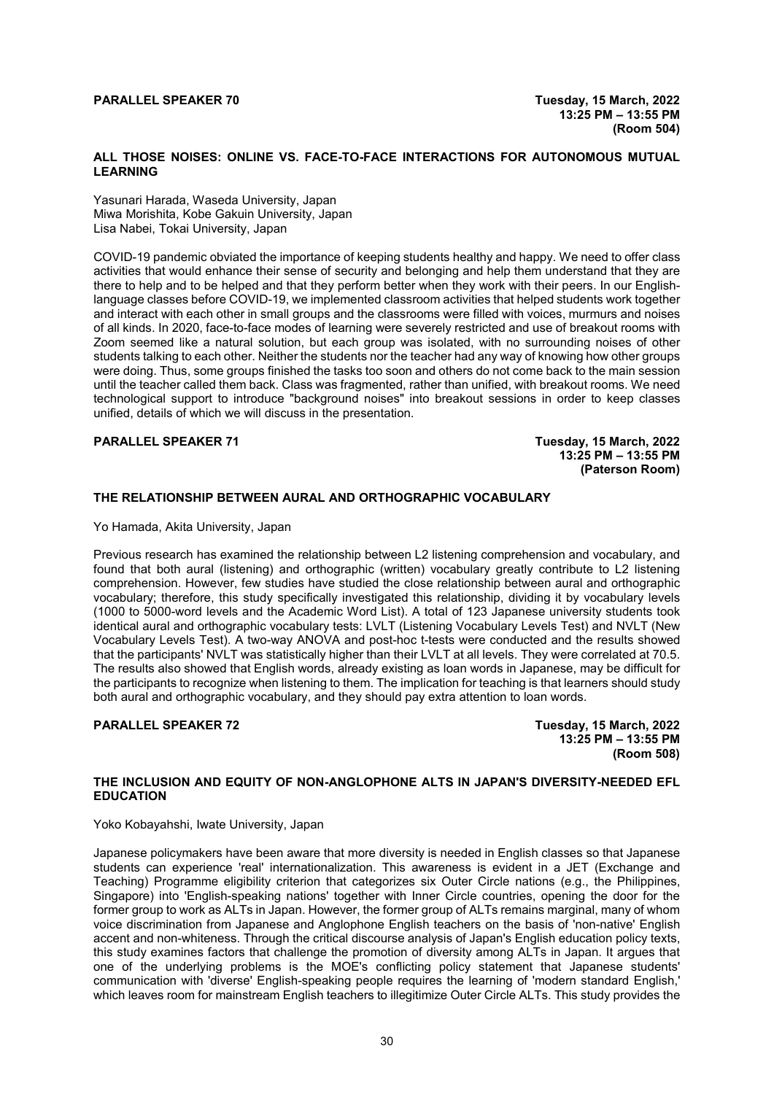# **ALL THOSE NOISES: ONLINE VS. FACE-TO-FACE INTERACTIONS FOR AUTONOMOUS MUTUAL LEARNING**

Yasunari Harada, Waseda University, Japan Miwa Morishita, Kobe Gakuin University, Japan Lisa Nabei, Tokai University, Japan

COVID-19 pandemic obviated the importance of keeping students healthy and happy. We need to offer class activities that would enhance their sense of security and belonging and help them understand that they are there to help and to be helped and that they perform better when they work with their peers. In our Englishlanguage classes before COVID-19, we implemented classroom activities that helped students work together and interact with each other in small groups and the classrooms were filled with voices, murmurs and noises of all kinds. In 2020, face-to-face modes of learning were severely restricted and use of breakout rooms with Zoom seemed like a natural solution, but each group was isolated, with no surrounding noises of other students talking to each other. Neither the students nor the teacher had any way of knowing how other groups were doing. Thus, some groups finished the tasks too soon and others do not come back to the main session until the teacher called them back. Class was fragmented, rather than unified, with breakout rooms. We need technological support to introduce "background noises" into breakout sessions in order to keep classes unified, details of which we will discuss in the presentation.

# **PARALLEL SPEAKER 71 Tuesday, 15 March, 2022**

**13:25 PM – 13:55 PM (Paterson Room)**

# **THE RELATIONSHIP BETWEEN AURAL AND ORTHOGRAPHIC VOCABULARY**

Yo Hamada, Akita University, Japan

Previous research has examined the relationship between L2 listening comprehension and vocabulary, and found that both aural (listening) and orthographic (written) vocabulary greatly contribute to L2 listening comprehension. However, few studies have studied the close relationship between aural and orthographic vocabulary; therefore, this study specifically investigated this relationship, dividing it by vocabulary levels (1000 to 5000-word levels and the Academic Word List). A total of 123 Japanese university students took identical aural and orthographic vocabulary tests: LVLT (Listening Vocabulary Levels Test) and NVLT (New Vocabulary Levels Test). A two-way ANOVA and post-hoc t-tests were conducted and the results showed that the participants' NVLT was statistically higher than their LVLT at all levels. They were correlated at 70.5. The results also showed that English words, already existing as loan words in Japanese, may be difficult for the participants to recognize when listening to them. The implication for teaching is that learners should study both aural and orthographic vocabulary, and they should pay extra attention to loan words.

### **PARALLEL SPEAKER 72 Tuesday, 15 March, 2022**

**13:25 PM – 13:55 PM (Room 508)**

# **THE INCLUSION AND EQUITY OF NON-ANGLOPHONE ALTS IN JAPAN'S DIVERSITY-NEEDED EFL EDUCATION**

Yoko Kobayahshi, Iwate University, Japan

Japanese policymakers have been aware that more diversity is needed in English classes so that Japanese students can experience 'real' internationalization. This awareness is evident in a JET (Exchange and Teaching) Programme eligibility criterion that categorizes six Outer Circle nations (e.g., the Philippines, Singapore) into 'English-speaking nations' together with Inner Circle countries, opening the door for the former group to work as ALTs in Japan. However, the former group of ALTs remains marginal, many of whom voice discrimination from Japanese and Anglophone English teachers on the basis of 'non-native' English accent and non-whiteness. Through the critical discourse analysis of Japan's English education policy texts, this study examines factors that challenge the promotion of diversity among ALTs in Japan. It argues that one of the underlying problems is the MOE's conflicting policy statement that Japanese students' communication with 'diverse' English-speaking people requires the learning of 'modern standard English,' which leaves room for mainstream English teachers to illegitimize Outer Circle ALTs. This study provides the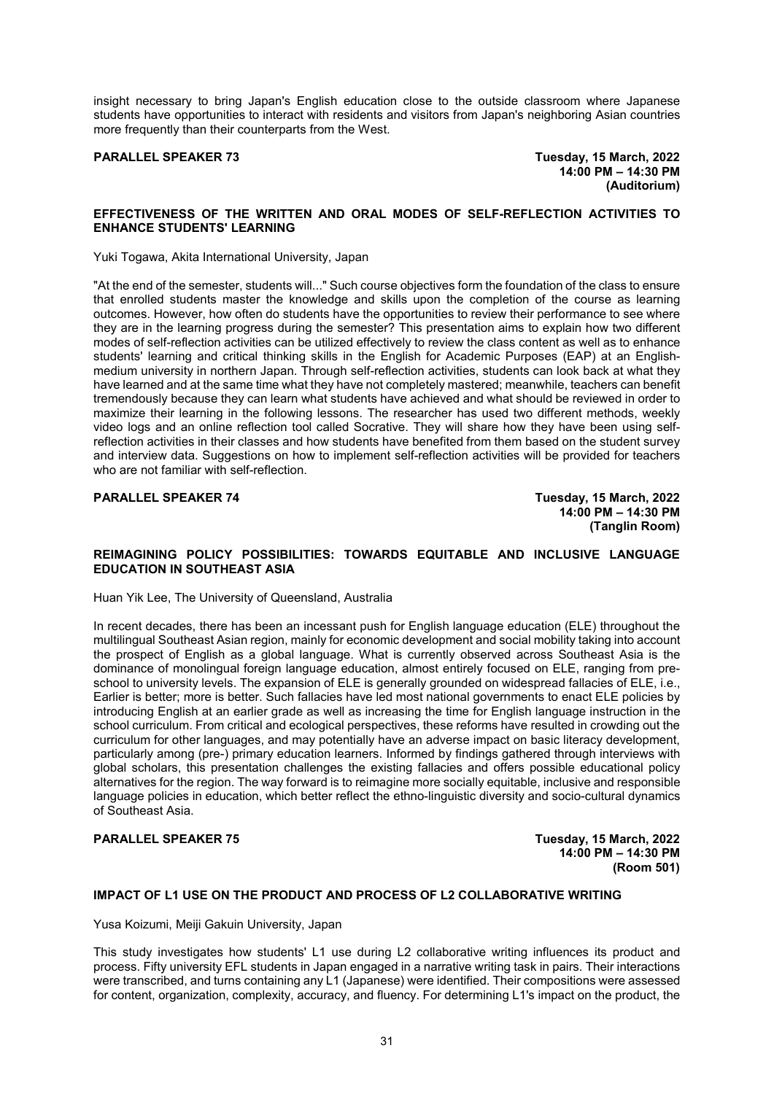insight necessary to bring Japan's English education close to the outside classroom where Japanese students have opportunities to interact with residents and visitors from Japan's neighboring Asian countries more frequently than their counterparts from the West.

## **PARALLEL SPEAKER 73 Tuesday, 15 March, 2022**

**14:00 PM – 14:30 PM (Auditorium)** 

# **EFFECTIVENESS OF THE WRITTEN AND ORAL MODES OF SELF-REFLECTION ACTIVITIES TO ENHANCE STUDENTS' LEARNING**

Yuki Togawa, Akita International University, Japan

"At the end of the semester, students will..." Such course objectives form the foundation of the class to ensure that enrolled students master the knowledge and skills upon the completion of the course as learning outcomes. However, how often do students have the opportunities to review their performance to see where they are in the learning progress during the semester? This presentation aims to explain how two different modes of self-reflection activities can be utilized effectively to review the class content as well as to enhance students' learning and critical thinking skills in the English for Academic Purposes (EAP) at an Englishmedium university in northern Japan. Through self-reflection activities, students can look back at what they have learned and at the same time what they have not completely mastered; meanwhile, teachers can benefit tremendously because they can learn what students have achieved and what should be reviewed in order to maximize their learning in the following lessons. The researcher has used two different methods, weekly video logs and an online reflection tool called Socrative. They will share how they have been using selfreflection activities in their classes and how students have benefited from them based on the student survey and interview data. Suggestions on how to implement self-reflection activities will be provided for teachers who are not familiar with self-reflection.

### **PARALLEL SPEAKER 74 Tuesday, 15 March, 2022**

**14:00 PM – 14:30 PM (Tanglin Room)**

# **REIMAGINING POLICY POSSIBILITIES: TOWARDS EQUITABLE AND INCLUSIVE LANGUAGE EDUCATION IN SOUTHEAST ASIA**

Huan Yik Lee, The University of Queensland, Australia

In recent decades, there has been an incessant push for English language education (ELE) throughout the multilingual Southeast Asian region, mainly for economic development and social mobility taking into account the prospect of English as a global language. What is currently observed across Southeast Asia is the dominance of monolingual foreign language education, almost entirely focused on ELE, ranging from preschool to university levels. The expansion of ELE is generally grounded on widespread fallacies of ELE, i.e., Earlier is better; more is better. Such fallacies have led most national governments to enact ELE policies by introducing English at an earlier grade as well as increasing the time for English language instruction in the school curriculum. From critical and ecological perspectives, these reforms have resulted in crowding out the curriculum for other languages, and may potentially have an adverse impact on basic literacy development, particularly among (pre-) primary education learners. Informed by findings gathered through interviews with global scholars, this presentation challenges the existing fallacies and offers possible educational policy alternatives for the region. The way forward is to reimagine more socially equitable, inclusive and responsible language policies in education, which better reflect the ethno-linguistic diversity and socio-cultural dynamics of Southeast Asia.

# **PARALLEL SPEAKER 75 Tuesday, 15 March, 2022**

**14:00 PM – 14:30 PM (Room 501)** 

# **IMPACT OF L1 USE ON THE PRODUCT AND PROCESS OF L2 COLLABORATIVE WRITING**

Yusa Koizumi, Meiji Gakuin University, Japan

This study investigates how students' L1 use during L2 collaborative writing influences its product and process. Fifty university EFL students in Japan engaged in a narrative writing task in pairs. Their interactions were transcribed, and turns containing any L1 (Japanese) were identified. Their compositions were assessed for content, organization, complexity, accuracy, and fluency. For determining L1's impact on the product, the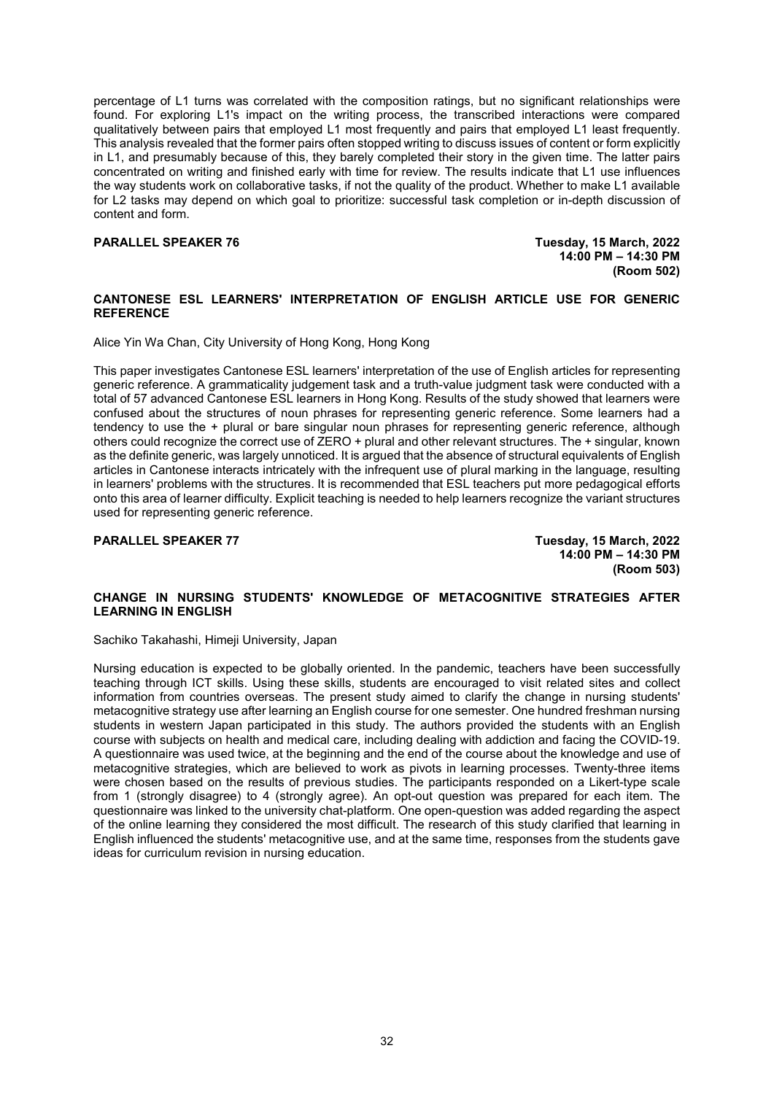percentage of L1 turns was correlated with the composition ratings, but no significant relationships were found. For exploring L1's impact on the writing process, the transcribed interactions were compared qualitatively between pairs that employed L1 most frequently and pairs that employed L1 least frequently. This analysis revealed that the former pairs often stopped writing to discuss issues of content or form explicitly in L1, and presumably because of this, they barely completed their story in the given time. The latter pairs concentrated on writing and finished early with time for review. The results indicate that L1 use influences the way students work on collaborative tasks, if not the quality of the product. Whether to make L1 available for L2 tasks may depend on which goal to prioritize: successful task completion or in-depth discussion of content and form.

## **PARALLEL SPEAKER 76 Tuesday, 15 March, 2022**

**14:00 PM – 14:30 PM (Room 502)**

# **CANTONESE ESL LEARNERS' INTERPRETATION OF ENGLISH ARTICLE USE FOR GENERIC REFERENCE**

Alice Yin Wa Chan, City University of Hong Kong, Hong Kong

This paper investigates Cantonese ESL learners' interpretation of the use of English articles for representing generic reference. A grammaticality judgement task and a truth-value judgment task were conducted with a total of 57 advanced Cantonese ESL learners in Hong Kong. Results of the study showed that learners were confused about the structures of noun phrases for representing generic reference. Some learners had a tendency to use the + plural or bare singular noun phrases for representing generic reference, although others could recognize the correct use of ZERO + plural and other relevant structures. The + singular, known as the definite generic, was largely unnoticed. It is argued that the absence of structural equivalents of English articles in Cantonese interacts intricately with the infrequent use of plural marking in the language, resulting in learners' problems with the structures. It is recommended that ESL teachers put more pedagogical efforts onto this area of learner difficulty. Explicit teaching is needed to help learners recognize the variant structures used for representing generic reference.

### **PARALLEL SPEAKER 77 Tuesday, 15 March, 2022**

**14:00 PM – 14:30 PM (Room 503)**

# **CHANGE IN NURSING STUDENTS' KNOWLEDGE OF METACOGNITIVE STRATEGIES AFTER LEARNING IN ENGLISH**

Sachiko Takahashi, Himeji University, Japan

Nursing education is expected to be globally oriented. In the pandemic, teachers have been successfully teaching through ICT skills. Using these skills, students are encouraged to visit related sites and collect information from countries overseas. The present study aimed to clarify the change in nursing students' metacognitive strategy use after learning an English course for one semester. One hundred freshman nursing students in western Japan participated in this study. The authors provided the students with an English course with subjects on health and medical care, including dealing with addiction and facing the COVID-19. A questionnaire was used twice, at the beginning and the end of the course about the knowledge and use of metacognitive strategies, which are believed to work as pivots in learning processes. Twenty-three items were chosen based on the results of previous studies. The participants responded on a Likert-type scale from 1 (strongly disagree) to 4 (strongly agree). An opt-out question was prepared for each item. The questionnaire was linked to the university chat-platform. One open-question was added regarding the aspect of the online learning they considered the most difficult. The research of this study clarified that learning in English influenced the students' metacognitive use, and at the same time, responses from the students gave ideas for curriculum revision in nursing education.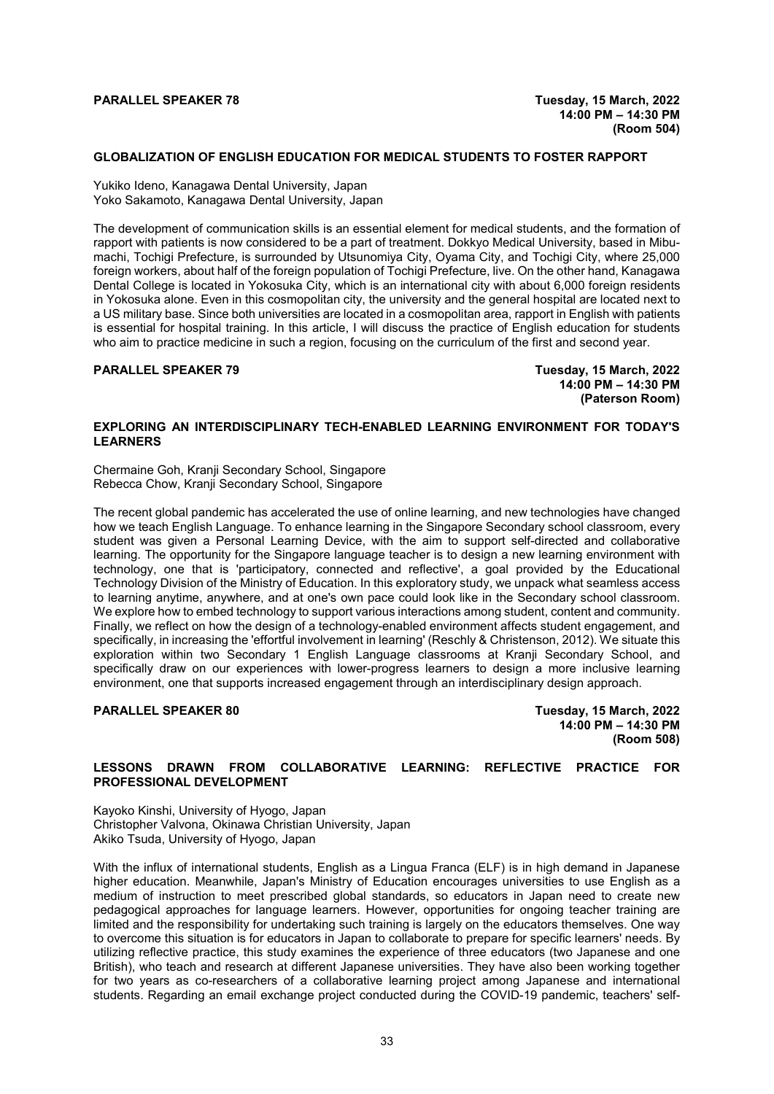## **GLOBALIZATION OF ENGLISH EDUCATION FOR MEDICAL STUDENTS TO FOSTER RAPPORT**

Yukiko Ideno, Kanagawa Dental University, Japan Yoko Sakamoto, Kanagawa Dental University, Japan

The development of communication skills is an essential element for medical students, and the formation of rapport with patients is now considered to be a part of treatment. Dokkyo Medical University, based in Mibumachi, Tochigi Prefecture, is surrounded by Utsunomiya City, Oyama City, and Tochigi City, where 25,000 foreign workers, about half of the foreign population of Tochigi Prefecture, live. On the other hand, Kanagawa Dental College is located in Yokosuka City, which is an international city with about 6,000 foreign residents in Yokosuka alone. Even in this cosmopolitan city, the university and the general hospital are located next to a US military base. Since both universities are located in a cosmopolitan area, rapport in English with patients is essential for hospital training. In this article, I will discuss the practice of English education for students who aim to practice medicine in such a region, focusing on the curriculum of the first and second year.

### **PARALLEL SPEAKER 79 Tuesday, 15 March, 2022**

**14:00 PM – 14:30 PM (Paterson Room)**

# **EXPLORING AN INTERDISCIPLINARY TECH-ENABLED LEARNING ENVIRONMENT FOR TODAY'S LEARNERS**

Chermaine Goh, Kranji Secondary School, Singapore Rebecca Chow, Kranji Secondary School, Singapore

The recent global pandemic has accelerated the use of online learning, and new technologies have changed how we teach English Language. To enhance learning in the Singapore Secondary school classroom, every student was given a Personal Learning Device, with the aim to support self-directed and collaborative learning. The opportunity for the Singapore language teacher is to design a new learning environment with technology, one that is 'participatory, connected and reflective', a goal provided by the Educational Technology Division of the Ministry of Education. In this exploratory study, we unpack what seamless access to learning anytime, anywhere, and at one's own pace could look like in the Secondary school classroom. We explore how to embed technology to support various interactions among student, content and community. Finally, we reflect on how the design of a technology-enabled environment affects student engagement, and specifically, in increasing the 'effortful involvement in learning' (Reschly & Christenson, 2012). We situate this exploration within two Secondary 1 English Language classrooms at Kranji Secondary School, and specifically draw on our experiences with lower-progress learners to design a more inclusive learning environment, one that supports increased engagement through an interdisciplinary design approach.

**PARALLEL SPEAKER 80 Tuesday, 15 March, 2022 14:00 PM – 14:30 PM (Room 508)**

# **LESSONS DRAWN FROM COLLABORATIVE LEARNING: REFLECTIVE PRACTICE FOR PROFESSIONAL DEVELOPMENT**

Kayoko Kinshi, University of Hyogo, Japan Christopher Valvona, Okinawa Christian University, Japan Akiko Tsuda, University of Hyogo, Japan

With the influx of international students, English as a Lingua Franca (ELF) is in high demand in Japanese higher education. Meanwhile, Japan's Ministry of Education encourages universities to use English as a medium of instruction to meet prescribed global standards, so educators in Japan need to create new pedagogical approaches for language learners. However, opportunities for ongoing teacher training are limited and the responsibility for undertaking such training is largely on the educators themselves. One way to overcome this situation is for educators in Japan to collaborate to prepare for specific learners' needs. By utilizing reflective practice, this study examines the experience of three educators (two Japanese and one British), who teach and research at different Japanese universities. They have also been working together for two years as co-researchers of a collaborative learning project among Japanese and international students. Regarding an email exchange project conducted during the COVID-19 pandemic, teachers' self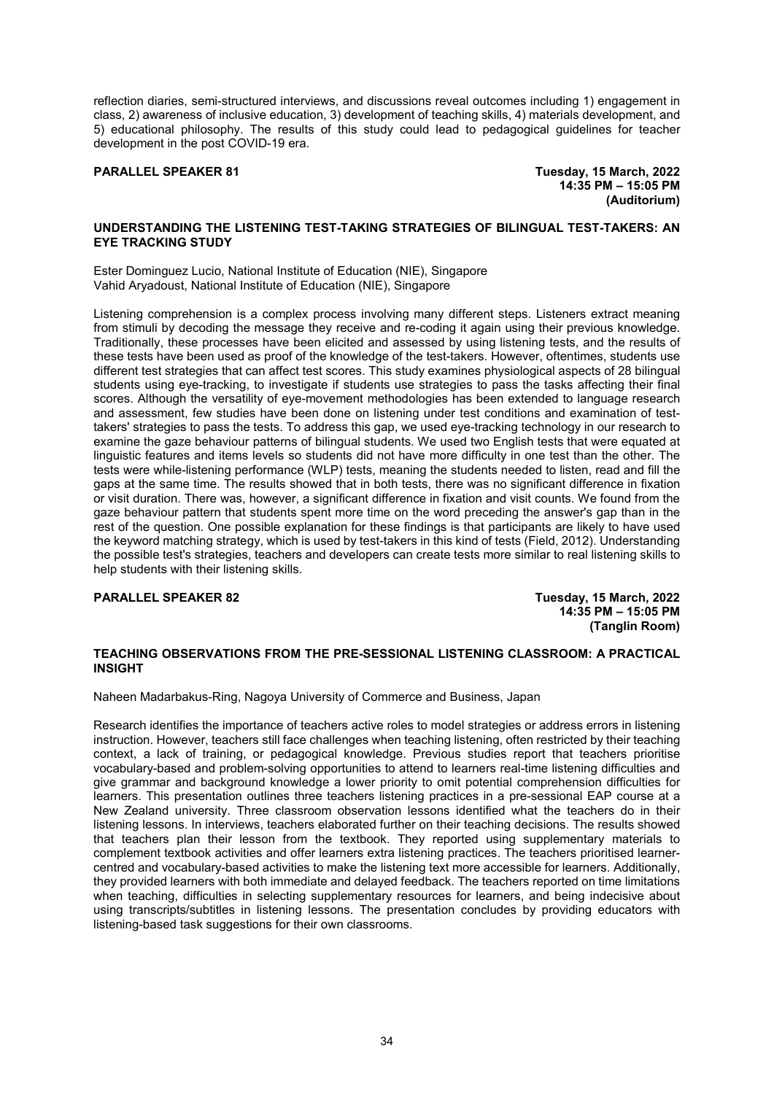reflection diaries, semi-structured interviews, and discussions reveal outcomes including 1) engagement in class, 2) awareness of inclusive education, 3) development of teaching skills, 4) materials development, and 5) educational philosophy. The results of this study could lead to pedagogical guidelines for teacher development in the post COVID-19 era.

# **PARALLEL SPEAKER 81 Tuesday, 15 March, 2022**

**14:35 PM – 15:05 PM (Auditorium)**

# **UNDERSTANDING THE LISTENING TEST-TAKING STRATEGIES OF BILINGUAL TEST-TAKERS: AN EYE TRACKING STUDY**

Ester Dominguez Lucio, National Institute of Education (NIE), Singapore Vahid Aryadoust, National Institute of Education (NIE), Singapore

Listening comprehension is a complex process involving many different steps. Listeners extract meaning from stimuli by decoding the message they receive and re-coding it again using their previous knowledge. Traditionally, these processes have been elicited and assessed by using listening tests, and the results of these tests have been used as proof of the knowledge of the test-takers. However, oftentimes, students use different test strategies that can affect test scores. This study examines physiological aspects of 28 bilingual students using eye-tracking, to investigate if students use strategies to pass the tasks affecting their final scores. Although the versatility of eye-movement methodologies has been extended to language research and assessment, few studies have been done on listening under test conditions and examination of testtakers' strategies to pass the tests. To address this gap, we used eye-tracking technology in our research to examine the gaze behaviour patterns of bilingual students. We used two English tests that were equated at linguistic features and items levels so students did not have more difficulty in one test than the other. The tests were while-listening performance (WLP) tests, meaning the students needed to listen, read and fill the gaps at the same time. The results showed that in both tests, there was no significant difference in fixation or visit duration. There was, however, a significant difference in fixation and visit counts. We found from the gaze behaviour pattern that students spent more time on the word preceding the answer's gap than in the rest of the question. One possible explanation for these findings is that participants are likely to have used the keyword matching strategy, which is used by test-takers in this kind of tests (Field, 2012). Understanding the possible test's strategies, teachers and developers can create tests more similar to real listening skills to help students with their listening skills.

### **PARALLEL SPEAKER 82 Tuesday, 15 March, 2022**

**14:35 PM – 15:05 PM (Tanglin Room)**

# **TEACHING OBSERVATIONS FROM THE PRE-SESSIONAL LISTENING CLASSROOM: A PRACTICAL INSIGHT**

Naheen Madarbakus-Ring, Nagoya University of Commerce and Business, Japan

Research identifies the importance of teachers active roles to model strategies or address errors in listening instruction. However, teachers still face challenges when teaching listening, often restricted by their teaching context, a lack of training, or pedagogical knowledge. Previous studies report that teachers prioritise vocabulary-based and problem-solving opportunities to attend to learners real-time listening difficulties and give grammar and background knowledge a lower priority to omit potential comprehension difficulties for learners. This presentation outlines three teachers listening practices in a pre-sessional EAP course at a New Zealand university. Three classroom observation lessons identified what the teachers do in their listening lessons. In interviews, teachers elaborated further on their teaching decisions. The results showed that teachers plan their lesson from the textbook. They reported using supplementary materials to complement textbook activities and offer learners extra listening practices. The teachers prioritised learnercentred and vocabulary-based activities to make the listening text more accessible for learners. Additionally, they provided learners with both immediate and delayed feedback. The teachers reported on time limitations when teaching, difficulties in selecting supplementary resources for learners, and being indecisive about using transcripts/subtitles in listening lessons. The presentation concludes by providing educators with listening-based task suggestions for their own classrooms.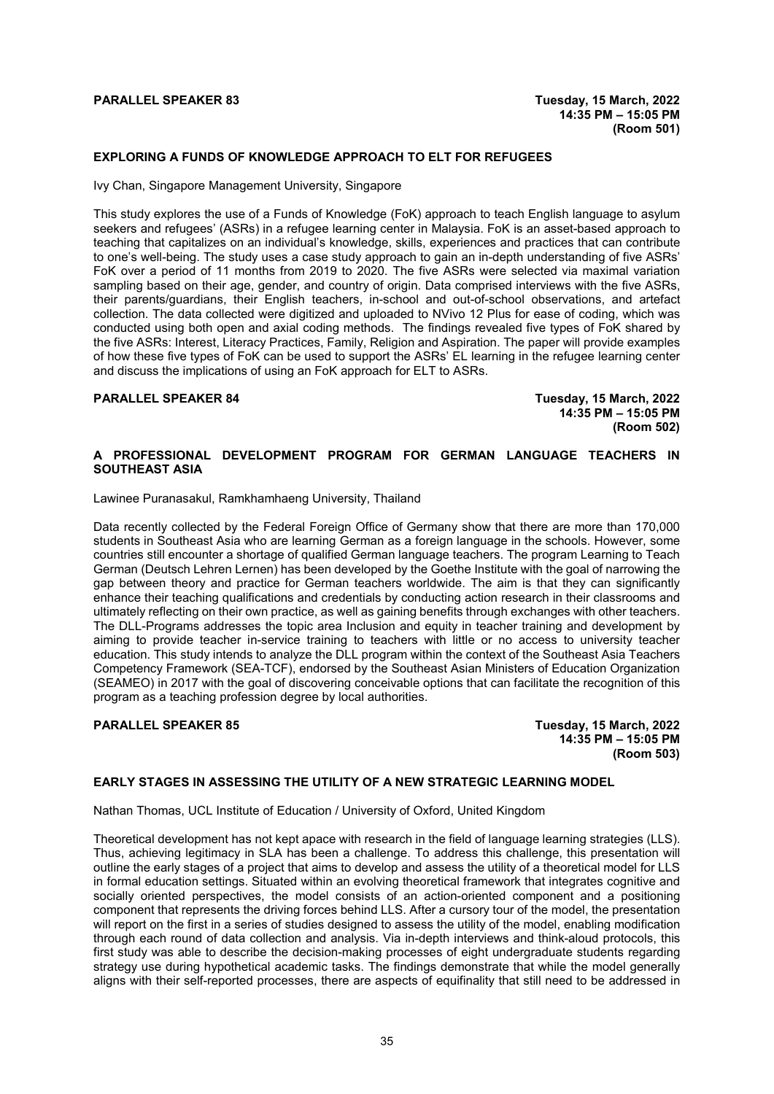# **EXPLORING A FUNDS OF KNOWLEDGE APPROACH TO ELT FOR REFUGEES**

Ivy Chan, Singapore Management University, Singapore

This study explores the use of a Funds of Knowledge (FoK) approach to teach English language to asylum seekers and refugees' (ASRs) in a refugee learning center in Malaysia. FoK is an asset-based approach to teaching that capitalizes on an individual's knowledge, skills, experiences and practices that can contribute to one's well-being. The study uses a case study approach to gain an in-depth understanding of five ASRs' FoK over a period of 11 months from 2019 to 2020. The five ASRs were selected via maximal variation sampling based on their age, gender, and country of origin. Data comprised interviews with the five ASRs, their parents/guardians, their English teachers, in-school and out-of-school observations, and artefact collection. The data collected were digitized and uploaded to NVivo 12 Plus for ease of coding, which was conducted using both open and axial coding methods. The findings revealed five types of FoK shared by the five ASRs: Interest, Literacy Practices, Family, Religion and Aspiration. The paper will provide examples of how these five types of FoK can be used to support the ASRs' EL learning in the refugee learning center and discuss the implications of using an FoK approach for ELT to ASRs.

**PARALLEL SPEAKER 84 Tuesday, 15 March, 2022 14:35 PM – 15:05 PM (Room 502)**

# **A PROFESSIONAL DEVELOPMENT PROGRAM FOR GERMAN LANGUAGE TEACHERS IN SOUTHEAST ASIA**

Lawinee Puranasakul, Ramkhamhaeng University, Thailand

Data recently collected by the Federal Foreign Office of Germany show that there are more than 170,000 students in Southeast Asia who are learning German as a foreign language in the schools. However, some countries still encounter a shortage of qualified German language teachers. The program Learning to Teach German (Deutsch Lehren Lernen) has been developed by the Goethe Institute with the goal of narrowing the gap between theory and practice for German teachers worldwide. The aim is that they can significantly enhance their teaching qualifications and credentials by conducting action research in their classrooms and ultimately reflecting on their own practice, as well as gaining benefits through exchanges with other teachers. The DLL-Programs addresses the topic area Inclusion and equity in teacher training and development by aiming to provide teacher in-service training to teachers with little or no access to university teacher education. This study intends to analyze the DLL program within the context of the Southeast Asia Teachers Competency Framework (SEA-TCF), endorsed by the Southeast Asian Ministers of Education Organization (SEAMEO) in 2017 with the goal of discovering conceivable options that can facilitate the recognition of this program as a teaching profession degree by local authorities.

### **PARALLEL SPEAKER 85 Tuesday, 15 March, 2022**

**14:35 PM – 15:05 PM (Room 503)**

# **EARLY STAGES IN ASSESSING THE UTILITY OF A NEW STRATEGIC LEARNING MODEL**

Nathan Thomas, UCL Institute of Education / University of Oxford, United Kingdom

Theoretical development has not kept apace with research in the field of language learning strategies (LLS). Thus, achieving legitimacy in SLA has been a challenge. To address this challenge, this presentation will outline the early stages of a project that aims to develop and assess the utility of a theoretical model for LLS in formal education settings. Situated within an evolving theoretical framework that integrates cognitive and socially oriented perspectives, the model consists of an action-oriented component and a positioning component that represents the driving forces behind LLS. After a cursory tour of the model, the presentation will report on the first in a series of studies designed to assess the utility of the model, enabling modification through each round of data collection and analysis. Via in-depth interviews and think-aloud protocols, this first study was able to describe the decision-making processes of eight undergraduate students regarding strategy use during hypothetical academic tasks. The findings demonstrate that while the model generally aligns with their self-reported processes, there are aspects of equifinality that still need to be addressed in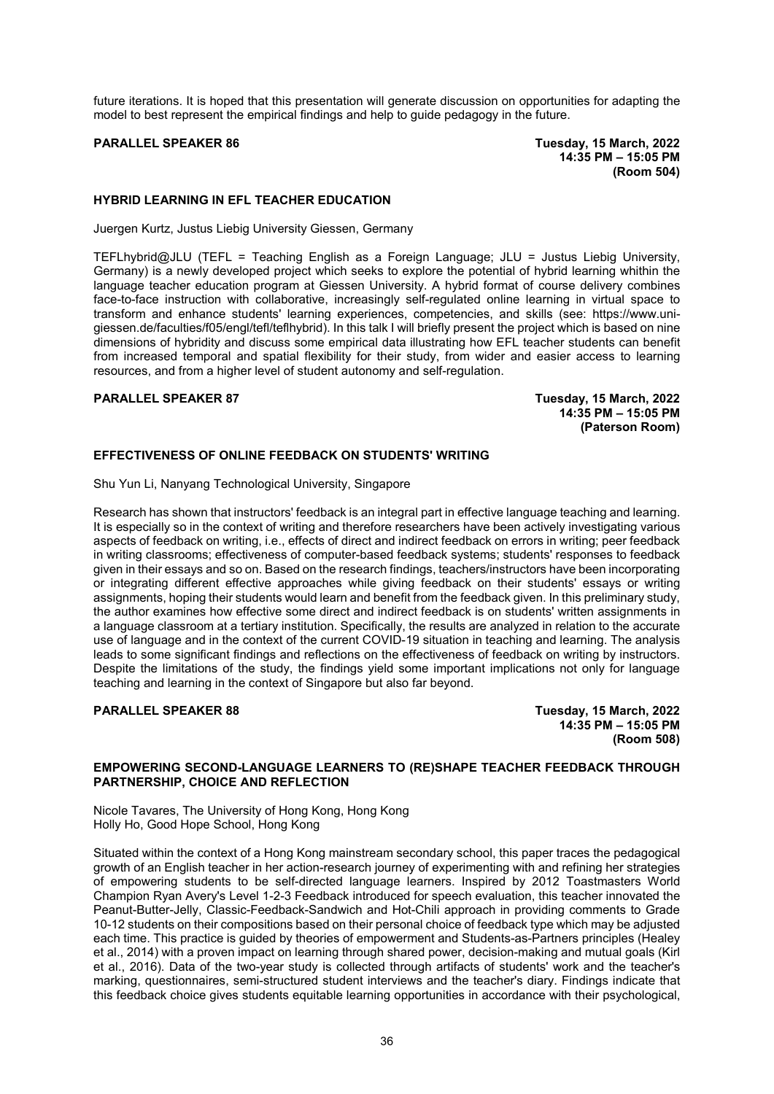future iterations. It is hoped that this presentation will generate discussion on opportunities for adapting the model to best represent the empirical findings and help to guide pedagogy in the future.

**PARALLEL SPEAKER 86 Tuesday, 15 March, 2022 14:35 PM – 15:05 PM (Room 504)**

# **HYBRID LEARNING IN EFL TEACHER EDUCATION**

Juergen Kurtz, Justus Liebig University Giessen, Germany

TEFLhybrid@JLU (TEFL = Teaching English as a Foreign Language; JLU = Justus Liebig University, Germany) is a newly developed project which seeks to explore the potential of hybrid learning whithin the language teacher education program at Giessen University. A hybrid format of course delivery combines face-to-face instruction with collaborative, increasingly self-regulated online learning in virtual space to transform and enhance students' learning experiences, competencies, and skills (see: https://www.unigiessen.de/faculties/f05/engl/tefl/teflhybrid). In this talk I will briefly present the project which is based on nine dimensions of hybridity and discuss some empirical data illustrating how EFL teacher students can benefit from increased temporal and spatial flexibility for their study, from wider and easier access to learning resources, and from a higher level of student autonomy and self-regulation.

**PARALLEL SPEAKER 87 Tuesday, 15 March, 2022 14:35 PM – 15:05 PM (Paterson Room)**

### **EFFECTIVENESS OF ONLINE FEEDBACK ON STUDENTS' WRITING**

Shu Yun Li, Nanyang Technological University, Singapore

Research has shown that instructors' feedback is an integral part in effective language teaching and learning. It is especially so in the context of writing and therefore researchers have been actively investigating various aspects of feedback on writing, i.e., effects of direct and indirect feedback on errors in writing; peer feedback in writing classrooms; effectiveness of computer-based feedback systems; students' responses to feedback given in their essays and so on. Based on the research findings, teachers/instructors have been incorporating or integrating different effective approaches while giving feedback on their students' essays or writing assignments, hoping their students would learn and benefit from the feedback given. In this preliminary study, the author examines how effective some direct and indirect feedback is on students' written assignments in a language classroom at a tertiary institution. Specifically, the results are analyzed in relation to the accurate use of language and in the context of the current COVID-19 situation in teaching and learning. The analysis leads to some significant findings and reflections on the effectiveness of feedback on writing by instructors. Despite the limitations of the study, the findings yield some important implications not only for language teaching and learning in the context of Singapore but also far beyond.

### **PARALLEL SPEAKER 88 Tuesday, 15 March, 2022**

**14:35 PM – 15:05 PM (Room 508)**

# **EMPOWERING SECOND-LANGUAGE LEARNERS TO (RE)SHAPE TEACHER FEEDBACK THROUGH PARTNERSHIP, CHOICE AND REFLECTION**

Nicole Tavares, The University of Hong Kong, Hong Kong Holly Ho, Good Hope School, Hong Kong

Situated within the context of a Hong Kong mainstream secondary school, this paper traces the pedagogical growth of an English teacher in her action-research journey of experimenting with and refining her strategies of empowering students to be self-directed language learners. Inspired by 2012 Toastmasters World Champion Ryan Avery's Level 1-2-3 Feedback introduced for speech evaluation, this teacher innovated the Peanut-Butter-Jelly, Classic-Feedback-Sandwich and Hot-Chili approach in providing comments to Grade 10-12 students on their compositions based on their personal choice of feedback type which may be adjusted each time. This practice is guided by theories of empowerment and Students-as-Partners principles (Healey et al., 2014) with a proven impact on learning through shared power, decision-making and mutual goals (Kirl et al., 2016). Data of the two-year study is collected through artifacts of students' work and the teacher's marking, questionnaires, semi-structured student interviews and the teacher's diary. Findings indicate that this feedback choice gives students equitable learning opportunities in accordance with their psychological,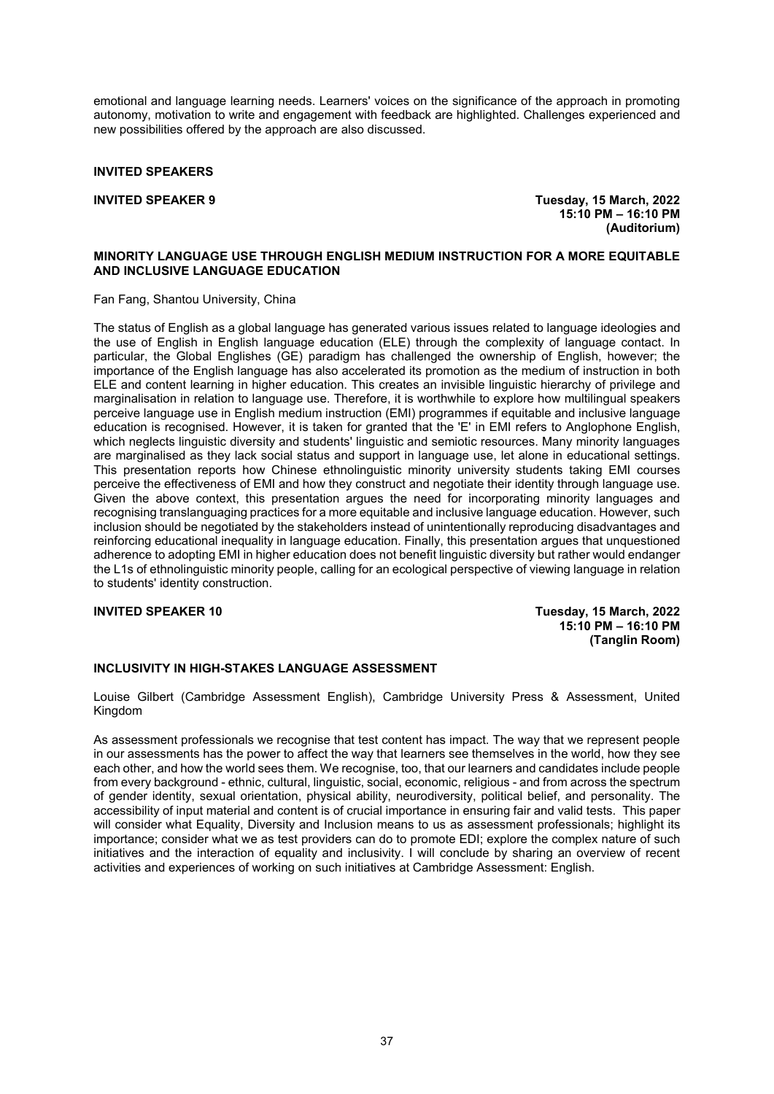emotional and language learning needs. Learners' voices on the significance of the approach in promoting autonomy, motivation to write and engagement with feedback are highlighted. Challenges experienced and new possibilities offered by the approach are also discussed.

# **INVITED SPEAKERS**

**INVITED SPEAKER 9 Tuesday, 15 March, 2022 15:10 PM – 16:10 PM (Auditorium)**

# **MINORITY LANGUAGE USE THROUGH ENGLISH MEDIUM INSTRUCTION FOR A MORE EQUITABLE AND INCLUSIVE LANGUAGE EDUCATION**

Fan Fang, Shantou University, China

The status of English as a global language has generated various issues related to language ideologies and the use of English in English language education (ELE) through the complexity of language contact. In particular, the Global Englishes (GE) paradigm has challenged the ownership of English, however; the importance of the English language has also accelerated its promotion as the medium of instruction in both ELE and content learning in higher education. This creates an invisible linguistic hierarchy of privilege and marginalisation in relation to language use. Therefore, it is worthwhile to explore how multilingual speakers perceive language use in English medium instruction (EMI) programmes if equitable and inclusive language education is recognised. However, it is taken for granted that the 'E' in EMI refers to Anglophone English, which neglects linguistic diversity and students' linguistic and semiotic resources. Many minority languages are marginalised as they lack social status and support in language use, let alone in educational settings. This presentation reports how Chinese ethnolinguistic minority university students taking EMI courses perceive the effectiveness of EMI and how they construct and negotiate their identity through language use. Given the above context, this presentation argues the need for incorporating minority languages and recognising translanguaging practices for a more equitable and inclusive language education. However, such inclusion should be negotiated by the stakeholders instead of unintentionally reproducing disadvantages and reinforcing educational inequality in language education. Finally, this presentation argues that unquestioned adherence to adopting EMI in higher education does not benefit linguistic diversity but rather would endanger the L1s of ethnolinguistic minority people, calling for an ecological perspective of viewing language in relation to students' identity construction.

**INVITED SPEAKER 10 Tuesday, 15 March, 2022 15:10 PM – 16:10 PM (Tanglin Room)**

# **INCLUSIVITY IN HIGH-STAKES LANGUAGE ASSESSMENT**

Louise Gilbert (Cambridge Assessment English), Cambridge University Press & Assessment, United Kingdom

As assessment professionals we recognise that test content has impact. The way that we represent people in our assessments has the power to affect the way that learners see themselves in the world, how they see each other, and how the world sees them. We recognise, too, that our learners and candidates include people from every background - ethnic, cultural, linguistic, social, economic, religious - and from across the spectrum of gender identity, sexual orientation, physical ability, neurodiversity, political belief, and personality. The accessibility of input material and content is of crucial importance in ensuring fair and valid tests. This paper will consider what Equality, Diversity and Inclusion means to us as assessment professionals; highlight its importance; consider what we as test providers can do to promote EDI; explore the complex nature of such initiatives and the interaction of equality and inclusivity. I will conclude by sharing an overview of recent activities and experiences of working on such initiatives at Cambridge Assessment: English.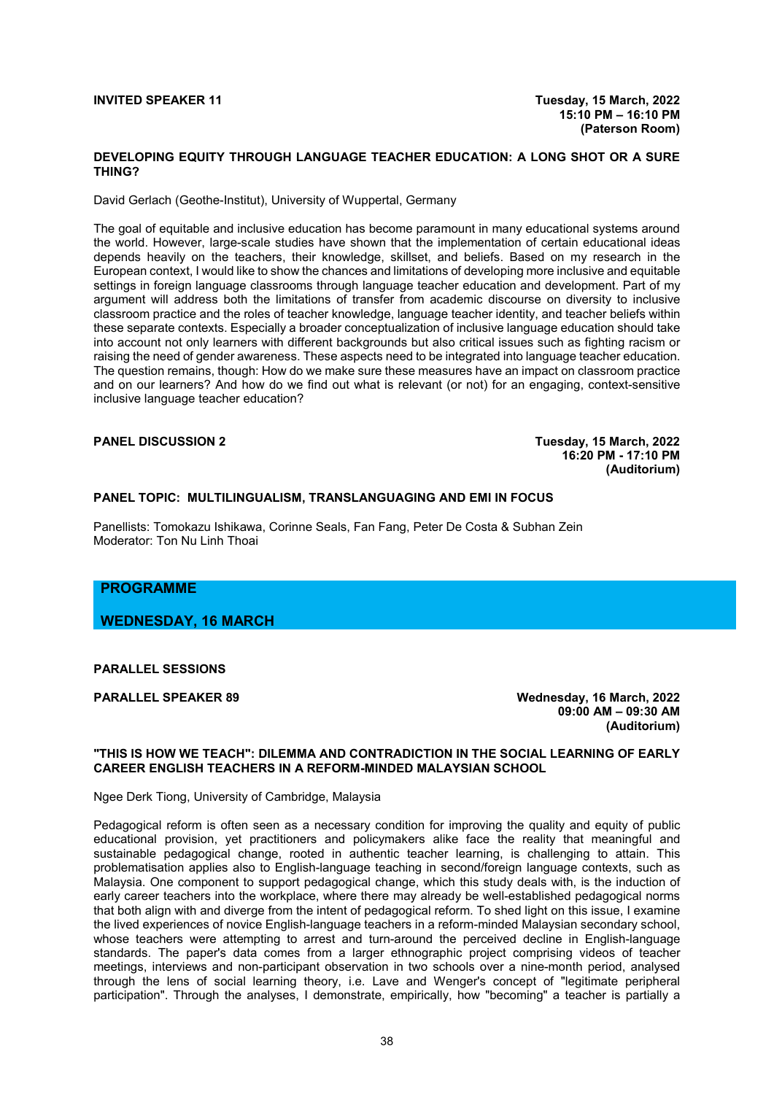# **DEVELOPING EQUITY THROUGH LANGUAGE TEACHER EDUCATION: A LONG SHOT OR A SURE THING?**

David Gerlach (Geothe-Institut), University of Wuppertal, Germany

The goal of equitable and inclusive education has become paramount in many educational systems around the world. However, large-scale studies have shown that the implementation of certain educational ideas depends heavily on the teachers, their knowledge, skillset, and beliefs. Based on my research in the European context, I would like to show the chances and limitations of developing more inclusive and equitable settings in foreign language classrooms through language teacher education and development. Part of my argument will address both the limitations of transfer from academic discourse on diversity to inclusive classroom practice and the roles of teacher knowledge, language teacher identity, and teacher beliefs within these separate contexts. Especially a broader conceptualization of inclusive language education should take into account not only learners with different backgrounds but also critical issues such as fighting racism or raising the need of gender awareness. These aspects need to be integrated into language teacher education. The question remains, though: How do we make sure these measures have an impact on classroom practice and on our learners? And how do we find out what is relevant (or not) for an engaging, context-sensitive inclusive language teacher education?

**PANEL DISCUSSION 2 Tuesday, 15 March, 2022 16:20 PM - 17:10 PM (Auditorium)**

# **PANEL TOPIC: MULTILINGUALISM, TRANSLANGUAGING AND EMI IN FOCUS**

Panellists: Tomokazu Ishikawa, Corinne Seals, Fan Fang, Peter De Costa & Subhan Zein Moderator: Ton Nu Linh Thoai

# **PROGRAMME**

**WEDNESDAY, 16 MARCH**

**PARALLEL SESSIONS**

**PARALLEL SPEAKER 89 Wednesday, 16 March, 2022 09:00 AM – 09:30 AM (Auditorium)**

# **"THIS IS HOW WE TEACH": DILEMMA AND CONTRADICTION IN THE SOCIAL LEARNING OF EARLY CAREER ENGLISH TEACHERS IN A REFORM-MINDED MALAYSIAN SCHOOL**

Ngee Derk Tiong, University of Cambridge, Malaysia

Pedagogical reform is often seen as a necessary condition for improving the quality and equity of public educational provision, yet practitioners and policymakers alike face the reality that meaningful and sustainable pedagogical change, rooted in authentic teacher learning, is challenging to attain. This problematisation applies also to English-language teaching in second/foreign language contexts, such as Malaysia. One component to support pedagogical change, which this study deals with, is the induction of early career teachers into the workplace, where there may already be well-established pedagogical norms that both align with and diverge from the intent of pedagogical reform. To shed light on this issue, I examine the lived experiences of novice English-language teachers in a reform-minded Malaysian secondary school, whose teachers were attempting to arrest and turn-around the perceived decline in English-language standards. The paper's data comes from a larger ethnographic project comprising videos of teacher meetings, interviews and non-participant observation in two schools over a nine-month period, analysed through the lens of social learning theory, i.e. Lave and Wenger's concept of "legitimate peripheral participation". Through the analyses, I demonstrate, empirically, how "becoming" a teacher is partially a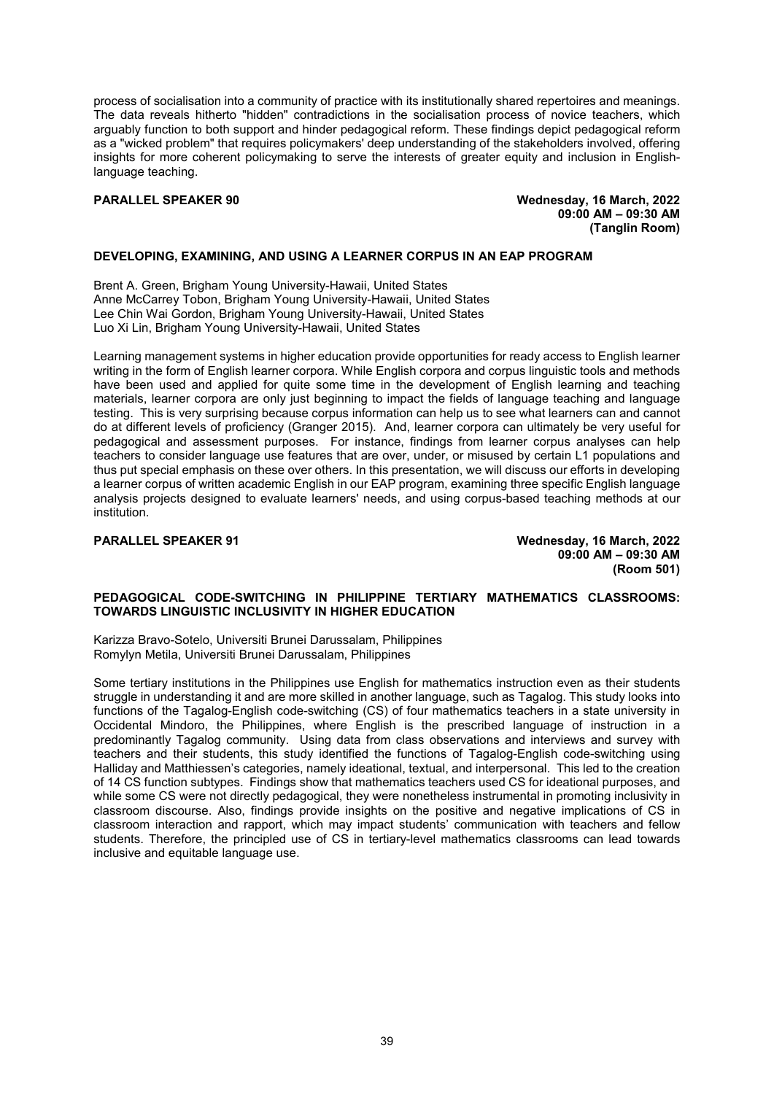process of socialisation into a community of practice with its institutionally shared repertoires and meanings. The data reveals hitherto "hidden" contradictions in the socialisation process of novice teachers, which arguably function to both support and hinder pedagogical reform. These findings depict pedagogical reform as a "wicked problem" that requires policymakers' deep understanding of the stakeholders involved, offering insights for more coherent policymaking to serve the interests of greater equity and inclusion in Englishlanguage teaching.

**PARALLEL SPEAKER 90 Wednesday, 16 March, 2022 09:00 AM – 09:30 AM (Tanglin Room)**

# **DEVELOPING, EXAMINING, AND USING A LEARNER CORPUS IN AN EAP PROGRAM**

Brent A. Green, Brigham Young University-Hawaii, United States Anne McCarrey Tobon, Brigham Young University-Hawaii, United States Lee Chin Wai Gordon, Brigham Young University-Hawaii, United States Luo Xi Lin, Brigham Young University-Hawaii, United States

Learning management systems in higher education provide opportunities for ready access to English learner writing in the form of English learner corpora. While English corpora and corpus linguistic tools and methods have been used and applied for quite some time in the development of English learning and teaching materials, learner corpora are only just beginning to impact the fields of language teaching and language testing. This is very surprising because corpus information can help us to see what learners can and cannot do at different levels of proficiency (Granger 2015). And, learner corpora can ultimately be very useful for pedagogical and assessment purposes. For instance, findings from learner corpus analyses can help teachers to consider language use features that are over, under, or misused by certain L1 populations and thus put special emphasis on these over others. In this presentation, we will discuss our efforts in developing a learner corpus of written academic English in our EAP program, examining three specific English language analysis projects designed to evaluate learners' needs, and using corpus-based teaching methods at our institution.

**PARALLEL SPEAKER 91 Wednesday, 16 March, 2022 09:00 AM – 09:30 AM (Room 501)**

# **PEDAGOGICAL CODE-SWITCHING IN PHILIPPINE TERTIARY MATHEMATICS CLASSROOMS: TOWARDS LINGUISTIC INCLUSIVITY IN HIGHER EDUCATION**

Karizza Bravo-Sotelo, Universiti Brunei Darussalam, Philippines Romylyn Metila, Universiti Brunei Darussalam, Philippines

Some tertiary institutions in the Philippines use English for mathematics instruction even as their students struggle in understanding it and are more skilled in another language, such as Tagalog. This study looks into functions of the Tagalog-English code-switching (CS) of four mathematics teachers in a state university in Occidental Mindoro, the Philippines, where English is the prescribed language of instruction in a predominantly Tagalog community. Using data from class observations and interviews and survey with teachers and their students, this study identified the functions of Tagalog-English code-switching using Halliday and Matthiessen's categories, namely ideational, textual, and interpersonal. This led to the creation of 14 CS function subtypes. Findings show that mathematics teachers used CS for ideational purposes, and while some CS were not directly pedagogical, they were nonetheless instrumental in promoting inclusivity in classroom discourse. Also, findings provide insights on the positive and negative implications of CS in classroom interaction and rapport, which may impact students' communication with teachers and fellow students. Therefore, the principled use of CS in tertiary-level mathematics classrooms can lead towards inclusive and equitable language use.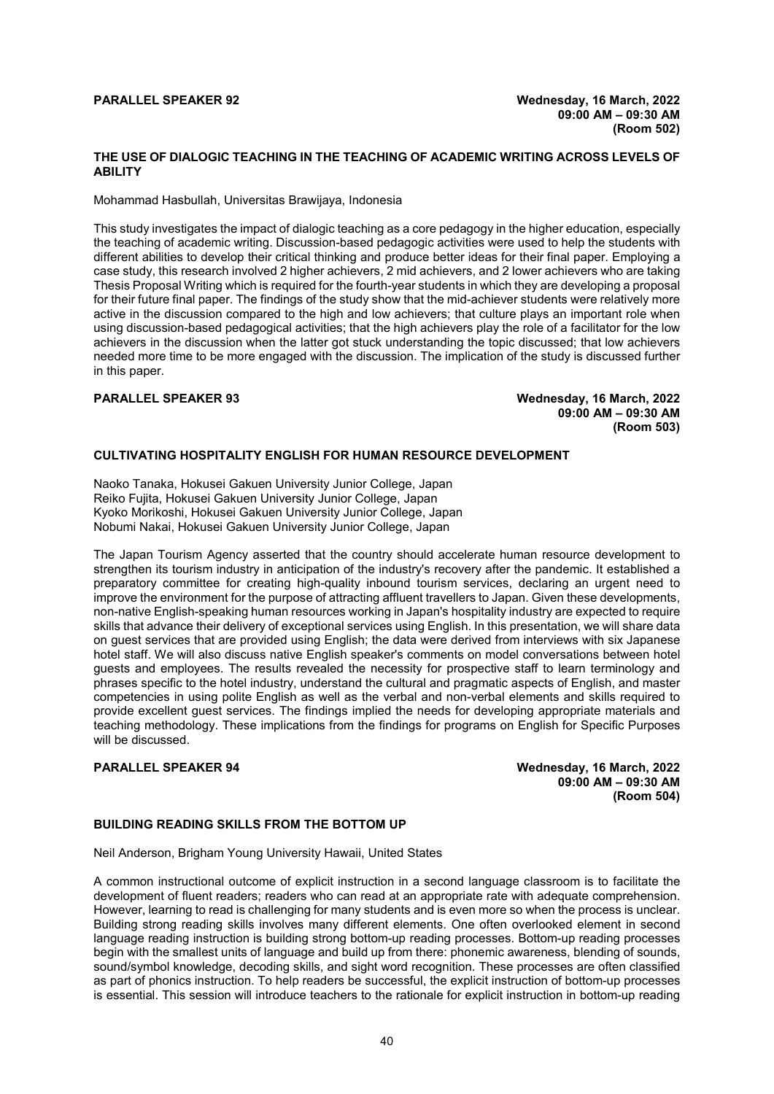# **THE USE OF DIALOGIC TEACHING IN THE TEACHING OF ACADEMIC WRITING ACROSS LEVELS OF ABILITY**

Mohammad Hasbullah, Universitas Brawijaya, Indonesia

This study investigates the impact of dialogic teaching as a core pedagogy in the higher education, especially the teaching of academic writing. Discussion-based pedagogic activities were used to help the students with different abilities to develop their critical thinking and produce better ideas for their final paper. Employing a case study, this research involved 2 higher achievers, 2 mid achievers, and 2 lower achievers who are taking Thesis Proposal Writing which is required for the fourth-year students in which they are developing a proposal for their future final paper. The findings of the study show that the mid-achiever students were relatively more active in the discussion compared to the high and low achievers; that culture plays an important role when using discussion-based pedagogical activities; that the high achievers play the role of a facilitator for the low achievers in the discussion when the latter got stuck understanding the topic discussed; that low achievers needed more time to be more engaged with the discussion. The implication of the study is discussed further in this paper.

**PARALLEL SPEAKER 93 Wednesday, 16 March, 2022 09:00 AM – 09:30 AM (Room 503)**

# **CULTIVATING HOSPITALITY ENGLISH FOR HUMAN RESOURCE DEVELOPMENT**

Naoko Tanaka, Hokusei Gakuen University Junior College, Japan Reiko Fujita, Hokusei Gakuen University Junior College, Japan Kyoko Morikoshi, Hokusei Gakuen University Junior College, Japan Nobumi Nakai, Hokusei Gakuen University Junior College, Japan

The Japan Tourism Agency asserted that the country should accelerate human resource development to strengthen its tourism industry in anticipation of the industry's recovery after the pandemic. It established a preparatory committee for creating high-quality inbound tourism services, declaring an urgent need to improve the environment for the purpose of attracting affluent travellers to Japan. Given these developments, non-native English-speaking human resources working in Japan's hospitality industry are expected to require skills that advance their delivery of exceptional services using English. In this presentation, we will share data on guest services that are provided using English; the data were derived from interviews with six Japanese hotel staff. We will also discuss native English speaker's comments on model conversations between hotel guests and employees. The results revealed the necessity for prospective staff to learn terminology and phrases specific to the hotel industry, understand the cultural and pragmatic aspects of English, and master competencies in using polite English as well as the verbal and non-verbal elements and skills required to provide excellent guest services. The findings implied the needs for developing appropriate materials and teaching methodology. These implications from the findings for programs on English for Specific Purposes will be discussed.

**PARALLEL SPEAKER 94 Wednesday, 16 March, 2022 09:00 AM – 09:30 AM (Room 504)**

# **BUILDING READING SKILLS FROM THE BOTTOM UP**

Neil Anderson, Brigham Young University Hawaii, United States

A common instructional outcome of explicit instruction in a second language classroom is to facilitate the development of fluent readers; readers who can read at an appropriate rate with adequate comprehension. However, learning to read is challenging for many students and is even more so when the process is unclear. Building strong reading skills involves many different elements. One often overlooked element in second language reading instruction is building strong bottom-up reading processes. Bottom-up reading processes begin with the smallest units of language and build up from there: phonemic awareness, blending of sounds, sound/symbol knowledge, decoding skills, and sight word recognition. These processes are often classified as part of phonics instruction. To help readers be successful, the explicit instruction of bottom-up processes is essential. This session will introduce teachers to the rationale for explicit instruction in bottom-up reading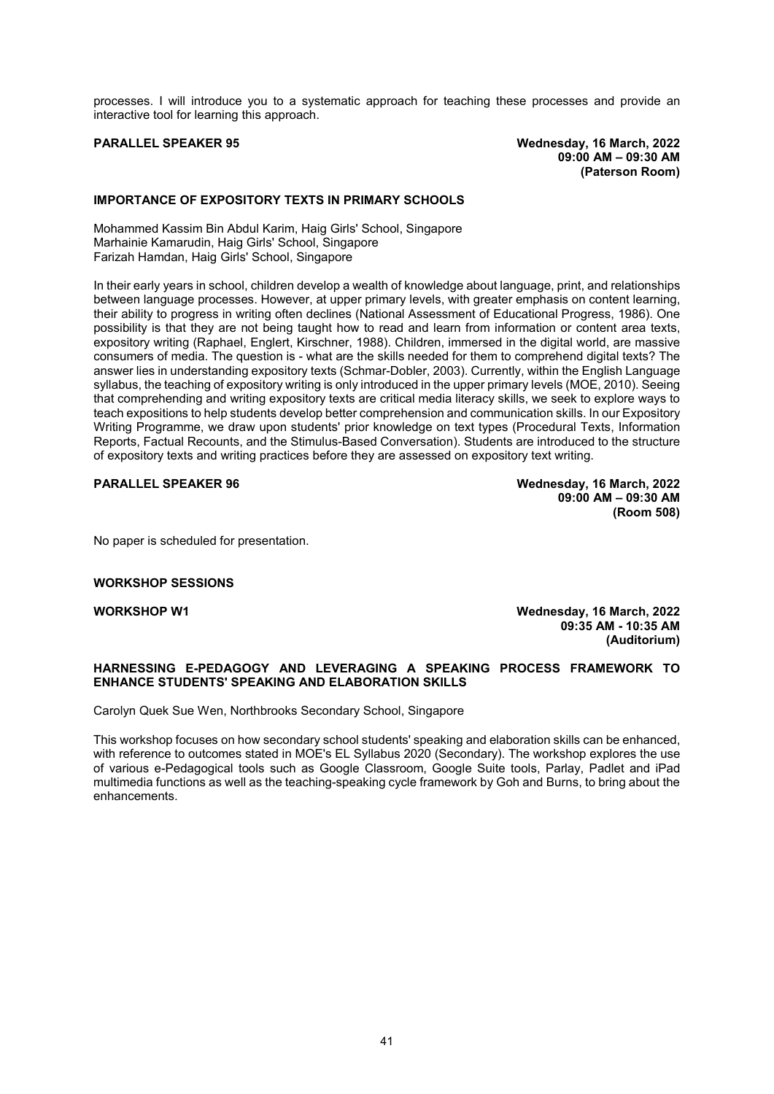processes. I will introduce you to a systematic approach for teaching these processes and provide an interactive tool for learning this approach.

**PARALLEL SPEAKER 95 Wednesday, 16 March, 2022 09:00 AM – 09:30 AM (Paterson Room)**

### **IMPORTANCE OF EXPOSITORY TEXTS IN PRIMARY SCHOOLS**

Mohammed Kassim Bin Abdul Karim, Haig Girls' School, Singapore Marhainie Kamarudin, Haig Girls' School, Singapore Farizah Hamdan, Haig Girls' School, Singapore

In their early years in school, children develop a wealth of knowledge about language, print, and relationships between language processes. However, at upper primary levels, with greater emphasis on content learning, their ability to progress in writing often declines (National Assessment of Educational Progress, 1986). One possibility is that they are not being taught how to read and learn from information or content area texts, expository writing (Raphael, Englert, Kirschner, 1988). Children, immersed in the digital world, are massive consumers of media. The question is - what are the skills needed for them to comprehend digital texts? The answer lies in understanding expository texts (Schmar-Dobler, 2003). Currently, within the English Language syllabus, the teaching of expository writing is only introduced in the upper primary levels (MOE, 2010). Seeing that comprehending and writing expository texts are critical media literacy skills, we seek to explore ways to teach expositions to help students develop better comprehension and communication skills. In our Expository Writing Programme, we draw upon students' prior knowledge on text types (Procedural Texts, Information Reports, Factual Recounts, and the Stimulus-Based Conversation). Students are introduced to the structure of expository texts and writing practices before they are assessed on expository text writing.

### **PARALLEL SPEAKER 96 Wednesday, 16 March, 2022**

**09:00 AM – 09:30 AM (Room 508)**

No paper is scheduled for presentation.

### **WORKSHOP SESSIONS**

**WORKSHOP W1 Wednesday, 16 March, 2022 09:35 AM - 10:35 AM (Auditorium)**

### **HARNESSING E-PEDAGOGY AND LEVERAGING A SPEAKING PROCESS FRAMEWORK TO ENHANCE STUDENTS' SPEAKING AND ELABORATION SKILLS**

Carolyn Quek Sue Wen, Northbrooks Secondary School, Singapore

This workshop focuses on how secondary school students' speaking and elaboration skills can be enhanced, with reference to outcomes stated in MOE's EL Syllabus 2020 (Secondary). The workshop explores the use of various e-Pedagogical tools such as Google Classroom, Google Suite tools, Parlay, Padlet and iPad multimedia functions as well as the teaching-speaking cycle framework by Goh and Burns, to bring about the enhancements.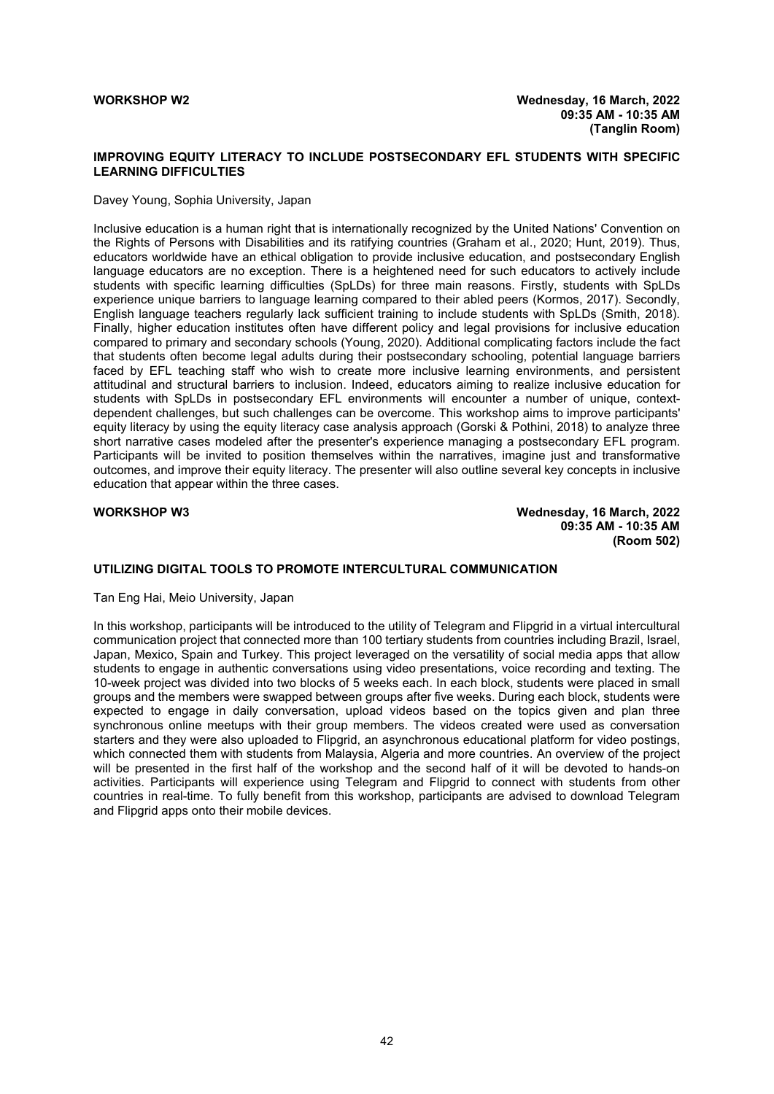## **IMPROVING EQUITY LITERACY TO INCLUDE POSTSECONDARY EFL STUDENTS WITH SPECIFIC LEARNING DIFFICULTIES**

### Davey Young, Sophia University, Japan

Inclusive education is a human right that is internationally recognized by the United Nations' Convention on the Rights of Persons with Disabilities and its ratifying countries (Graham et al., 2020; Hunt, 2019). Thus, educators worldwide have an ethical obligation to provide inclusive education, and postsecondary English language educators are no exception. There is a heightened need for such educators to actively include students with specific learning difficulties (SpLDs) for three main reasons. Firstly, students with SpLDs experience unique barriers to language learning compared to their abled peers (Kormos, 2017). Secondly, English language teachers regularly lack sufficient training to include students with SpLDs (Smith, 2018). Finally, higher education institutes often have different policy and legal provisions for inclusive education compared to primary and secondary schools (Young, 2020). Additional complicating factors include the fact that students often become legal adults during their postsecondary schooling, potential language barriers faced by EFL teaching staff who wish to create more inclusive learning environments, and persistent attitudinal and structural barriers to inclusion. Indeed, educators aiming to realize inclusive education for students with SpLDs in postsecondary EFL environments will encounter a number of unique, contextdependent challenges, but such challenges can be overcome. This workshop aims to improve participants' equity literacy by using the equity literacy case analysis approach (Gorski & Pothini, 2018) to analyze three short narrative cases modeled after the presenter's experience managing a postsecondary EFL program. Participants will be invited to position themselves within the narratives, imagine just and transformative outcomes, and improve their equity literacy. The presenter will also outline several key concepts in inclusive education that appear within the three cases.

**WORKSHOP W3 Wednesday, 16 March, 2022 09:35 AM - 10:35 AM (Room 502)**

# **UTILIZING DIGITAL TOOLS TO PROMOTE INTERCULTURAL COMMUNICATION**

Tan Eng Hai, Meio University, Japan

In this workshop, participants will be introduced to the utility of Telegram and Flipgrid in a virtual intercultural communication project that connected more than 100 tertiary students from countries including Brazil, Israel, Japan, Mexico, Spain and Turkey. This project leveraged on the versatility of social media apps that allow students to engage in authentic conversations using video presentations, voice recording and texting. The 10-week project was divided into two blocks of 5 weeks each. In each block, students were placed in small groups and the members were swapped between groups after five weeks. During each block, students were expected to engage in daily conversation, upload videos based on the topics given and plan three synchronous online meetups with their group members. The videos created were used as conversation starters and they were also uploaded to Flipgrid, an asynchronous educational platform for video postings, which connected them with students from Malaysia, Algeria and more countries. An overview of the project will be presented in the first half of the workshop and the second half of it will be devoted to hands-on activities. Participants will experience using Telegram and Flipgrid to connect with students from other countries in real-time. To fully benefit from this workshop, participants are advised to download Telegram and Flipgrid apps onto their mobile devices.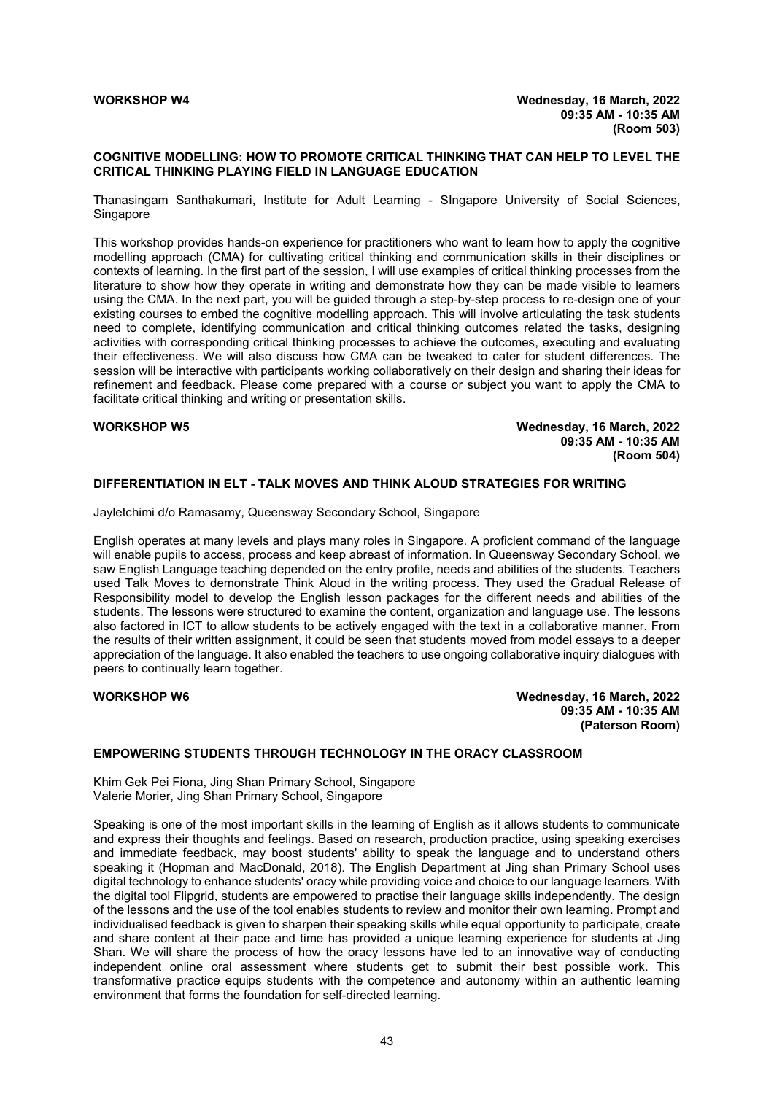# **COGNITIVE MODELLING: HOW TO PROMOTE CRITICAL THINKING THAT CAN HELP TO LEVEL THE CRITICAL THINKING PLAYING FIELD IN LANGUAGE EDUCATION**

Thanasingam Santhakumari, Institute for Adult Learning - SIngapore University of Social Sciences, **Singapore** 

This workshop provides hands-on experience for practitioners who want to learn how to apply the cognitive modelling approach (CMA) for cultivating critical thinking and communication skills in their disciplines or contexts of learning. In the first part of the session, I will use examples of critical thinking processes from the literature to show how they operate in writing and demonstrate how they can be made visible to learners using the CMA. In the next part, you will be guided through a step-by-step process to re-design one of your existing courses to embed the cognitive modelling approach. This will involve articulating the task students need to complete, identifying communication and critical thinking outcomes related the tasks, designing activities with corresponding critical thinking processes to achieve the outcomes, executing and evaluating their effectiveness. We will also discuss how CMA can be tweaked to cater for student differences. The session will be interactive with participants working collaboratively on their design and sharing their ideas for refinement and feedback. Please come prepared with a course or subject you want to apply the CMA to facilitate critical thinking and writing or presentation skills.

**WORKSHOP W5 Wednesday, 16 March, 2022 09:35 AM - 10:35 AM (Room 504)**

# **DIFFERENTIATION IN ELT - TALK MOVES AND THINK ALOUD STRATEGIES FOR WRITING**

Jayletchimi d/o Ramasamy, Queensway Secondary School, Singapore

English operates at many levels and plays many roles in Singapore. A proficient command of the language will enable pupils to access, process and keep abreast of information. In Queensway Secondary School, we saw English Language teaching depended on the entry profile, needs and abilities of the students. Teachers used Talk Moves to demonstrate Think Aloud in the writing process. They used the Gradual Release of Responsibility model to develop the English lesson packages for the different needs and abilities of the students. The lessons were structured to examine the content, organization and language use. The lessons also factored in ICT to allow students to be actively engaged with the text in a collaborative manner. From the results of their written assignment, it could be seen that students moved from model essays to a deeper appreciation of the language. It also enabled the teachers to use ongoing collaborative inquiry dialogues with peers to continually learn together.

**WORKSHOP W6 Wednesday, 16 March, 2022 09:35 AM - 10:35 AM (Paterson Room)**

### **EMPOWERING STUDENTS THROUGH TECHNOLOGY IN THE ORACY CLASSROOM**

Khim Gek Pei Fiona, Jing Shan Primary School, Singapore Valerie Morier, Jing Shan Primary School, Singapore

Speaking is one of the most important skills in the learning of English as it allows students to communicate and express their thoughts and feelings. Based on research, production practice, using speaking exercises and immediate feedback, may boost students' ability to speak the language and to understand others speaking it (Hopman and MacDonald, 2018). The English Department at Jing shan Primary School uses digital technology to enhance students' oracy while providing voice and choice to our language learners. With the digital tool Flipgrid, students are empowered to practise their language skills independently. The design of the lessons and the use of the tool enables students to review and monitor their own learning. Prompt and individualised feedback is given to sharpen their speaking skills while equal opportunity to participate, create and share content at their pace and time has provided a unique learning experience for students at Jing Shan. We will share the process of how the oracy lessons have led to an innovative way of conducting independent online oral assessment where students get to submit their best possible work. This transformative practice equips students with the competence and autonomy within an authentic learning environment that forms the foundation for self-directed learning.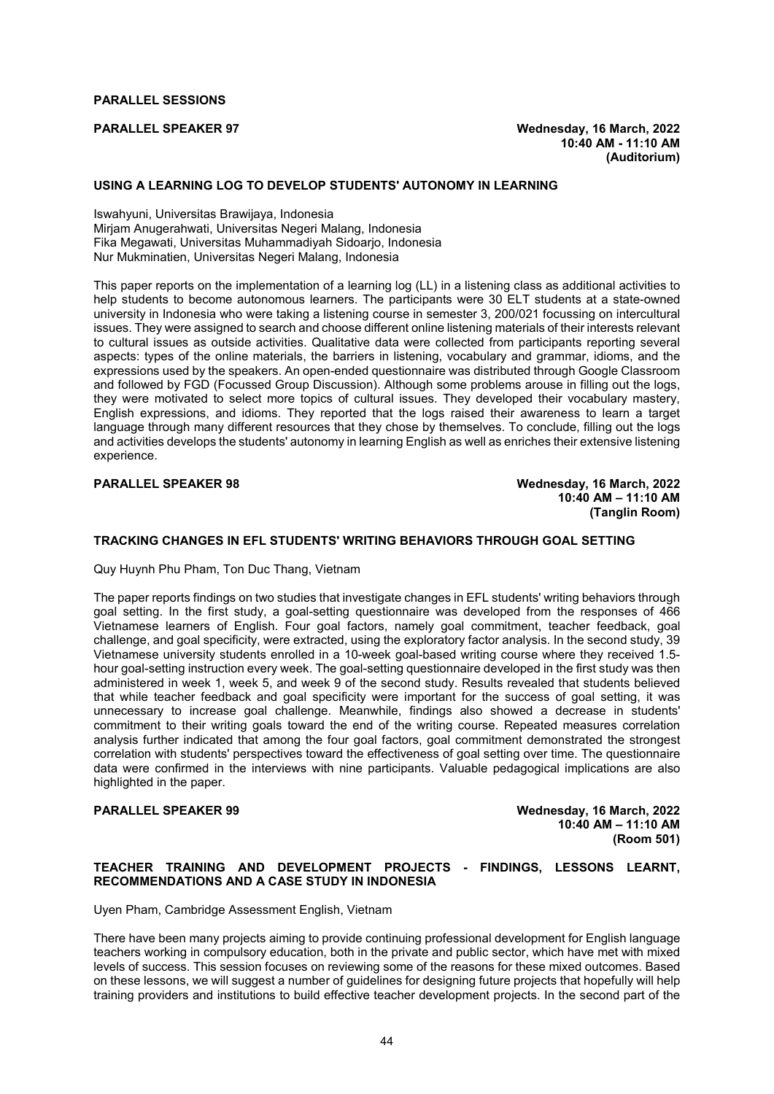# **PARALLEL SESSIONS**

# **USING A LEARNING LOG TO DEVELOP STUDENTS' AUTONOMY IN LEARNING**

Iswahyuni, Universitas Brawijaya, Indonesia Mirjam Anugerahwati, Universitas Negeri Malang, Indonesia Fika Megawati, Universitas Muhammadiyah Sidoarjo, Indonesia Nur Mukminatien, Universitas Negeri Malang, Indonesia

This paper reports on the implementation of a learning log (LL) in a listening class as additional activities to help students to become autonomous learners. The participants were 30 ELT students at a state-owned university in Indonesia who were taking a listening course in semester 3, 200/021 focussing on intercultural issues. They were assigned to search and choose different online listening materials of their interests relevant to cultural issues as outside activities. Qualitative data were collected from participants reporting several aspects: types of the online materials, the barriers in listening, vocabulary and grammar, idioms, and the expressions used by the speakers. An open-ended questionnaire was distributed through Google Classroom and followed by FGD (Focussed Group Discussion). Although some problems arouse in filling out the logs, they were motivated to select more topics of cultural issues. They developed their vocabulary mastery, English expressions, and idioms. They reported that the logs raised their awareness to learn a target language through many different resources that they chose by themselves. To conclude, filling out the logs and activities develops the students' autonomy in learning English as well as enriches their extensive listening experience.

# **PARALLEL SPEAKER 98 Wednesday, 16 March, 2022**

# **10:40 AM – 11:10 AM (Tanglin Room)**

# **TRACKING CHANGES IN EFL STUDENTS' WRITING BEHAVIORS THROUGH GOAL SETTING**

Quy Huynh Phu Pham, Ton Duc Thang, Vietnam

The paper reports findings on two studies that investigate changes in EFL students' writing behaviors through goal setting. In the first study, a goal-setting questionnaire was developed from the responses of 466 Vietnamese learners of English. Four goal factors, namely goal commitment, teacher feedback, goal challenge, and goal specificity, were extracted, using the exploratory factor analysis. In the second study, 39 Vietnamese university students enrolled in a 10-week goal-based writing course where they received 1.5 hour goal-setting instruction every week. The goal-setting questionnaire developed in the first study was then administered in week 1, week 5, and week 9 of the second study. Results revealed that students believed that while teacher feedback and goal specificity were important for the success of goal setting, it was unnecessary to increase goal challenge. Meanwhile, findings also showed a decrease in students' commitment to their writing goals toward the end of the writing course. Repeated measures correlation analysis further indicated that among the four goal factors, goal commitment demonstrated the strongest correlation with students' perspectives toward the effectiveness of goal setting over time. The questionnaire data were confirmed in the interviews with nine participants. Valuable pedagogical implications are also highlighted in the paper.

**PARALLEL SPEAKER 99 Wednesday, 16 March, 2022 10:40 AM – 11:10 AM (Room 501)**

### **TEACHER TRAINING AND DEVELOPMENT PROJECTS - FINDINGS, LESSONS LEARNT, RECOMMENDATIONS AND A CASE STUDY IN INDONESIA**

Uyen Pham, Cambridge Assessment English, Vietnam

There have been many projects aiming to provide continuing professional development for English language teachers working in compulsory education, both in the private and public sector, which have met with mixed levels of success. This session focuses on reviewing some of the reasons for these mixed outcomes. Based on these lessons, we will suggest a number of guidelines for designing future projects that hopefully will help training providers and institutions to build effective teacher development projects. In the second part of the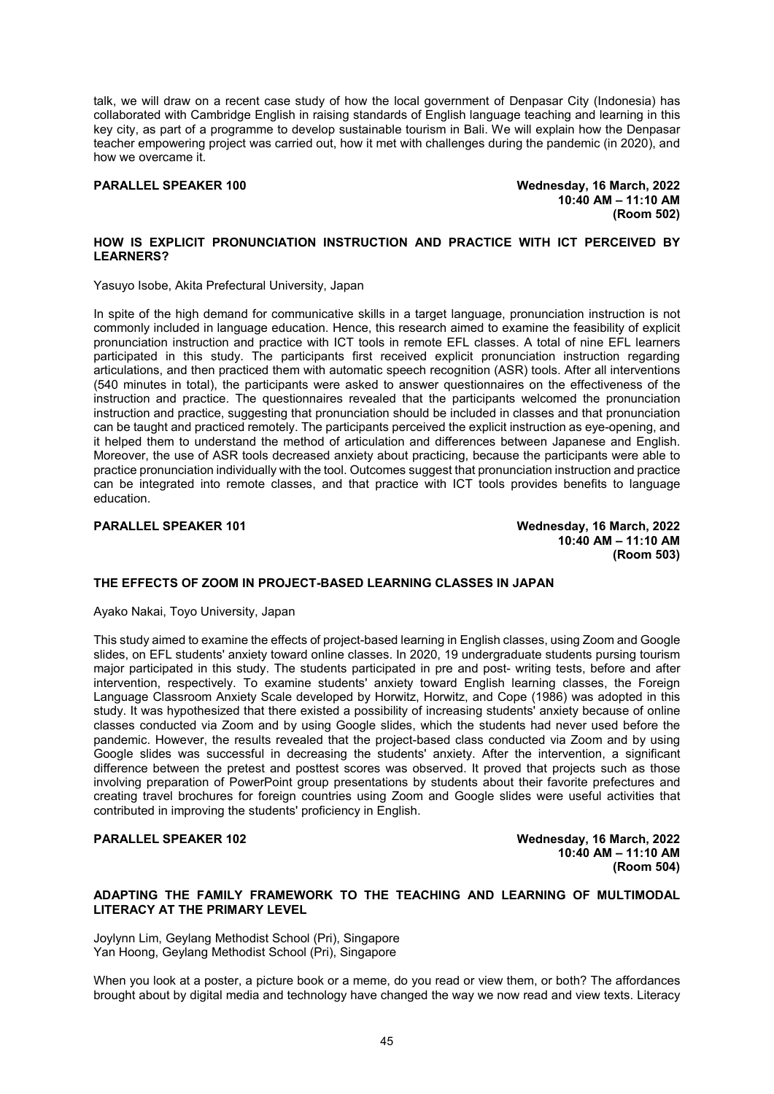talk, we will draw on a recent case study of how the local government of Denpasar City (Indonesia) has collaborated with Cambridge English in raising standards of English language teaching and learning in this key city, as part of a programme to develop sustainable tourism in Bali. We will explain how the Denpasar teacher empowering project was carried out, how it met with challenges during the pandemic (in 2020), and how we overcame it.

**PARALLEL SPEAKER 100 Wednesday, 16 March, 2022 10:40 AM – 11:10 AM (Room 502)**

# **HOW IS EXPLICIT PRONUNCIATION INSTRUCTION AND PRACTICE WITH ICT PERCEIVED BY LEARNERS?**

Yasuyo Isobe, Akita Prefectural University, Japan

In spite of the high demand for communicative skills in a target language, pronunciation instruction is not commonly included in language education. Hence, this research aimed to examine the feasibility of explicit pronunciation instruction and practice with ICT tools in remote EFL classes. A total of nine EFL learners participated in this study. The participants first received explicit pronunciation instruction regarding articulations, and then practiced them with automatic speech recognition (ASR) tools. After all interventions (540 minutes in total), the participants were asked to answer questionnaires on the effectiveness of the instruction and practice. The questionnaires revealed that the participants welcomed the pronunciation instruction and practice, suggesting that pronunciation should be included in classes and that pronunciation can be taught and practiced remotely. The participants perceived the explicit instruction as eye-opening, and it helped them to understand the method of articulation and differences between Japanese and English. Moreover, the use of ASR tools decreased anxiety about practicing, because the participants were able to practice pronunciation individually with the tool. Outcomes suggest that pronunciation instruction and practice can be integrated into remote classes, and that practice with ICT tools provides benefits to language education.

**PARALLEL SPEAKER 101 Wednesday, 16 March, 2022 10:40 AM – 11:10 AM (Room 503)**

# **THE EFFECTS OF ZOOM IN PROJECT-BASED LEARNING CLASSES IN JAPAN**

Ayako Nakai, Toyo University, Japan

This study aimed to examine the effects of project-based learning in English classes, using Zoom and Google slides, on EFL students' anxiety toward online classes. In 2020, 19 undergraduate students pursing tourism major participated in this study. The students participated in pre and post- writing tests, before and after intervention, respectively. To examine students' anxiety toward English learning classes, the Foreign Language Classroom Anxiety Scale developed by Horwitz, Horwitz, and Cope (1986) was adopted in this study. It was hypothesized that there existed a possibility of increasing students' anxiety because of online classes conducted via Zoom and by using Google slides, which the students had never used before the pandemic. However, the results revealed that the project-based class conducted via Zoom and by using Google slides was successful in decreasing the students' anxiety. After the intervention, a significant difference between the pretest and posttest scores was observed. It proved that projects such as those involving preparation of PowerPoint group presentations by students about their favorite prefectures and creating travel brochures for foreign countries using Zoom and Google slides were useful activities that contributed in improving the students' proficiency in English.

**PARALLEL SPEAKER 102 Wednesday, 16 March, 2022 10:40 AM – 11:10 AM (Room 504)**

# **ADAPTING THE FAMILY FRAMEWORK TO THE TEACHING AND LEARNING OF MULTIMODAL LITERACY AT THE PRIMARY LEVEL**

Joylynn Lim, Geylang Methodist School (Pri), Singapore Yan Hoong, Geylang Methodist School (Pri), Singapore

When you look at a poster, a picture book or a meme, do you read or view them, or both? The affordances brought about by digital media and technology have changed the way we now read and view texts. Literacy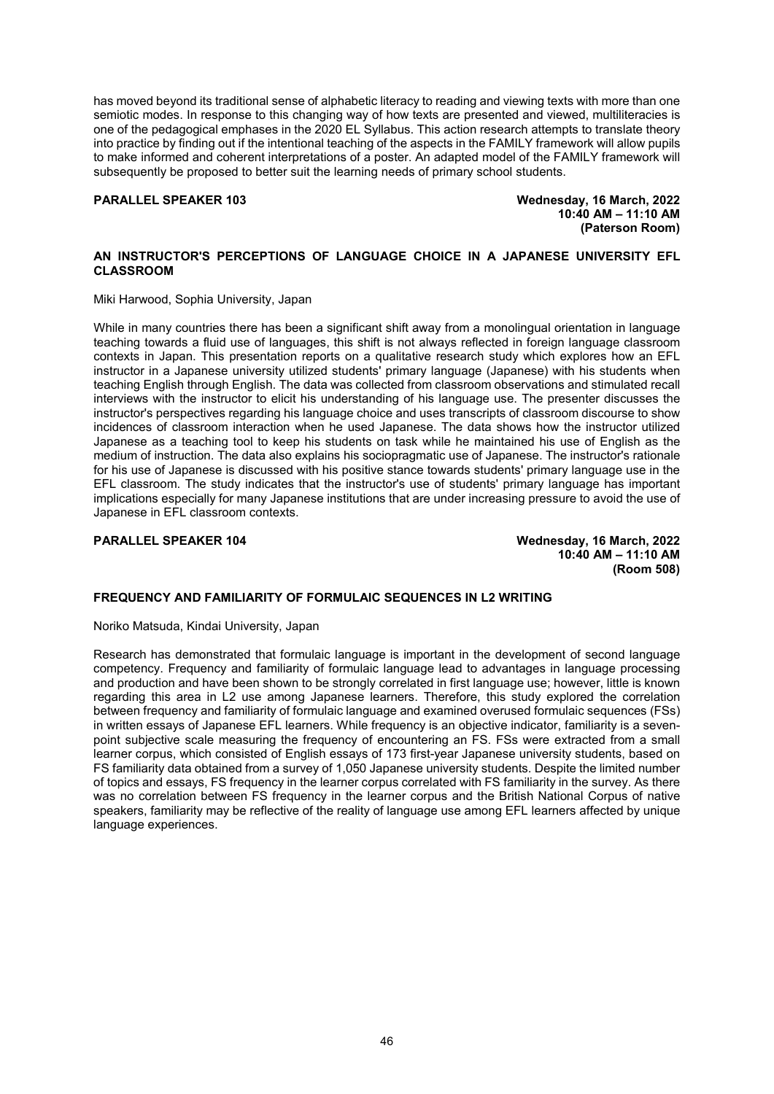has moved beyond its traditional sense of alphabetic literacy to reading and viewing texts with more than one semiotic modes. In response to this changing way of how texts are presented and viewed, multiliteracies is one of the pedagogical emphases in the 2020 EL Syllabus. This action research attempts to translate theory into practice by finding out if the intentional teaching of the aspects in the FAMILY framework will allow pupils to make informed and coherent interpretations of a poster. An adapted model of the FAMILY framework will subsequently be proposed to better suit the learning needs of primary school students.

**PARALLEL SPEAKER 103 Wednesday, 16 March, 2022 10:40 AM – 11:10 AM (Paterson Room)**

# **AN INSTRUCTOR'S PERCEPTIONS OF LANGUAGE CHOICE IN A JAPANESE UNIVERSITY EFL CLASSROOM**

Miki Harwood, Sophia University, Japan

While in many countries there has been a significant shift away from a monolingual orientation in language teaching towards a fluid use of languages, this shift is not always reflected in foreign language classroom contexts in Japan. This presentation reports on a qualitative research study which explores how an EFL instructor in a Japanese university utilized students' primary language (Japanese) with his students when teaching English through English. The data was collected from classroom observations and stimulated recall interviews with the instructor to elicit his understanding of his language use. The presenter discusses the instructor's perspectives regarding his language choice and uses transcripts of classroom discourse to show incidences of classroom interaction when he used Japanese. The data shows how the instructor utilized Japanese as a teaching tool to keep his students on task while he maintained his use of English as the medium of instruction. The data also explains his sociopragmatic use of Japanese. The instructor's rationale for his use of Japanese is discussed with his positive stance towards students' primary language use in the EFL classroom. The study indicates that the instructor's use of students' primary language has important implications especially for many Japanese institutions that are under increasing pressure to avoid the use of Japanese in EFL classroom contexts.

### **PARALLEL SPEAKER 104 Wednesday, 16 March, 2022**

**10:40 AM – 11:10 AM (Room 508)**

# **FREQUENCY AND FAMILIARITY OF FORMULAIC SEQUENCES IN L2 WRITING**

### Noriko Matsuda, Kindai University, Japan

Research has demonstrated that formulaic language is important in the development of second language competency. Frequency and familiarity of formulaic language lead to advantages in language processing and production and have been shown to be strongly correlated in first language use; however, little is known regarding this area in L2 use among Japanese learners. Therefore, this study explored the correlation between frequency and familiarity of formulaic language and examined overused formulaic sequences (FSs) in written essays of Japanese EFL learners. While frequency is an objective indicator, familiarity is a sevenpoint subjective scale measuring the frequency of encountering an FS. FSs were extracted from a small learner corpus, which consisted of English essays of 173 first-year Japanese university students, based on FS familiarity data obtained from a survey of 1,050 Japanese university students. Despite the limited number of topics and essays, FS frequency in the learner corpus correlated with FS familiarity in the survey. As there was no correlation between FS frequency in the learner corpus and the British National Corpus of native speakers, familiarity may be reflective of the reality of language use among EFL learners affected by unique language experiences.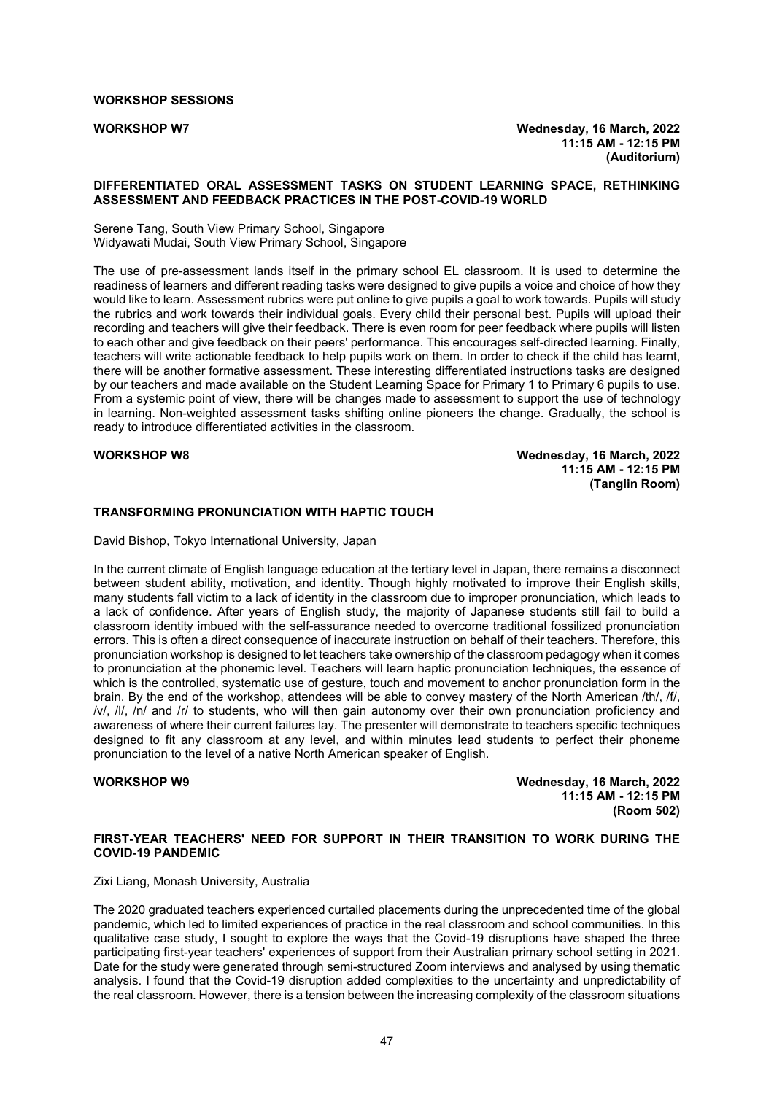## **WORKSHOP SESSIONS**

# **DIFFERENTIATED ORAL ASSESSMENT TASKS ON STUDENT LEARNING SPACE, RETHINKING ASSESSMENT AND FEEDBACK PRACTICES IN THE POST-COVID-19 WORLD**

Serene Tang, South View Primary School, Singapore Widyawati Mudai, South View Primary School, Singapore

The use of pre-assessment lands itself in the primary school EL classroom. It is used to determine the readiness of learners and different reading tasks were designed to give pupils a voice and choice of how they would like to learn. Assessment rubrics were put online to give pupils a goal to work towards. Pupils will study the rubrics and work towards their individual goals. Every child their personal best. Pupils will upload their recording and teachers will give their feedback. There is even room for peer feedback where pupils will listen to each other and give feedback on their peers' performance. This encourages self-directed learning. Finally, teachers will write actionable feedback to help pupils work on them. In order to check if the child has learnt, there will be another formative assessment. These interesting differentiated instructions tasks are designed by our teachers and made available on the Student Learning Space for Primary 1 to Primary 6 pupils to use. From a systemic point of view, there will be changes made to assessment to support the use of technology in learning. Non-weighted assessment tasks shifting online pioneers the change. Gradually, the school is ready to introduce differentiated activities in the classroom.

**WORKSHOP W8 Wednesday, 16 March, 2022 11:15 AM - 12:15 PM (Tanglin Room)**

# **TRANSFORMING PRONUNCIATION WITH HAPTIC TOUCH**

David Bishop, Tokyo International University, Japan

In the current climate of English language education at the tertiary level in Japan, there remains a disconnect between student ability, motivation, and identity. Though highly motivated to improve their English skills, many students fall victim to a lack of identity in the classroom due to improper pronunciation, which leads to a lack of confidence. After years of English study, the majority of Japanese students still fail to build a classroom identity imbued with the self-assurance needed to overcome traditional fossilized pronunciation errors. This is often a direct consequence of inaccurate instruction on behalf of their teachers. Therefore, this pronunciation workshop is designed to let teachers take ownership of the classroom pedagogy when it comes to pronunciation at the phonemic level. Teachers will learn haptic pronunciation techniques, the essence of which is the controlled, systematic use of gesture, touch and movement to anchor pronunciation form in the brain. By the end of the workshop, attendees will be able to convey mastery of the North American /th/, /f/, /v/, /l/, /n/ and /r/ to students, who will then gain autonomy over their own pronunciation proficiency and awareness of where their current failures lay. The presenter will demonstrate to teachers specific techniques designed to fit any classroom at any level, and within minutes lead students to perfect their phoneme pronunciation to the level of a native North American speaker of English.

**WORKSHOP W9 Wednesday, 16 March, 2022 11:15 AM - 12:15 PM (Room 502)**

# **FIRST-YEAR TEACHERS' NEED FOR SUPPORT IN THEIR TRANSITION TO WORK DURING THE COVID-19 PANDEMIC**

Zixi Liang, Monash University, Australia

The 2020 graduated teachers experienced curtailed placements during the unprecedented time of the global pandemic, which led to limited experiences of practice in the real classroom and school communities. In this qualitative case study, I sought to explore the ways that the Covid-19 disruptions have shaped the three participating first-year teachers' experiences of support from their Australian primary school setting in 2021. Date for the study were generated through semi-structured Zoom interviews and analysed by using thematic analysis. I found that the Covid-19 disruption added complexities to the uncertainty and unpredictability of the real classroom. However, there is a tension between the increasing complexity of the classroom situations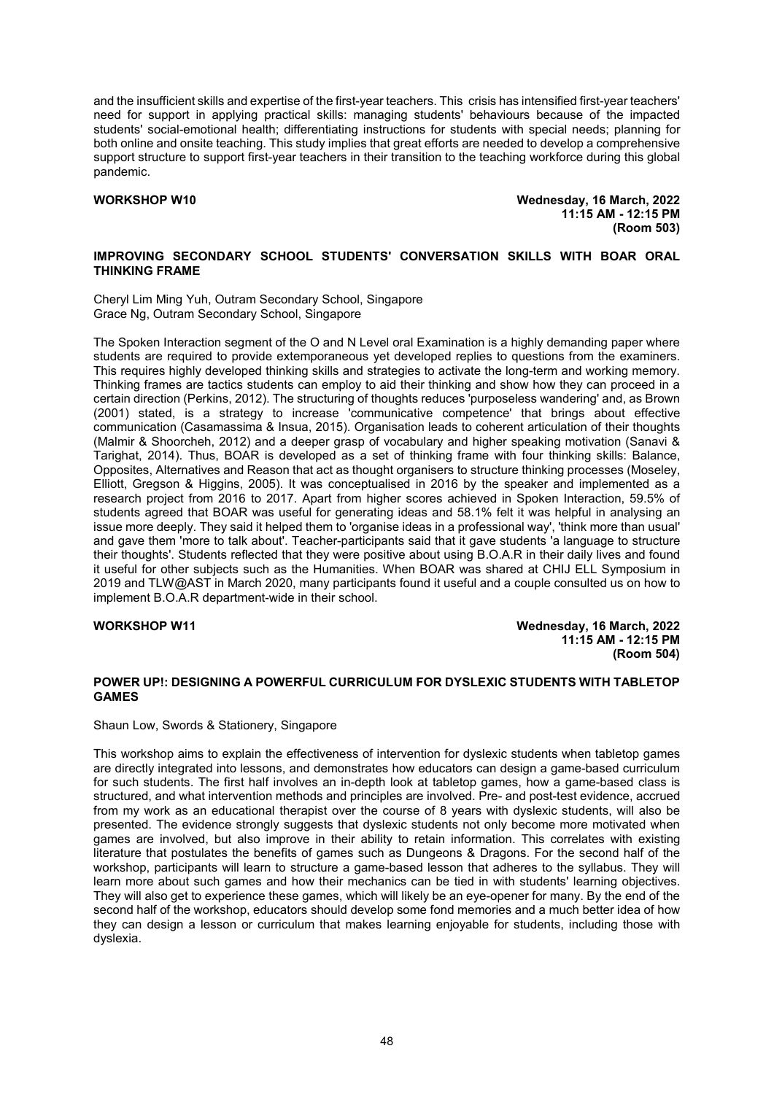and the insufficient skills and expertise of the first-year teachers. This crisis has intensified first-year teachers' need for support in applying practical skills: managing students' behaviours because of the impacted students' social-emotional health; differentiating instructions for students with special needs; planning for both online and onsite teaching. This study implies that great efforts are needed to develop a comprehensive support structure to support first-year teachers in their transition to the teaching workforce during this global pandemic.

**WORKSHOP W10 Wednesday, 16 March, 2022 11:15 AM - 12:15 PM (Room 503)**

# **IMPROVING SECONDARY SCHOOL STUDENTS' CONVERSATION SKILLS WITH BOAR ORAL THINKING FRAME**

Cheryl Lim Ming Yuh, Outram Secondary School, Singapore Grace Ng, Outram Secondary School, Singapore

The Spoken Interaction segment of the O and N Level oral Examination is a highly demanding paper where students are required to provide extemporaneous yet developed replies to questions from the examiners. This requires highly developed thinking skills and strategies to activate the long-term and working memory. Thinking frames are tactics students can employ to aid their thinking and show how they can proceed in a certain direction (Perkins, 2012). The structuring of thoughts reduces 'purposeless wandering' and, as Brown (2001) stated, is a strategy to increase 'communicative competence' that brings about effective communication (Casamassima & Insua, 2015). Organisation leads to coherent articulation of their thoughts (Malmir & Shoorcheh, 2012) and a deeper grasp of vocabulary and higher speaking motivation (Sanavi & Tarighat, 2014). Thus, BOAR is developed as a set of thinking frame with four thinking skills: Balance, Opposites, Alternatives and Reason that act as thought organisers to structure thinking processes (Moseley, Elliott, Gregson & Higgins, 2005). It was conceptualised in 2016 by the speaker and implemented as a research project from 2016 to 2017. Apart from higher scores achieved in Spoken Interaction, 59.5% of students agreed that BOAR was useful for generating ideas and 58.1% felt it was helpful in analysing an issue more deeply. They said it helped them to 'organise ideas in a professional way', 'think more than usual' and gave them 'more to talk about'. Teacher-participants said that it gave students 'a language to structure their thoughts'. Students reflected that they were positive about using B.O.A.R in their daily lives and found it useful for other subjects such as the Humanities. When BOAR was shared at CHIJ ELL Symposium in 2019 and TLW@AST in March 2020, many participants found it useful and a couple consulted us on how to implement B.O.A.R department-wide in their school.

**WORKSHOP W11 Wednesday, 16 March, 2022 11:15 AM - 12:15 PM (Room 504)**

# **POWER UP!: DESIGNING A POWERFUL CURRICULUM FOR DYSLEXIC STUDENTS WITH TABLETOP GAMES**

### Shaun Low, Swords & Stationery, Singapore

This workshop aims to explain the effectiveness of intervention for dyslexic students when tabletop games are directly integrated into lessons, and demonstrates how educators can design a game-based curriculum for such students. The first half involves an in-depth look at tabletop games, how a game-based class is structured, and what intervention methods and principles are involved. Pre- and post-test evidence, accrued from my work as an educational therapist over the course of 8 years with dyslexic students, will also be presented. The evidence strongly suggests that dyslexic students not only become more motivated when games are involved, but also improve in their ability to retain information. This correlates with existing literature that postulates the benefits of games such as Dungeons & Dragons. For the second half of the workshop, participants will learn to structure a game-based lesson that adheres to the syllabus. They will learn more about such games and how their mechanics can be tied in with students' learning objectives. They will also get to experience these games, which will likely be an eye-opener for many. By the end of the second half of the workshop, educators should develop some fond memories and a much better idea of how they can design a lesson or curriculum that makes learning enjoyable for students, including those with dyslexia.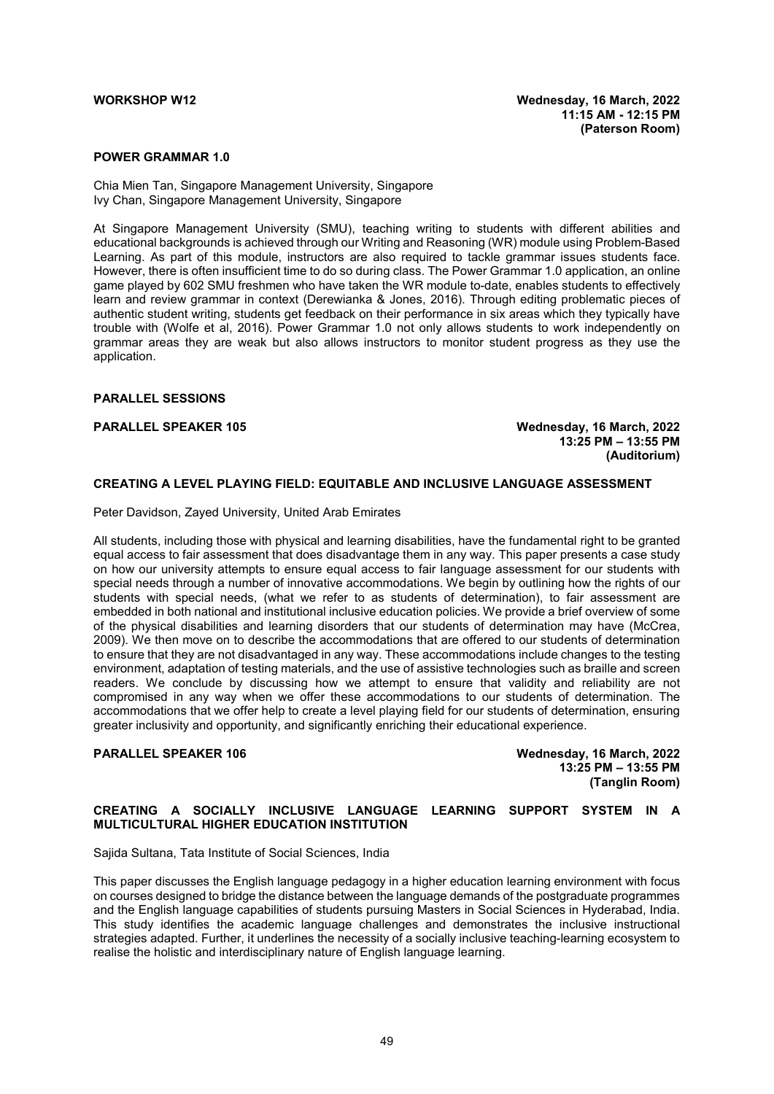# **POWER GRAMMAR 1.0**

Chia Mien Tan, Singapore Management University, Singapore Ivy Chan, Singapore Management University, Singapore

At Singapore Management University (SMU), teaching writing to students with different abilities and educational backgrounds is achieved through our Writing and Reasoning (WR) module using Problem-Based Learning. As part of this module, instructors are also required to tackle grammar issues students face. However, there is often insufficient time to do so during class. The Power Grammar 1.0 application, an online game played by 602 SMU freshmen who have taken the WR module to-date, enables students to effectively learn and review grammar in context (Derewianka & Jones, 2016). Through editing problematic pieces of authentic student writing, students get feedback on their performance in six areas which they typically have trouble with (Wolfe et al, 2016). Power Grammar 1.0 not only allows students to work independently on grammar areas they are weak but also allows instructors to monitor student progress as they use the application.

### **PARALLEL SESSIONS**

**PARALLEL SPEAKER 105 Wednesday, 16 March, 2022 13:25 PM – 13:55 PM (Auditorium)**

# **CREATING A LEVEL PLAYING FIELD: EQUITABLE AND INCLUSIVE LANGUAGE ASSESSMENT**

Peter Davidson, Zayed University, United Arab Emirates

All students, including those with physical and learning disabilities, have the fundamental right to be granted equal access to fair assessment that does disadvantage them in any way. This paper presents a case study on how our university attempts to ensure equal access to fair language assessment for our students with special needs through a number of innovative accommodations. We begin by outlining how the rights of our students with special needs, (what we refer to as students of determination), to fair assessment are embedded in both national and institutional inclusive education policies. We provide a brief overview of some of the physical disabilities and learning disorders that our students of determination may have (McCrea, 2009). We then move on to describe the accommodations that are offered to our students of determination to ensure that they are not disadvantaged in any way. These accommodations include changes to the testing environment, adaptation of testing materials, and the use of assistive technologies such as braille and screen readers. We conclude by discussing how we attempt to ensure that validity and reliability are not compromised in any way when we offer these accommodations to our students of determination. The accommodations that we offer help to create a level playing field for our students of determination, ensuring greater inclusivity and opportunity, and significantly enriching their educational experience.

**PARALLEL SPEAKER 106 Wednesday, 16 March, 2022 13:25 PM – 13:55 PM (Tanglin Room)**

# **CREATING A SOCIALLY INCLUSIVE LANGUAGE LEARNING SUPPORT SYSTEM IN A MULTICULTURAL HIGHER EDUCATION INSTITUTION**

Sajida Sultana, Tata Institute of Social Sciences, India

This paper discusses the English language pedagogy in a higher education learning environment with focus on courses designed to bridge the distance between the language demands of the postgraduate programmes and the English language capabilities of students pursuing Masters in Social Sciences in Hyderabad, India. This study identifies the academic language challenges and demonstrates the inclusive instructional strategies adapted. Further, it underlines the necessity of a socially inclusive teaching-learning ecosystem to realise the holistic and interdisciplinary nature of English language learning.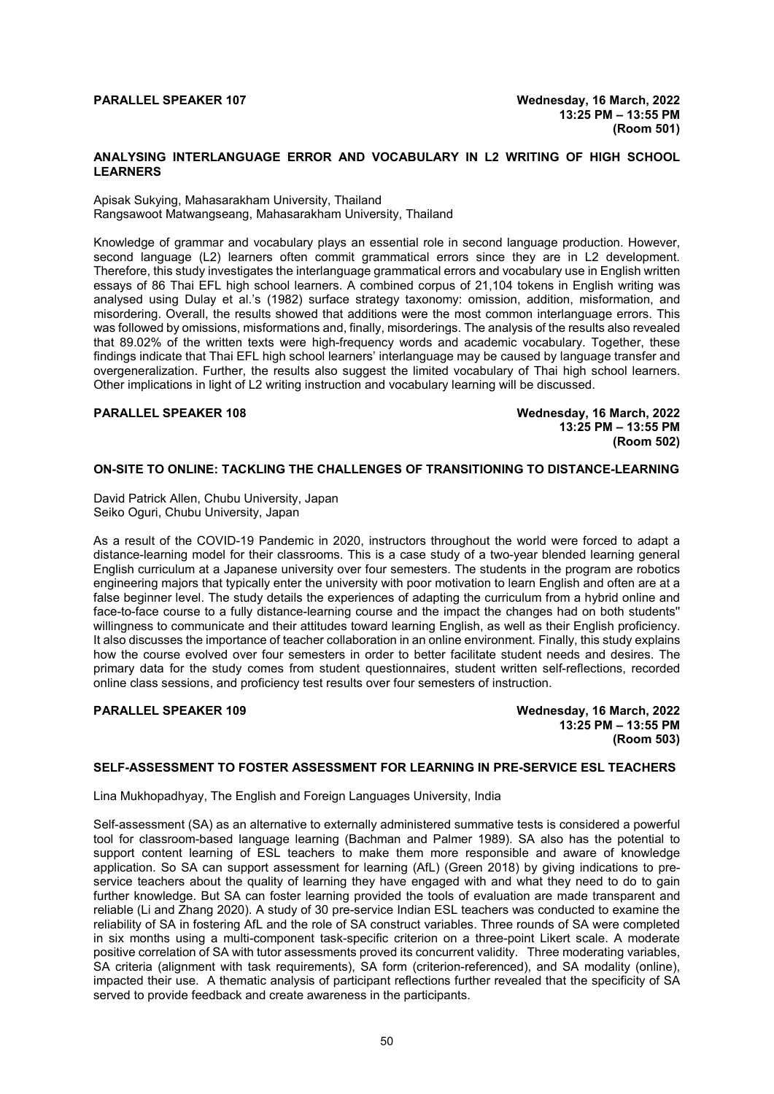### **ANALYSING INTERLANGUAGE ERROR AND VOCABULARY IN L2 WRITING OF HIGH SCHOOL LEARNERS**

Apisak Sukying, Mahasarakham University, Thailand Rangsawoot Matwangseang, Mahasarakham University, Thailand

Knowledge of grammar and vocabulary plays an essential role in second language production. However, second language (L2) learners often commit grammatical errors since they are in L2 development. Therefore, this study investigates the interlanguage grammatical errors and vocabulary use in English written essays of 86 Thai EFL high school learners. A combined corpus of 21,104 tokens in English writing was analysed using Dulay et al.'s (1982) surface strategy taxonomy: omission, addition, misformation, and misordering. Overall, the results showed that additions were the most common interlanguage errors. This was followed by omissions, misformations and, finally, misorderings. The analysis of the results also revealed that 89.02% of the written texts were high-frequency words and academic vocabulary. Together, these findings indicate that Thai EFL high school learners' interlanguage may be caused by language transfer and overgeneralization. Further, the results also suggest the limited vocabulary of Thai high school learners. Other implications in light of L2 writing instruction and vocabulary learning will be discussed.

**PARALLEL SPEAKER 108 Wednesday, 16 March, 2022 13:25 PM – 13:55 PM (Room 502)**

### **ON-SITE TO ONLINE: TACKLING THE CHALLENGES OF TRANSITIONING TO DISTANCE-LEARNING**

David Patrick Allen, Chubu University, Japan Seiko Oguri, Chubu University, Japan

As a result of the COVID-19 Pandemic in 2020, instructors throughout the world were forced to adapt a distance-learning model for their classrooms. This is a case study of a two-year blended learning general English curriculum at a Japanese university over four semesters. The students in the program are robotics engineering majors that typically enter the university with poor motivation to learn English and often are at a false beginner level. The study details the experiences of adapting the curriculum from a hybrid online and face-to-face course to a fully distance-learning course and the impact the changes had on both students'' willingness to communicate and their attitudes toward learning English, as well as their English proficiency. It also discusses the importance of teacher collaboration in an online environment. Finally, this study explains how the course evolved over four semesters in order to better facilitate student needs and desires. The primary data for the study comes from student questionnaires, student written self-reflections, recorded online class sessions, and proficiency test results over four semesters of instruction.

**PARALLEL SPEAKER 109 Wednesday, 16 March, 2022 13:25 PM – 13:55 PM (Room 503)**

# **SELF-ASSESSMENT TO FOSTER ASSESSMENT FOR LEARNING IN PRE-SERVICE ESL TEACHERS**

Lina Mukhopadhyay, The English and Foreign Languages University, India

Self-assessment (SA) as an alternative to externally administered summative tests is considered a powerful tool for classroom-based language learning (Bachman and Palmer 1989). SA also has the potential to support content learning of ESL teachers to make them more responsible and aware of knowledge application. So SA can support assessment for learning (AfL) (Green 2018) by giving indications to preservice teachers about the quality of learning they have engaged with and what they need to do to gain further knowledge. But SA can foster learning provided the tools of evaluation are made transparent and reliable (Li and Zhang 2020). A study of 30 pre-service Indian ESL teachers was conducted to examine the reliability of SA in fostering AfL and the role of SA construct variables. Three rounds of SA were completed in six months using a multi-component task-specific criterion on a three-point Likert scale. A moderate positive correlation of SA with tutor assessments proved its concurrent validity. Three moderating variables, SA criteria (alignment with task requirements), SA form (criterion-referenced), and SA modality (online), impacted their use. A thematic analysis of participant reflections further revealed that the specificity of SA served to provide feedback and create awareness in the participants.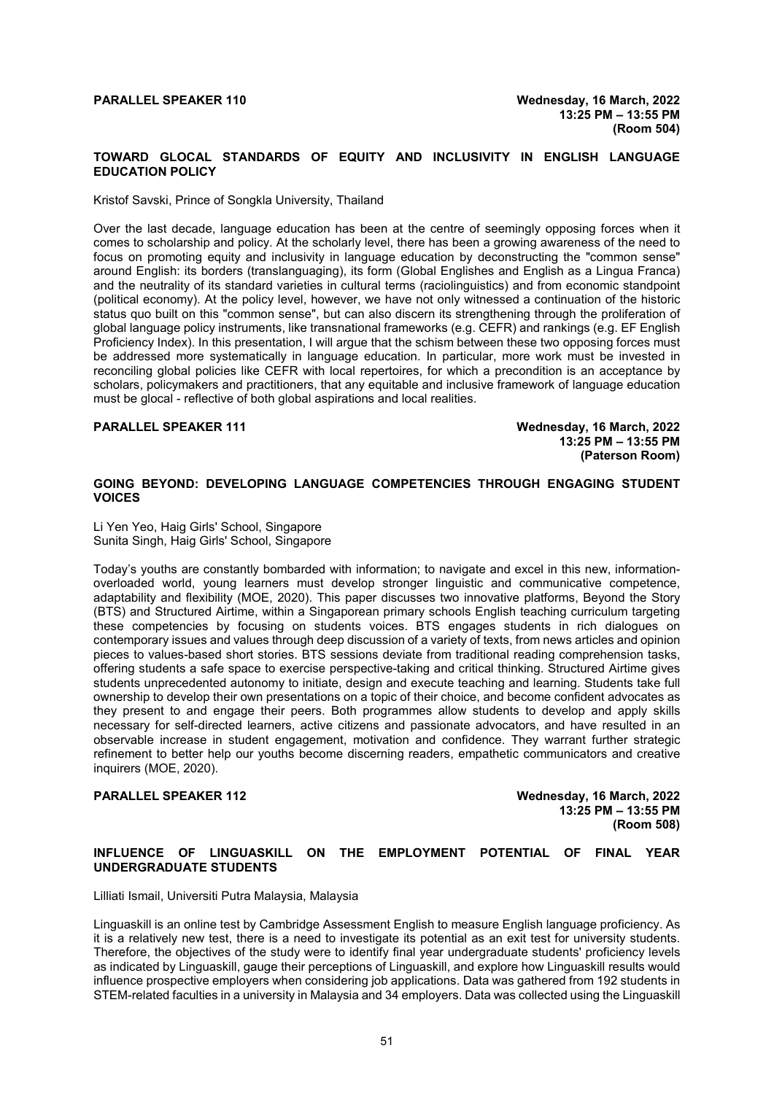# **TOWARD GLOCAL STANDARDS OF EQUITY AND INCLUSIVITY IN ENGLISH LANGUAGE EDUCATION POLICY**

Kristof Savski, Prince of Songkla University, Thailand

Over the last decade, language education has been at the centre of seemingly opposing forces when it comes to scholarship and policy. At the scholarly level, there has been a growing awareness of the need to focus on promoting equity and inclusivity in language education by deconstructing the "common sense" around English: its borders (translanguaging), its form (Global Englishes and English as a Lingua Franca) and the neutrality of its standard varieties in cultural terms (raciolinguistics) and from economic standpoint (political economy). At the policy level, however, we have not only witnessed a continuation of the historic status quo built on this "common sense", but can also discern its strengthening through the proliferation of global language policy instruments, like transnational frameworks (e.g. CEFR) and rankings (e.g. EF English Proficiency Index). In this presentation, I will argue that the schism between these two opposing forces must be addressed more systematically in language education. In particular, more work must be invested in reconciling global policies like CEFR with local repertoires, for which a precondition is an acceptance by scholars, policymakers and practitioners, that any equitable and inclusive framework of language education must be glocal - reflective of both global aspirations and local realities.

**PARALLEL SPEAKER 111 Wednesday, 16 March, 2022 13:25 PM – 13:55 PM (Paterson Room)**

# **GOING BEYOND: DEVELOPING LANGUAGE COMPETENCIES THROUGH ENGAGING STUDENT VOICES**

Li Yen Yeo, Haig Girls' School, Singapore Sunita Singh, Haig Girls' School, Singapore

Today's youths are constantly bombarded with information; to navigate and excel in this new, informationoverloaded world, young learners must develop stronger linguistic and communicative competence, adaptability and flexibility (MOE, 2020). This paper discusses two innovative platforms, Beyond the Story (BTS) and Structured Airtime, within a Singaporean primary schools English teaching curriculum targeting these competencies by focusing on students voices. BTS engages students in rich dialogues on contemporary issues and values through deep discussion of a variety of texts, from news articles and opinion pieces to values-based short stories. BTS sessions deviate from traditional reading comprehension tasks, offering students a safe space to exercise perspective-taking and critical thinking. Structured Airtime gives students unprecedented autonomy to initiate, design and execute teaching and learning. Students take full ownership to develop their own presentations on a topic of their choice, and become confident advocates as they present to and engage their peers. Both programmes allow students to develop and apply skills necessary for self-directed learners, active citizens and passionate advocators, and have resulted in an observable increase in student engagement, motivation and confidence. They warrant further strategic refinement to better help our youths become discerning readers, empathetic communicators and creative inquirers (MOE, 2020).

**PARALLEL SPEAKER 112 Wednesday, 16 March, 2022 13:25 PM – 13:55 PM (Room 508)**

# **INFLUENCE OF LINGUASKILL ON THE EMPLOYMENT POTENTIAL OF FINAL YEAR UNDERGRADUATE STUDENTS**

Lilliati Ismail, Universiti Putra Malaysia, Malaysia

Linguaskill is an online test by Cambridge Assessment English to measure English language proficiency. As it is a relatively new test, there is a need to investigate its potential as an exit test for university students. Therefore, the objectives of the study were to identify final year undergraduate students' proficiency levels as indicated by Linguaskill, gauge their perceptions of Linguaskill, and explore how Linguaskill results would influence prospective employers when considering job applications. Data was gathered from 192 students in STEM-related faculties in a university in Malaysia and 34 employers. Data was collected using the Linguaskill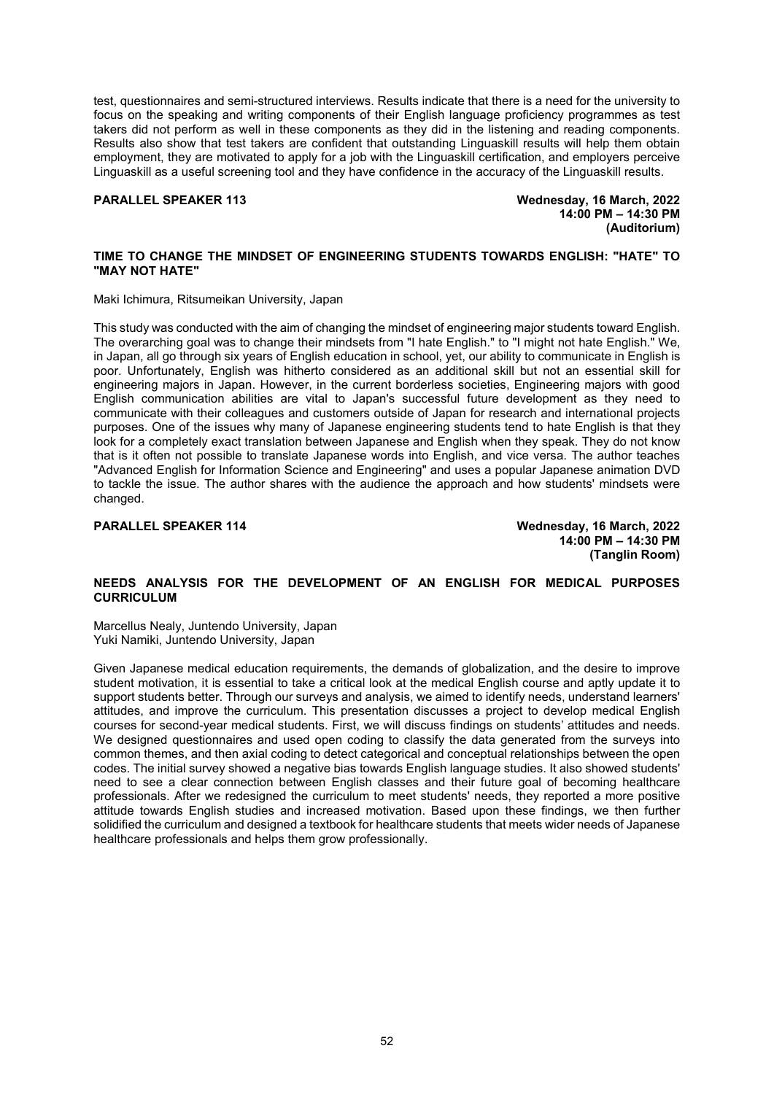test, questionnaires and semi-structured interviews. Results indicate that there is a need for the university to focus on the speaking and writing components of their English language proficiency programmes as test takers did not perform as well in these components as they did in the listening and reading components. Results also show that test takers are confident that outstanding Linguaskill results will help them obtain employment, they are motivated to apply for a job with the Linguaskill certification, and employers perceive Linguaskill as a useful screening tool and they have confidence in the accuracy of the Linguaskill results.

**PARALLEL SPEAKER 113 Wednesday, 16 March, 2022 14:00 PM – 14:30 PM (Auditorium)**

# **TIME TO CHANGE THE MINDSET OF ENGINEERING STUDENTS TOWARDS ENGLISH: "HATE" TO "MAY NOT HATE"**

Maki Ichimura, Ritsumeikan University, Japan

This study was conducted with the aim of changing the mindset of engineering major students toward English. The overarching goal was to change their mindsets from "I hate English." to "I might not hate English." We, in Japan, all go through six years of English education in school, yet, our ability to communicate in English is poor. Unfortunately, English was hitherto considered as an additional skill but not an essential skill for engineering majors in Japan. However, in the current borderless societies, Engineering majors with good English communication abilities are vital to Japan's successful future development as they need to communicate with their colleagues and customers outside of Japan for research and international projects purposes. One of the issues why many of Japanese engineering students tend to hate English is that they look for a completely exact translation between Japanese and English when they speak. They do not know that is it often not possible to translate Japanese words into English, and vice versa. The author teaches "Advanced English for Information Science and Engineering" and uses a popular Japanese animation DVD to tackle the issue. The author shares with the audience the approach and how students' mindsets were changed.

**PARALLEL SPEAKER 114 Wednesday, 16 March, 2022 14:00 PM – 14:30 PM (Tanglin Room)**

# **NEEDS ANALYSIS FOR THE DEVELOPMENT OF AN ENGLISH FOR MEDICAL PURPOSES CURRICULUM**

Marcellus Nealy, Juntendo University, Japan Yuki Namiki, Juntendo University, Japan

Given Japanese medical education requirements, the demands of globalization, and the desire to improve student motivation, it is essential to take a critical look at the medical English course and aptly update it to support students better. Through our surveys and analysis, we aimed to identify needs, understand learners' attitudes, and improve the curriculum. This presentation discusses a project to develop medical English courses for second-year medical students. First, we will discuss findings on students' attitudes and needs. We designed questionnaires and used open coding to classify the data generated from the surveys into common themes, and then axial coding to detect categorical and conceptual relationships between the open codes. The initial survey showed a negative bias towards English language studies. It also showed students' need to see a clear connection between English classes and their future goal of becoming healthcare professionals. After we redesigned the curriculum to meet students' needs, they reported a more positive attitude towards English studies and increased motivation. Based upon these findings, we then further solidified the curriculum and designed a textbook for healthcare students that meets wider needs of Japanese healthcare professionals and helps them grow professionally.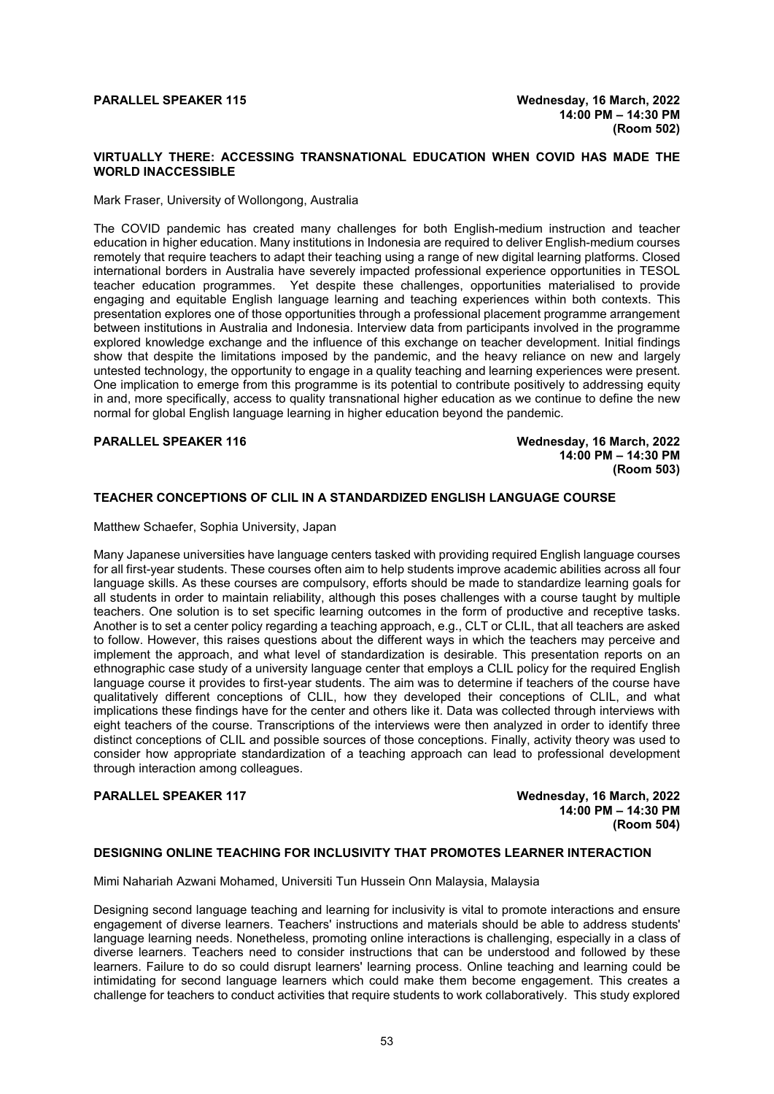# **VIRTUALLY THERE: ACCESSING TRANSNATIONAL EDUCATION WHEN COVID HAS MADE THE WORLD INACCESSIBLE**

Mark Fraser, University of Wollongong, Australia

The COVID pandemic has created many challenges for both English-medium instruction and teacher education in higher education. Many institutions in Indonesia are required to deliver English-medium courses remotely that require teachers to adapt their teaching using a range of new digital learning platforms. Closed international borders in Australia have severely impacted professional experience opportunities in TESOL teacher education programmes. Yet despite these challenges, opportunities materialised to provide engaging and equitable English language learning and teaching experiences within both contexts. This presentation explores one of those opportunities through a professional placement programme arrangement between institutions in Australia and Indonesia. Interview data from participants involved in the programme explored knowledge exchange and the influence of this exchange on teacher development. Initial findings show that despite the limitations imposed by the pandemic, and the heavy reliance on new and largely untested technology, the opportunity to engage in a quality teaching and learning experiences were present. One implication to emerge from this programme is its potential to contribute positively to addressing equity in and, more specifically, access to quality transnational higher education as we continue to define the new normal for global English language learning in higher education beyond the pandemic.

**PARALLEL SPEAKER 116 Wednesday, 16 March, 2022 14:00 PM – 14:30 PM (Room 503)**

# **TEACHER CONCEPTIONS OF CLIL IN A STANDARDIZED ENGLISH LANGUAGE COURSE**

Matthew Schaefer, Sophia University, Japan

Many Japanese universities have language centers tasked with providing required English language courses for all first-year students. These courses often aim to help students improve academic abilities across all four language skills. As these courses are compulsory, efforts should be made to standardize learning goals for all students in order to maintain reliability, although this poses challenges with a course taught by multiple teachers. One solution is to set specific learning outcomes in the form of productive and receptive tasks. Another is to set a center policy regarding a teaching approach, e.g., CLT or CLIL, that all teachers are asked to follow. However, this raises questions about the different ways in which the teachers may perceive and implement the approach, and what level of standardization is desirable. This presentation reports on an ethnographic case study of a university language center that employs a CLIL policy for the required English language course it provides to first-year students. The aim was to determine if teachers of the course have qualitatively different conceptions of CLIL, how they developed their conceptions of CLIL, and what implications these findings have for the center and others like it. Data was collected through interviews with eight teachers of the course. Transcriptions of the interviews were then analyzed in order to identify three distinct conceptions of CLIL and possible sources of those conceptions. Finally, activity theory was used to consider how appropriate standardization of a teaching approach can lead to professional development through interaction among colleagues.

### **PARALLEL SPEAKER 117 Wednesday, 16 March, 2022**

**14:00 PM – 14:30 PM (Room 504)**

# **DESIGNING ONLINE TEACHING FOR INCLUSIVITY THAT PROMOTES LEARNER INTERACTION**

Mimi Nahariah Azwani Mohamed, Universiti Tun Hussein Onn Malaysia, Malaysia

Designing second language teaching and learning for inclusivity is vital to promote interactions and ensure engagement of diverse learners. Teachers' instructions and materials should be able to address students' language learning needs. Nonetheless, promoting online interactions is challenging, especially in a class of diverse learners. Teachers need to consider instructions that can be understood and followed by these learners. Failure to do so could disrupt learners' learning process. Online teaching and learning could be intimidating for second language learners which could make them become engagement. This creates a challenge for teachers to conduct activities that require students to work collaboratively. This study explored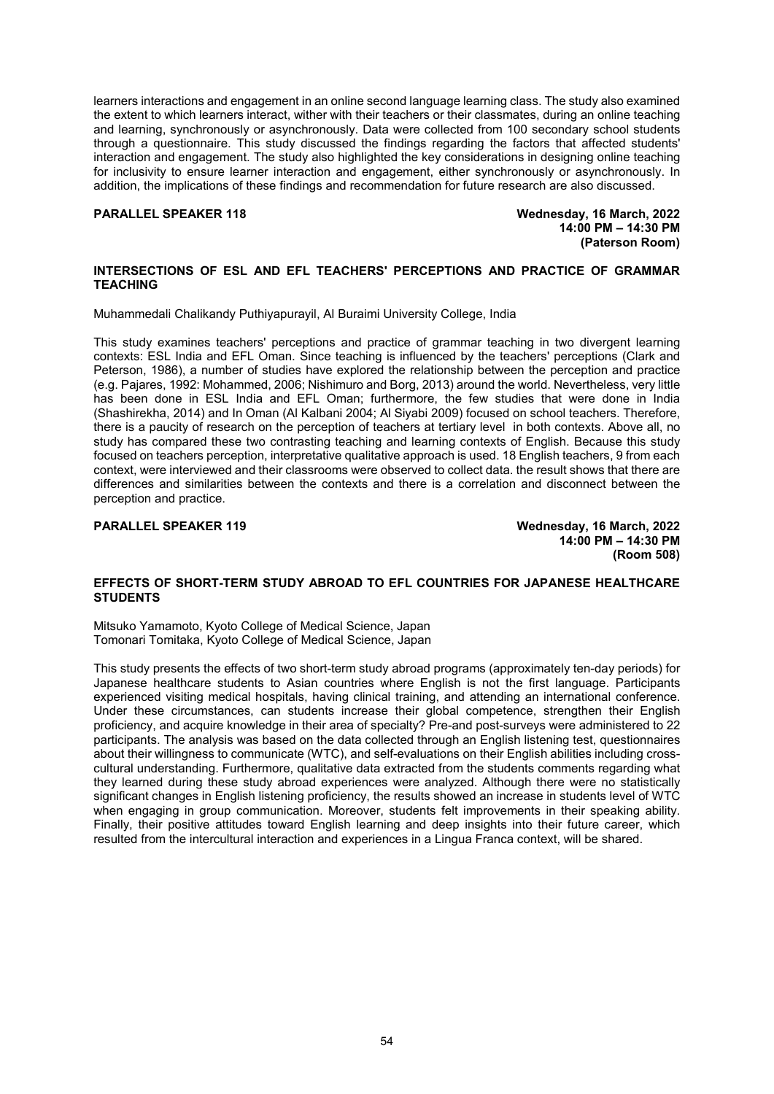learners interactions and engagement in an online second language learning class. The study also examined the extent to which learners interact, wither with their teachers or their classmates, during an online teaching and learning, synchronously or asynchronously. Data were collected from 100 secondary school students through a questionnaire. This study discussed the findings regarding the factors that affected students' interaction and engagement. The study also highlighted the key considerations in designing online teaching for inclusivity to ensure learner interaction and engagement, either synchronously or asynchronously. In addition, the implications of these findings and recommendation for future research are also discussed.

**PARALLEL SPEAKER 118 Wednesday, 16 March, 2022 14:00 PM – 14:30 PM (Paterson Room)**

# **INTERSECTIONS OF ESL AND EFL TEACHERS' PERCEPTIONS AND PRACTICE OF GRAMMAR TEACHING**

Muhammedali Chalikandy Puthiyapurayil, Al Buraimi University College, India

This study examines teachers' perceptions and practice of grammar teaching in two divergent learning contexts: ESL India and EFL Oman. Since teaching is influenced by the teachers' perceptions (Clark and Peterson, 1986), a number of studies have explored the relationship between the perception and practice (e.g. Pajares, 1992: Mohammed, 2006; Nishimuro and Borg, 2013) around the world. Nevertheless, very little has been done in ESL India and EFL Oman; furthermore, the few studies that were done in India (Shashirekha, 2014) and In Oman (Al Kalbani 2004; Al Siyabi 2009) focused on school teachers. Therefore, there is a paucity of research on the perception of teachers at tertiary level in both contexts. Above all, no study has compared these two contrasting teaching and learning contexts of English. Because this study focused on teachers perception, interpretative qualitative approach is used. 18 English teachers, 9 from each context, were interviewed and their classrooms were observed to collect data. the result shows that there are differences and similarities between the contexts and there is a correlation and disconnect between the perception and practice.

**PARALLEL SPEAKER 119 Wednesday, 16 March, 2022 14:00 PM – 14:30 PM (Room 508)**

# **EFFECTS OF SHORT-TERM STUDY ABROAD TO EFL COUNTRIES FOR JAPANESE HEALTHCARE STUDENTS**

Mitsuko Yamamoto, Kyoto College of Medical Science, Japan Tomonari Tomitaka, Kyoto College of Medical Science, Japan

This study presents the effects of two short-term study abroad programs (approximately ten-day periods) for Japanese healthcare students to Asian countries where English is not the first language. Participants experienced visiting medical hospitals, having clinical training, and attending an international conference. Under these circumstances, can students increase their global competence, strengthen their English proficiency, and acquire knowledge in their area of specialty? Pre-and post-surveys were administered to 22 participants. The analysis was based on the data collected through an English listening test, questionnaires about their willingness to communicate (WTC), and self-evaluations on their English abilities including crosscultural understanding. Furthermore, qualitative data extracted from the students comments regarding what they learned during these study abroad experiences were analyzed. Although there were no statistically significant changes in English listening proficiency, the results showed an increase in students level of WTC when engaging in group communication. Moreover, students felt improvements in their speaking ability. Finally, their positive attitudes toward English learning and deep insights into their future career, which resulted from the intercultural interaction and experiences in a Lingua Franca context, will be shared.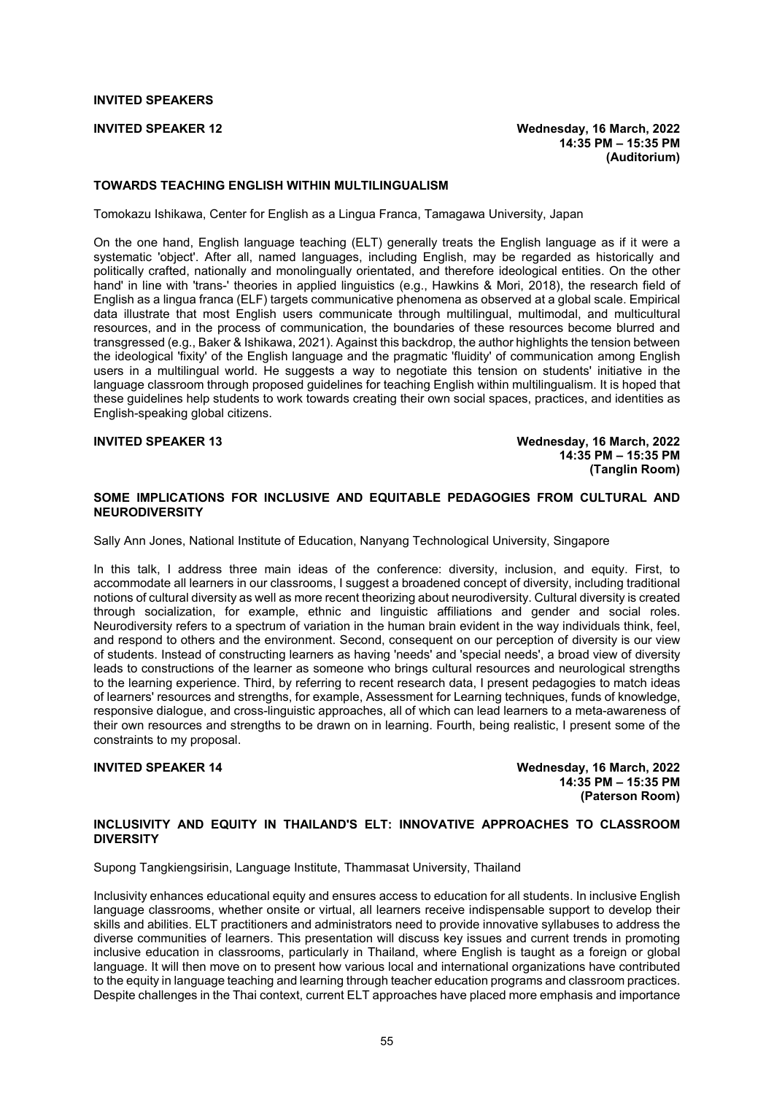# **INVITED SPEAKERS**

# **TOWARDS TEACHING ENGLISH WITHIN MULTILINGUALISM**

Tomokazu Ishikawa, Center for English as a Lingua Franca, Tamagawa University, Japan

On the one hand, English language teaching (ELT) generally treats the English language as if it were a systematic 'object'. After all, named languages, including English, may be regarded as historically and politically crafted, nationally and monolingually orientated, and therefore ideological entities. On the other hand' in line with 'trans-' theories in applied linguistics (e.g., Hawkins & Mori, 2018), the research field of English as a lingua franca (ELF) targets communicative phenomena as observed at a global scale. Empirical data illustrate that most English users communicate through multilingual, multimodal, and multicultural resources, and in the process of communication, the boundaries of these resources become blurred and transgressed (e.g., Baker & Ishikawa, 2021). Against this backdrop, the author highlights the tension between the ideological 'fixity' of the English language and the pragmatic 'fluidity' of communication among English users in a multilingual world. He suggests a way to negotiate this tension on students' initiative in the language classroom through proposed guidelines for teaching English within multilingualism. It is hoped that these guidelines help students to work towards creating their own social spaces, practices, and identities as English-speaking global citizens.

# **INVITED SPEAKER 13 Wednesday, 16 March, 2022 14:35 PM – 15:35 PM (Tanglin Room)**

# **SOME IMPLICATIONS FOR INCLUSIVE AND EQUITABLE PEDAGOGIES FROM CULTURAL AND NEURODIVERSITY**

Sally Ann Jones, National Institute of Education, Nanyang Technological University, Singapore

In this talk, I address three main ideas of the conference: diversity, inclusion, and equity. First, to accommodate all learners in our classrooms, I suggest a broadened concept of diversity, including traditional notions of cultural diversity as well as more recent theorizing about neurodiversity. Cultural diversity is created through socialization, for example, ethnic and linguistic affiliations and gender and social roles. Neurodiversity refers to a spectrum of variation in the human brain evident in the way individuals think, feel, and respond to others and the environment. Second, consequent on our perception of diversity is our view of students. Instead of constructing learners as having 'needs' and 'special needs', a broad view of diversity leads to constructions of the learner as someone who brings cultural resources and neurological strengths to the learning experience. Third, by referring to recent research data, I present pedagogies to match ideas of learners' resources and strengths, for example, Assessment for Learning techniques, funds of knowledge, responsive dialogue, and cross-linguistic approaches, all of which can lead learners to a meta-awareness of their own resources and strengths to be drawn on in learning. Fourth, being realistic, I present some of the constraints to my proposal.

**INVITED SPEAKER 14 INVITED SPEAKER 14 Wednesday, 16 March, 2022 14:35 PM – 15:35 PM (Paterson Room)**

# **INCLUSIVITY AND EQUITY IN THAILAND'S ELT: INNOVATIVE APPROACHES TO CLASSROOM DIVERSITY**

Supong Tangkiengsirisin, Language Institute, Thammasat University, Thailand

Inclusivity enhances educational equity and ensures access to education for all students. In inclusive English language classrooms, whether onsite or virtual, all learners receive indispensable support to develop their skills and abilities. ELT practitioners and administrators need to provide innovative syllabuses to address the diverse communities of learners. This presentation will discuss key issues and current trends in promoting inclusive education in classrooms, particularly in Thailand, where English is taught as a foreign or global language. It will then move on to present how various local and international organizations have contributed to the equity in language teaching and learning through teacher education programs and classroom practices. Despite challenges in the Thai context, current ELT approaches have placed more emphasis and importance